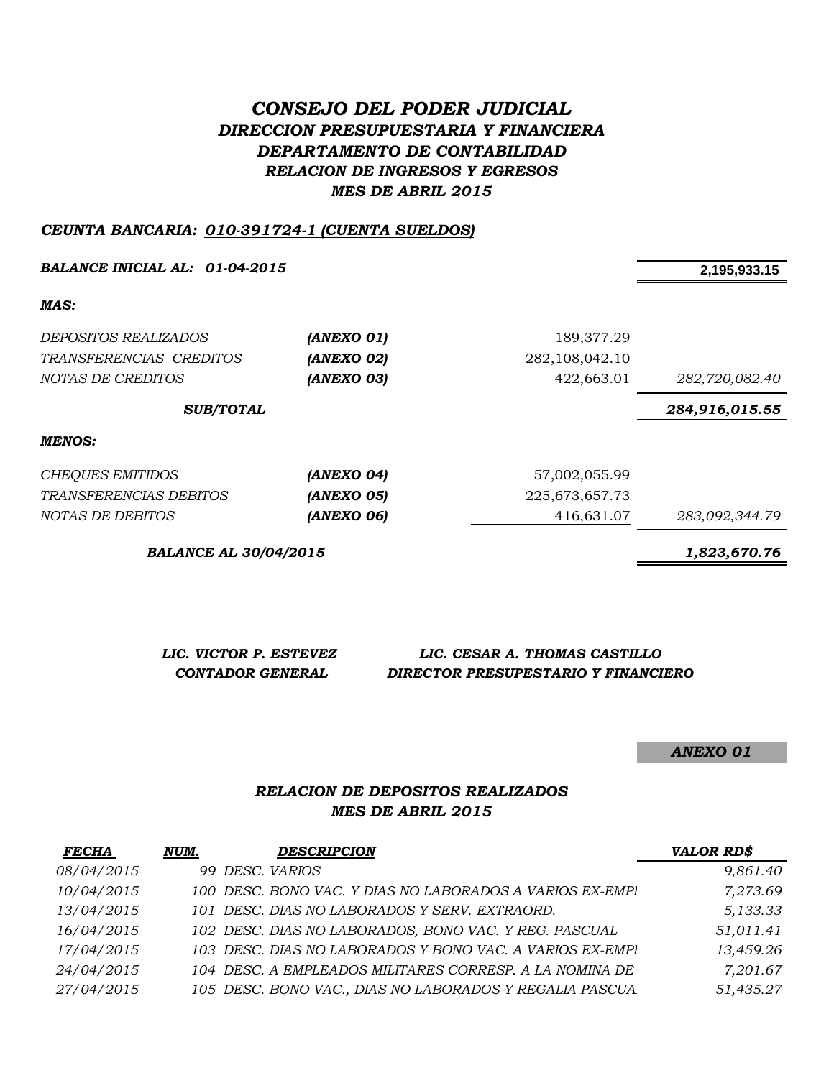# *CONSEJO DEL PODER JUDICIAL DIRECCION PRESUPUESTARIA Y FINANCIERA DEPARTAMENTO DE CONTABILIDAD RELACION DE INGRESOS Y EGRESOS MES DE ABRIL 2015*

#### *CEUNTA BANCARIA: 010-391724-1 (CUENTA SUELDOS)*

*BALANCE INICIAL AL: 01-04-2015* **2,195,933.15**

*MAS:*

| <b>MENOS:</b>           |            |                   |                |
|-------------------------|------------|-------------------|----------------|
| <b>SUB/TOTAL</b>        |            |                   | 284,916,015.55 |
| NOTAS DE CREDITOS       | (ANEXO 03) | 422,663.01        | 282,720,082.40 |
| TRANSFERENCIAS CREDITOS | (ANEXO 02) | 282, 108, 042. 10 |                |
| DEPOSITOS REALIZADOS    | (ANEXO 01) | 189,377.29        |                |
|                         |            |                   |                |

| CHEQUES EMITIDOS        | (ANEXO 04) | 57,002,055.99  |                |
|-------------------------|------------|----------------|----------------|
| TRANSFERENCIAS DEBITOS  | (ANEXO 05) | 225.673.657.73 |                |
| <i>NOTAS DE DEBITOS</i> | (ANEXO 06) | 416.631.07     | 283,092,344.79 |

*BALANCE AL 30/04/2015 1,823,670.76*

| LIC. VICTOR P. ESTEVEZ | LIC. CESAR A. THOMAS CASTILLO       |
|------------------------|-------------------------------------|
| CONTADOR GENERAL       | DIRECTOR PRESUPESTARIO Y FINANCIERO |

*ANEXO 01*

#### *RELACION DE DEPOSITOS REALIZADOS MES DE ABRIL 2015*

| FECHA             | NUM. | <b>DESCRIPCION</b>                                       | <b>VALOR RD\$</b> |
|-------------------|------|----------------------------------------------------------|-------------------|
| <i>08/04/2015</i> |      | 99 DESC. VARIOS                                          | 9,861.40          |
| 10/04/2015        |      | 100 DESC. BONO VAC. Y DIAS NO LABORADOS A VARIOS EX-EMPI | 7,273.69          |
| 13/04/2015        |      | 101 DESC. DIAS NO LABORADOS Y SERV. EXTRAORD.            | 5,133.33          |
| 16/04/2015        |      | 102 DESC. DIAS NO LABORADOS, BONO VAC. Y REG. PASCUAL    | 51,011.41         |
| 17/04/2015        |      | 103 DESC. DIAS NO LABORADOS Y BONO VAC. A VARIOS EX-EMPI | 13,459.26         |
| 24/04/2015        |      | 104 DESC. A EMPLEADOS MILITARES CORRESP. A LA NOMINA DE  | 7,201.67          |
| 27/04/2015        |      | 105 DESC. BONO VAC., DIAS NO LABORADOS Y REGALIA PASCUA  | 51,435.27         |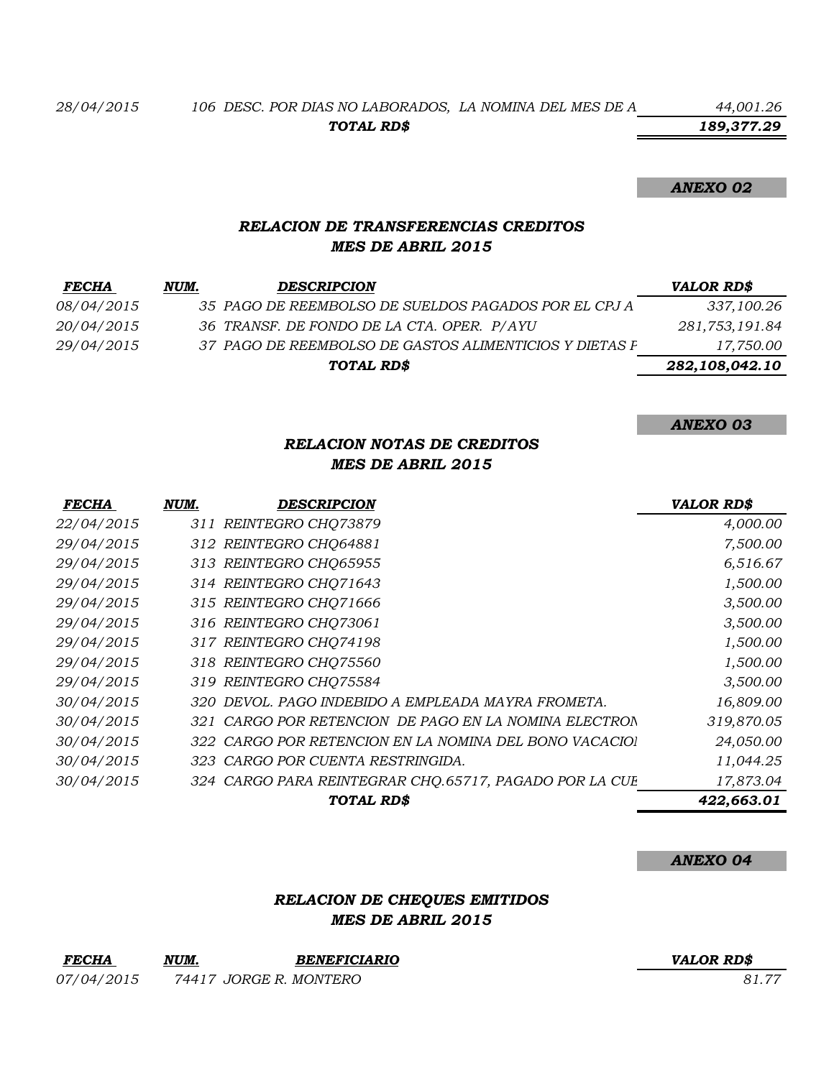*189,377.29*

#### *ANEXO 02*

# *RELACION DE TRANSFERENCIAS CREDITOS MES DE ABRIL 2015*

| <b>FECHA</b>      | NUM. | <b>DESCRIPCION</b>                                     | VALOR RD\$     |
|-------------------|------|--------------------------------------------------------|----------------|
| <i>08/04/2015</i> |      | 35 PAGO DE REEMBOLSO DE SUELDOS PAGADOS POR EL CPJ A   | 337,100.26     |
| <i>20/04/2015</i> |      | 36 TRANSF. DE FONDO DE LA CTA. OPER. P/AYU             | 281,753,191.84 |
| 29/04/2015        |      | 37 PAGO DE REEMBOLSO DE GASTOS ALIMENTICIOS Y DIETAS F | 17,750.00      |
|                   |      | TOTAL RD\$                                             | 282,108,042.10 |
|                   |      |                                                        |                |

*ANEXO 03*

# *RELACION NOTAS DE CREDITOS MES DE ABRIL 2015*

| <b>FECHA</b> | NUM. | <b>DESCRIPCION</b>                                     | <b>VALOR RD\$</b> |
|--------------|------|--------------------------------------------------------|-------------------|
| 22/04/2015   |      | 311 REINTEGRO CHO73879                                 | 4,000.00          |
| 29/04/2015   |      | 312 REINTEGRO CHQ64881                                 | 7,500.00          |
| 29/04/2015   |      | 313 REINTEGRO CHQ65955                                 | 6,516.67          |
| 29/04/2015   |      | 314 REINTEGRO CHQ71643                                 | 1,500.00          |
| 29/04/2015   |      | 315 REINTEGRO CHO71666                                 | 3,500.00          |
| 29/04/2015   |      | 316 REINTEGRO CHQ73061                                 | 3,500.00          |
| 29/04/2015   |      | 317 REINTEGRO CHQ74198                                 | 1,500.00          |
| 29/04/2015   |      | 318 REINTEGRO CHO75560                                 | 1,500.00          |
| 29/04/2015   |      | 319 REINTEGRO CHO75584                                 | 3,500.00          |
| 30/04/2015   |      | 320 DEVOL. PAGO INDEBIDO A EMPLEADA MAYRA FROMETA.     | 16,809.00         |
| 30/04/2015   |      | 321 CARGO POR RETENCION DE PAGO EN LA NOMINA ELECTRON  | 319,870.05        |
| 30/04/2015   |      | 322 CARGO POR RETENCION EN LA NOMINA DEL BONO VACACIOI | 24,050.00         |
| 30/04/2015   |      | 323 CARGO POR CUENTA RESTRINGIDA.                      | 11,044.25         |
| 30/04/2015   |      | 324 CARGO PARA REINTEGRAR CHO.65717, PAGADO POR LA CUE | 17,873.04         |
|              |      | <b>TOTAL RD\$</b>                                      | 422,663.01        |

*ANEXO 04*

## *RELACION DE CHEQUES EMITIDOS MES DE ABRIL 2015*

| <b>FECHA</b> | NUM. | <b>BENEFICIARIO</b>    | <b>VALOR RD\$</b> |
|--------------|------|------------------------|-------------------|
| 07/04/2015   |      | 74417 JORGE R. MONTERO | 81.77             |

#### *FECHA NUM. BENEFICIARIO VALOR RD\$*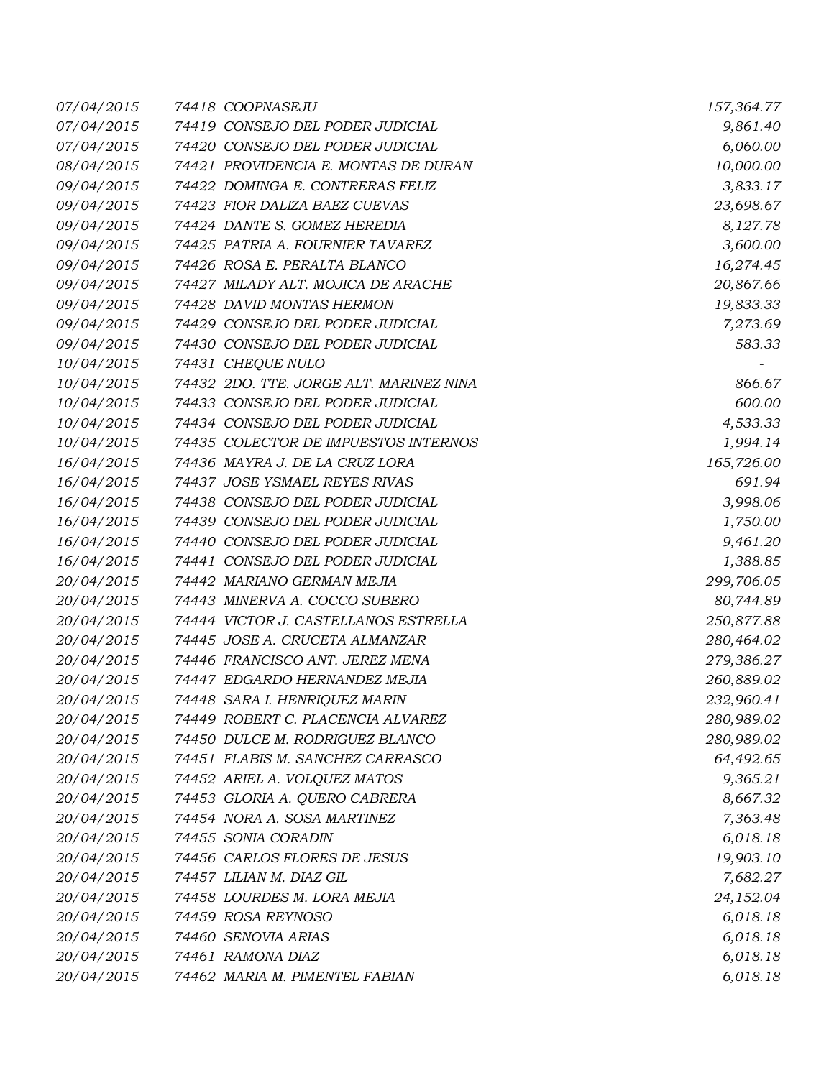| 07/04/2015 | 74418 COOPNASEJU                        | 157,364.77 |
|------------|-----------------------------------------|------------|
| 07/04/2015 | 74419 CONSEJO DEL PODER JUDICIAL        | 9,861.40   |
| 07/04/2015 | 74420 CONSEJO DEL PODER JUDICIAL        | 6,060.00   |
| 08/04/2015 | 74421 PROVIDENCIA E. MONTAS DE DURAN    | 10,000.00  |
| 09/04/2015 | 74422 DOMINGA E. CONTRERAS FELIZ        | 3,833.17   |
| 09/04/2015 | 74423 FIOR DALIZA BAEZ CUEVAS           | 23,698.67  |
| 09/04/2015 | 74424 DANTE S. GOMEZ HEREDIA            | 8,127.78   |
| 09/04/2015 | 74425 PATRIA A. FOURNIER TAVAREZ        | 3,600.00   |
| 09/04/2015 | 74426 ROSA E. PERALTA BLANCO            | 16,274.45  |
| 09/04/2015 | 74427 MILADY ALT. MOJICA DE ARACHE      | 20,867.66  |
| 09/04/2015 | 74428 DAVID MONTAS HERMON               | 19,833.33  |
| 09/04/2015 | 74429 CONSEJO DEL PODER JUDICIAL        | 7,273.69   |
| 09/04/2015 | 74430 CONSEJO DEL PODER JUDICIAL        | 583.33     |
| 10/04/2015 | 74431 CHEQUE NULO                       |            |
| 10/04/2015 | 74432 2DO. TTE. JORGE ALT. MARINEZ NINA | 866.67     |
| 10/04/2015 | 74433 CONSEJO DEL PODER JUDICIAL        | 600.00     |
| 10/04/2015 | 74434 CONSEJO DEL PODER JUDICIAL        | 4,533.33   |
| 10/04/2015 | 74435 COLECTOR DE IMPUESTOS INTERNOS    | 1,994.14   |
| 16/04/2015 | 74436 MAYRA J. DE LA CRUZ LORA          | 165,726.00 |
| 16/04/2015 | 74437 JOSE YSMAEL REYES RIVAS           | 691.94     |
| 16/04/2015 | 74438 CONSEJO DEL PODER JUDICIAL        | 3,998.06   |
| 16/04/2015 | 74439 CONSEJO DEL PODER JUDICIAL        | 1,750.00   |
| 16/04/2015 | 74440 CONSEJO DEL PODER JUDICIAL        | 9,461.20   |
| 16/04/2015 | 74441 CONSEJO DEL PODER JUDICIAL        | 1,388.85   |
| 20/04/2015 | 74442 MARIANO GERMAN MEJIA              | 299,706.05 |
| 20/04/2015 | 74443 MINERVA A. COCCO SUBERO           | 80,744.89  |
| 20/04/2015 | 74444 VICTOR J. CASTELLANOS ESTRELLA    | 250,877.88 |
| 20/04/2015 | 74445 JOSE A. CRUCETA ALMANZAR          | 280,464.02 |
| 20/04/2015 | 74446 FRANCISCO ANT. JEREZ MENA         | 279,386.27 |
| 20/04/2015 | 74447 EDGARDO HERNANDEZ MEJIA           | 260,889.02 |
| 20/04/2015 | 74448 SARA I. HENRIQUEZ MARIN           | 232,960.41 |
| 20/04/2015 | 74449 ROBERT C. PLACENCIA ALVAREZ       | 280,989.02 |
| 20/04/2015 | 74450 DULCE M. RODRIGUEZ BLANCO         | 280,989.02 |
| 20/04/2015 | 74451 FLABIS M. SANCHEZ CARRASCO        | 64,492.65  |
| 20/04/2015 | 74452 ARIEL A. VOLQUEZ MATOS            | 9,365.21   |
| 20/04/2015 | 74453 GLORIA A. QUERO CABRERA           | 8,667.32   |
| 20/04/2015 | 74454 NORA A. SOSA MARTINEZ             | 7,363.48   |
| 20/04/2015 | 74455 SONIA CORADIN                     | 6,018.18   |
| 20/04/2015 | 74456 CARLOS FLORES DE JESUS            | 19,903.10  |
| 20/04/2015 | 74457 LILIAN M. DIAZ GIL                | 7,682.27   |
| 20/04/2015 | 74458 LOURDES M. LORA MEJIA             | 24,152.04  |
| 20/04/2015 | 74459 ROSA REYNOSO                      | 6,018.18   |
| 20/04/2015 | 74460 SENOVIA ARIAS                     | 6,018.18   |
| 20/04/2015 | 74461 RAMONA DIAZ                       | 6,018.18   |
| 20/04/2015 | 74462 MARIA M. PIMENTEL FABIAN          | 6,018.18   |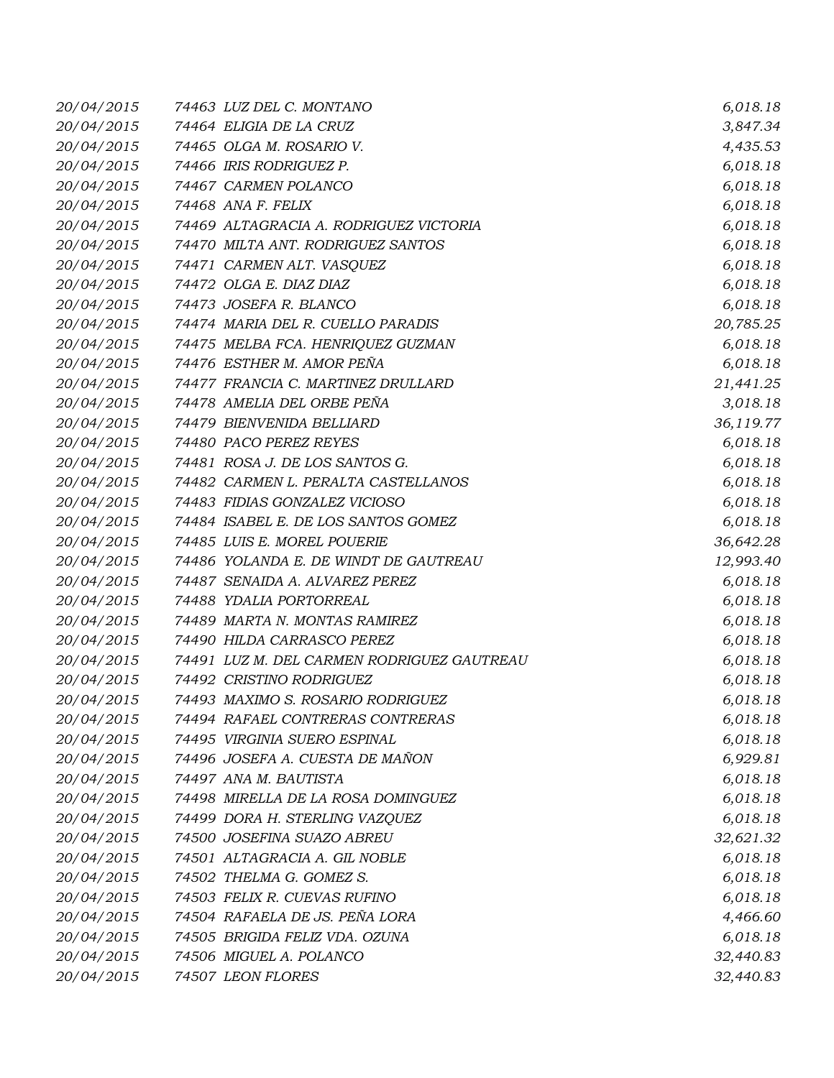| 20/04/2015 | 74463 LUZ DEL C. MONTANO                   | 6,018.18  |
|------------|--------------------------------------------|-----------|
| 20/04/2015 | 74464 ELIGIA DE LA CRUZ                    | 3,847.34  |
| 20/04/2015 | 74465 OLGA M. ROSARIO V.                   | 4,435.53  |
| 20/04/2015 | 74466 IRIS RODRIGUEZ P.                    | 6,018.18  |
| 20/04/2015 | 74467 CARMEN POLANCO                       | 6,018.18  |
| 20/04/2015 | 74468 ANA F. FELIX                         | 6,018.18  |
| 20/04/2015 | 74469 ALTAGRACIA A. RODRIGUEZ VICTORIA     | 6,018.18  |
| 20/04/2015 | 74470 MILTA ANT. RODRIGUEZ SANTOS          | 6,018.18  |
| 20/04/2015 | 74471 CARMEN ALT. VASQUEZ                  | 6,018.18  |
| 20/04/2015 | 74472 OLGA E. DIAZ DIAZ                    | 6,018.18  |
| 20/04/2015 | 74473 JOSEFA R. BLANCO                     | 6,018.18  |
| 20/04/2015 | 74474 MARIA DEL R. CUELLO PARADIS          | 20,785.25 |
| 20/04/2015 | 74475 MELBA FCA. HENRIQUEZ GUZMAN          | 6,018.18  |
| 20/04/2015 | 74476 ESTHER M. AMOR PEÑA                  | 6,018.18  |
| 20/04/2015 | 74477 FRANCIA C. MARTINEZ DRULLARD         | 21,441.25 |
| 20/04/2015 | 74478 AMELIA DEL ORBE PEÑA                 | 3,018.18  |
| 20/04/2015 | 74479 BIENVENIDA BELLIARD                  | 36,119.77 |
| 20/04/2015 | 74480 PACO PEREZ REYES                     | 6,018.18  |
| 20/04/2015 | 74481 ROSA J. DE LOS SANTOS G.             | 6,018.18  |
| 20/04/2015 | 74482 CARMEN L. PERALTA CASTELLANOS        | 6,018.18  |
| 20/04/2015 | 74483 FIDIAS GONZALEZ VICIOSO              | 6,018.18  |
| 20/04/2015 | 74484 ISABEL E. DE LOS SANTOS GOMEZ        | 6,018.18  |
| 20/04/2015 | 74485 LUIS E. MOREL POUERIE                | 36,642.28 |
| 20/04/2015 | 74486 YOLANDA E. DE WINDT DE GAUTREAU      | 12,993.40 |
| 20/04/2015 | 74487 SENAIDA A. ALVAREZ PEREZ             | 6,018.18  |
| 20/04/2015 | 74488 YDALIA PORTORREAL                    | 6,018.18  |
| 20/04/2015 | 74489 MARTA N. MONTAS RAMIREZ              | 6,018.18  |
| 20/04/2015 | 74490 HILDA CARRASCO PEREZ                 | 6,018.18  |
| 20/04/2015 | 74491 LUZ M. DEL CARMEN RODRIGUEZ GAUTREAU | 6,018.18  |
| 20/04/2015 | 74492 CRISTINO RODRIGUEZ                   | 6,018.18  |
| 20/04/2015 | 74493 MAXIMO S. ROSARIO RODRIGUEZ          | 6,018.18  |
| 20/04/2015 | 74494 RAFAEL CONTRERAS CONTRERAS           | 6,018.18  |
| 20/04/2015 | 74495 VIRGINIA SUERO ESPINAL               | 6,018.18  |
| 20/04/2015 | 74496 JOSEFA A. CUESTA DE MAÑON            | 6,929.81  |
| 20/04/2015 | 74497 ANA M. BAUTISTA                      | 6,018.18  |
| 20/04/2015 | 74498 MIRELLA DE LA ROSA DOMINGUEZ         | 6,018.18  |
| 20/04/2015 | 74499 DORA H. STERLING VAZQUEZ             | 6,018.18  |
| 20/04/2015 | 74500 JOSEFINA SUAZO ABREU                 | 32,621.32 |
| 20/04/2015 | 74501 ALTAGRACIA A. GIL NOBLE              | 6,018.18  |
| 20/04/2015 | 74502 THELMA G. GOMEZ S.                   | 6,018.18  |
| 20/04/2015 | 74503 FELIX R. CUEVAS RUFINO               | 6,018.18  |
| 20/04/2015 | 74504 RAFAELA DE JS. PEÑA LORA             | 4,466.60  |
| 20/04/2015 | 74505 BRIGIDA FELIZ VDA. OZUNA             | 6,018.18  |
| 20/04/2015 | 74506 MIGUEL A. POLANCO                    | 32,440.83 |
| 20/04/2015 | 74507 LEON FLORES                          | 32,440.83 |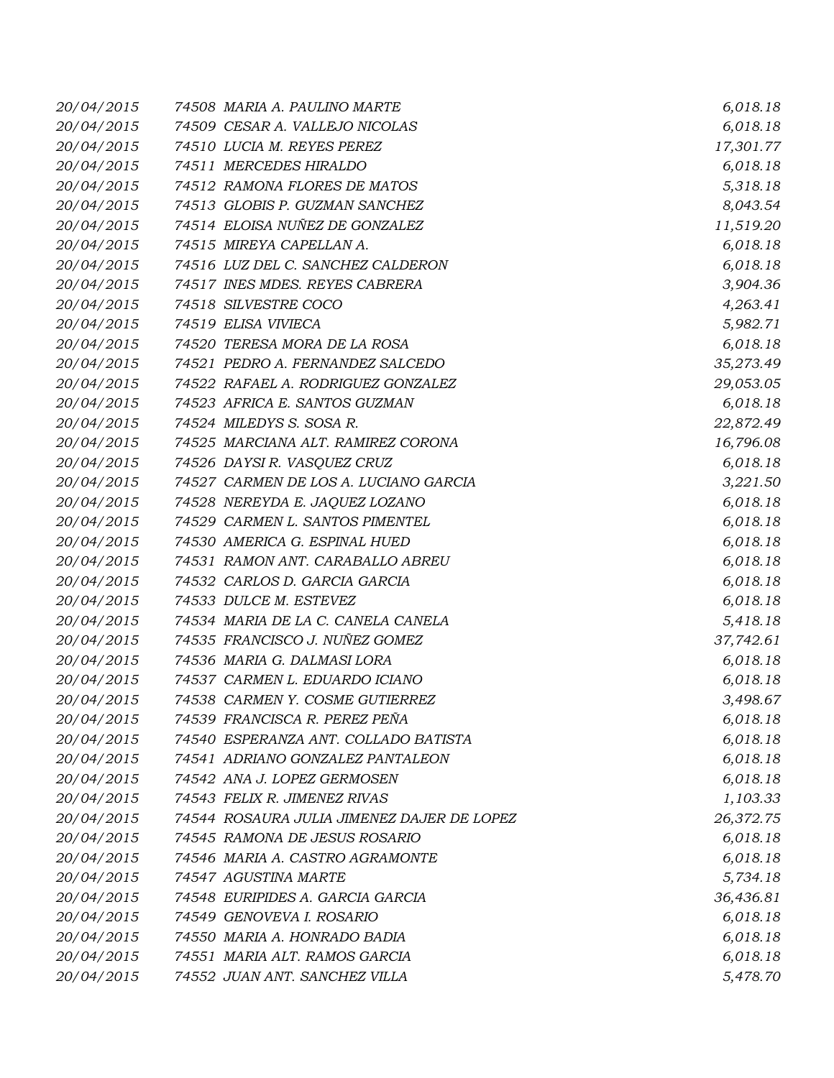| 20/04/2015 | 74508 MARIA A. PAULINO MARTE               | 6,018.18  |
|------------|--------------------------------------------|-----------|
| 20/04/2015 | 74509 CESAR A. VALLEJO NICOLAS             | 6,018.18  |
| 20/04/2015 | 74510 LUCIA M. REYES PEREZ                 | 17,301.77 |
| 20/04/2015 | 74511 MERCEDES HIRALDO                     | 6,018.18  |
| 20/04/2015 | 74512 RAMONA FLORES DE MATOS               | 5,318.18  |
| 20/04/2015 | 74513 GLOBIS P. GUZMAN SANCHEZ             | 8,043.54  |
| 20/04/2015 | 74514 ELOISA NUÑEZ DE GONZALEZ             | 11,519.20 |
| 20/04/2015 | 74515 MIREYA CAPELLAN A.                   | 6,018.18  |
| 20/04/2015 | 74516 LUZ DEL C. SANCHEZ CALDERON          | 6,018.18  |
| 20/04/2015 | 74517 INES MDES. REYES CABRERA             | 3,904.36  |
| 20/04/2015 | 74518 SILVESTRE COCO                       | 4,263.41  |
| 20/04/2015 | 74519 ELISA VIVIECA                        | 5,982.71  |
| 20/04/2015 | 74520 TERESA MORA DE LA ROSA               | 6,018.18  |
| 20/04/2015 | 74521 PEDRO A. FERNANDEZ SALCEDO           | 35,273.49 |
| 20/04/2015 | 74522 RAFAEL A. RODRIGUEZ GONZALEZ         | 29,053.05 |
| 20/04/2015 | 74523 AFRICA E. SANTOS GUZMAN              | 6,018.18  |
| 20/04/2015 | 74524 MILEDYS S. SOSA R.                   | 22,872.49 |
| 20/04/2015 | 74525 MARCIANA ALT. RAMIREZ CORONA         | 16,796.08 |
| 20/04/2015 | 74526 DAYSI R. VASQUEZ CRUZ                | 6,018.18  |
| 20/04/2015 | 74527 CARMEN DE LOS A. LUCIANO GARCIA      | 3,221.50  |
| 20/04/2015 | 74528 NEREYDA E. JAQUEZ LOZANO             | 6,018.18  |
| 20/04/2015 | 74529 CARMEN L. SANTOS PIMENTEL            | 6,018.18  |
| 20/04/2015 | 74530 AMERICA G. ESPINAL HUED              | 6,018.18  |
| 20/04/2015 | 74531 RAMON ANT. CARABALLO ABREU           | 6,018.18  |
| 20/04/2015 | 74532 CARLOS D. GARCIA GARCIA              | 6,018.18  |
| 20/04/2015 | 74533 DULCE M. ESTEVEZ                     | 6,018.18  |
| 20/04/2015 | 74534 MARIA DE LA C. CANELA CANELA         | 5,418.18  |
| 20/04/2015 | 74535 FRANCISCO J. NUÑEZ GOMEZ             | 37,742.61 |
| 20/04/2015 | 74536 MARIA G. DALMASI LORA                | 6,018.18  |
| 20/04/2015 | 74537 CARMEN L. EDUARDO ICIANO             | 6,018.18  |
| 20/04/2015 | 74538 CARMEN Y. COSME GUTIERREZ            | 3,498.67  |
| 20/04/2015 | 74539 FRANCISCA R. PEREZ PEÑA              | 6,018.18  |
| 20/04/2015 | 74540 ESPERANZA ANT. COLLADO BATISTA       | 6,018.18  |
| 20/04/2015 | 74541 ADRIANO GONZALEZ PANTALEON           | 6,018.18  |
| 20/04/2015 | 74542 ANA J. LOPEZ GERMOSEN                | 6,018.18  |
| 20/04/2015 | 74543 FELIX R. JIMENEZ RIVAS               | 1,103.33  |
| 20/04/2015 | 74544 ROSAURA JULIA JIMENEZ DAJER DE LOPEZ | 26,372.75 |
| 20/04/2015 | 74545 RAMONA DE JESUS ROSARIO              | 6,018.18  |
| 20/04/2015 | 74546 MARIA A. CASTRO AGRAMONTE            | 6,018.18  |
| 20/04/2015 | 74547 AGUSTINA MARTE                       | 5,734.18  |
| 20/04/2015 | 74548 EURIPIDES A. GARCIA GARCIA           | 36,436.81 |
| 20/04/2015 | 74549 GENOVEVA I. ROSARIO                  | 6,018.18  |
| 20/04/2015 | 74550 MARIA A. HONRADO BADIA               | 6,018.18  |
| 20/04/2015 | 74551 MARIA ALT. RAMOS GARCIA              | 6,018.18  |
| 20/04/2015 | 74552 JUAN ANT. SANCHEZ VILLA              | 5,478.70  |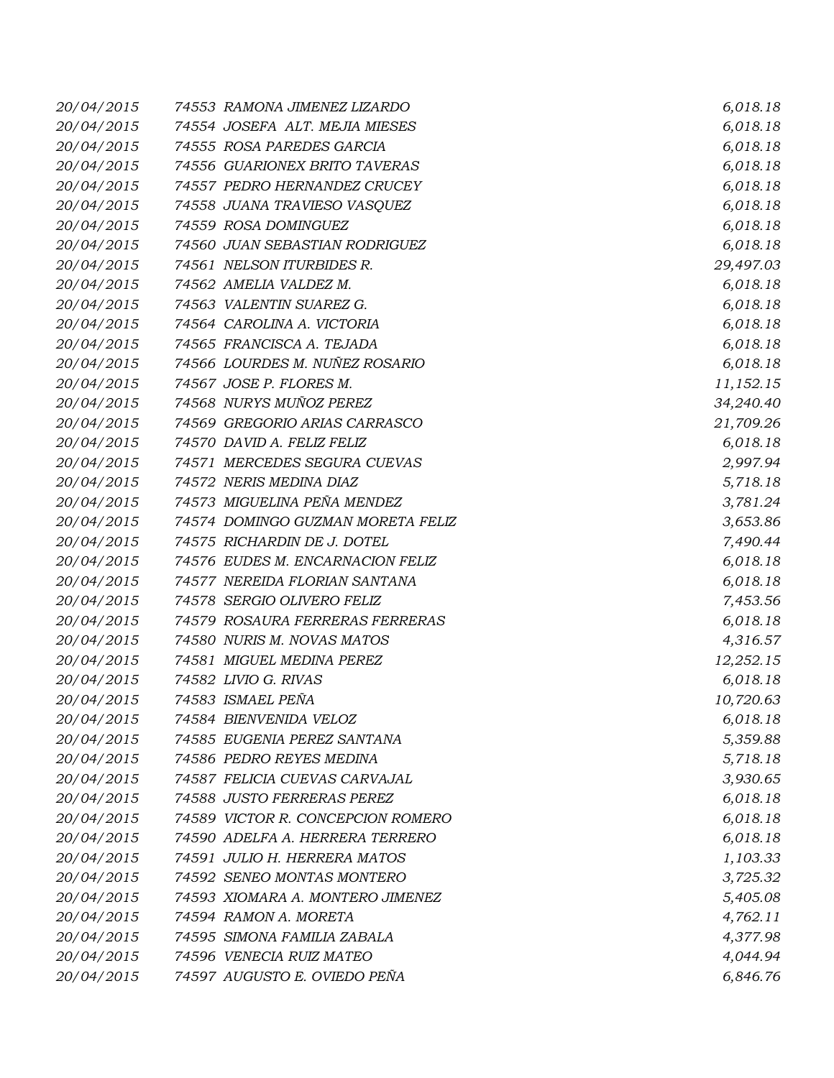| 20/04/2015 | 74553 RAMONA JIMENEZ LIZARDO      | 6,018.18  |
|------------|-----------------------------------|-----------|
| 20/04/2015 | 74554 JOSEFA ALT. MEJIA MIESES    | 6,018.18  |
| 20/04/2015 | 74555 ROSA PAREDES GARCIA         | 6,018.18  |
| 20/04/2015 | 74556 GUARIONEX BRITO TAVERAS     | 6,018.18  |
| 20/04/2015 | 74557 PEDRO HERNANDEZ CRUCEY      | 6,018.18  |
| 20/04/2015 | 74558 JUANA TRAVIESO VASQUEZ      | 6,018.18  |
| 20/04/2015 | 74559 ROSA DOMINGUEZ              | 6,018.18  |
| 20/04/2015 | 74560 JUAN SEBASTIAN RODRIGUEZ    | 6,018.18  |
| 20/04/2015 | 74561 NELSON ITURBIDES R.         | 29,497.03 |
| 20/04/2015 | 74562 AMELIA VALDEZ M.            | 6,018.18  |
| 20/04/2015 | 74563 VALENTIN SUAREZ G.          | 6,018.18  |
| 20/04/2015 | 74564 CAROLINA A. VICTORIA        | 6,018.18  |
| 20/04/2015 | 74565 FRANCISCA A. TEJADA         | 6,018.18  |
| 20/04/2015 | 74566 LOURDES M. NUÑEZ ROSARIO    | 6,018.18  |
| 20/04/2015 | 74567 JOSE P. FLORES M.           | 11,152.15 |
| 20/04/2015 | 74568 NURYS MUÑOZ PEREZ           | 34,240.40 |
| 20/04/2015 | 74569 GREGORIO ARIAS CARRASCO     | 21,709.26 |
| 20/04/2015 | 74570 DAVID A. FELIZ FELIZ        | 6,018.18  |
| 20/04/2015 | 74571 MERCEDES SEGURA CUEVAS      | 2,997.94  |
| 20/04/2015 | 74572 NERIS MEDINA DIAZ           | 5,718.18  |
| 20/04/2015 | 74573 MIGUELINA PEÑA MENDEZ       | 3,781.24  |
| 20/04/2015 | 74574 DOMINGO GUZMAN MORETA FELIZ | 3,653.86  |
| 20/04/2015 | 74575 RICHARDIN DE J. DOTEL       | 7,490.44  |
| 20/04/2015 | 74576 EUDES M. ENCARNACION FELIZ  | 6,018.18  |
| 20/04/2015 | 74577 NEREIDA FLORIAN SANTANA     | 6,018.18  |
| 20/04/2015 | 74578 SERGIO OLIVERO FELIZ        | 7,453.56  |
| 20/04/2015 | 74579 ROSAURA FERRERAS FERRERAS   | 6,018.18  |
| 20/04/2015 | 74580 NURIS M. NOVAS MATOS        | 4,316.57  |
| 20/04/2015 | 74581 MIGUEL MEDINA PEREZ         | 12,252.15 |
| 20/04/2015 | 74582 LIVIO G. RIVAS              | 6,018.18  |
| 20/04/2015 | 74583 ISMAEL PEÑA                 | 10,720.63 |
| 20/04/2015 | 74584 BIENVENIDA VELOZ            | 6,018.18  |
| 20/04/2015 | 74585 EUGENIA PEREZ SANTANA       | 5,359.88  |
| 20/04/2015 | 74586 PEDRO REYES MEDINA          | 5,718.18  |
| 20/04/2015 | 74587 FELICIA CUEVAS CARVAJAL     | 3,930.65  |
| 20/04/2015 | 74588 JUSTO FERRERAS PEREZ        | 6,018.18  |
| 20/04/2015 | 74589 VICTOR R. CONCEPCION ROMERO | 6,018.18  |
| 20/04/2015 | 74590 ADELFA A. HERRERA TERRERO   | 6,018.18  |
| 20/04/2015 | 74591 JULIO H. HERRERA MATOS      | 1,103.33  |
| 20/04/2015 | 74592 SENEO MONTAS MONTERO        | 3,725.32  |
| 20/04/2015 | 74593 XIOMARA A. MONTERO JIMENEZ  | 5,405.08  |
| 20/04/2015 | 74594 RAMON A. MORETA             | 4,762.11  |
| 20/04/2015 | 74595 SIMONA FAMILIA ZABALA       | 4,377.98  |
| 20/04/2015 | 74596 VENECIA RUIZ MATEO          | 4,044.94  |
| 20/04/2015 | 74597 AUGUSTO E. OVIEDO PEÑA      | 6,846.76  |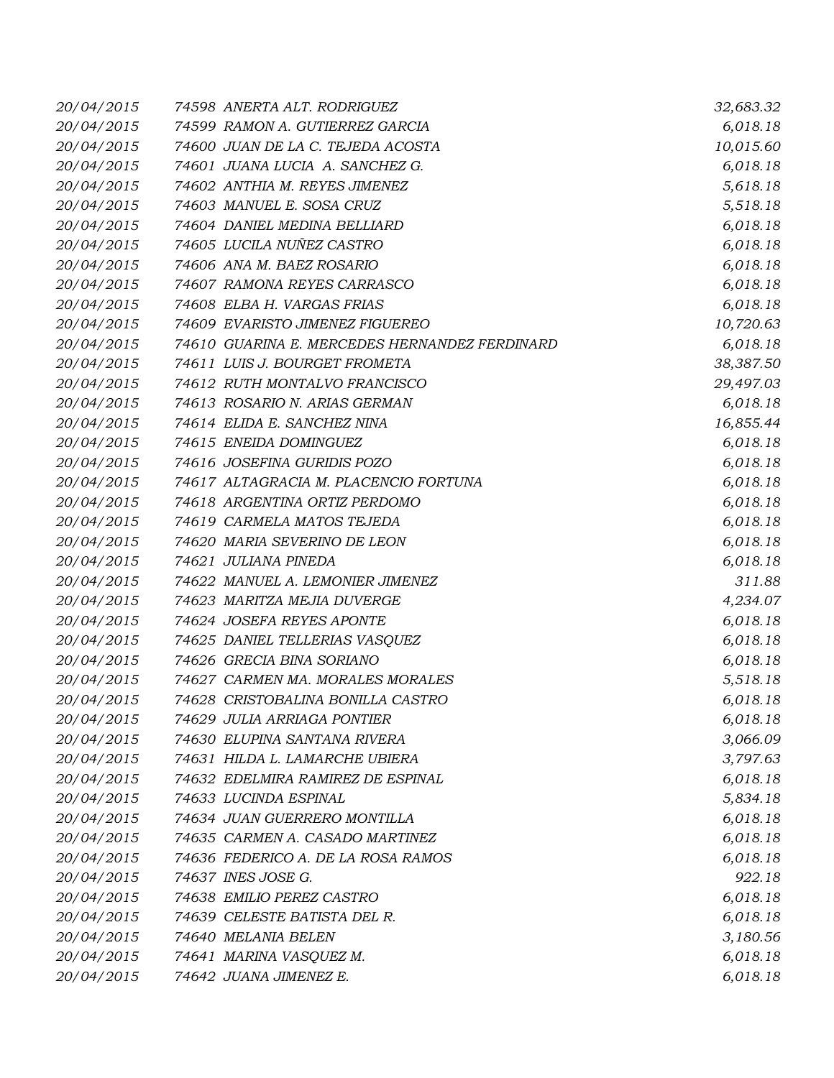| 20/04/2015 | 74598 ANERTA ALT. RODRIGUEZ                   | 32,683.32 |
|------------|-----------------------------------------------|-----------|
| 20/04/2015 | 74599 RAMON A. GUTIERREZ GARCIA               | 6,018.18  |
| 20/04/2015 | 74600 JUAN DE LA C. TEJEDA ACOSTA             | 10,015.60 |
| 20/04/2015 | 74601 JUANA LUCIA A. SANCHEZ G.               | 6,018.18  |
| 20/04/2015 | 74602 ANTHIA M. REYES JIMENEZ                 | 5,618.18  |
| 20/04/2015 | 74603 MANUEL E. SOSA CRUZ                     | 5,518.18  |
| 20/04/2015 | 74604 DANIEL MEDINA BELLIARD                  | 6,018.18  |
| 20/04/2015 | 74605 LUCILA NUÑEZ CASTRO                     | 6,018.18  |
| 20/04/2015 | 74606 ANA M. BAEZ ROSARIO                     | 6,018.18  |
| 20/04/2015 | 74607 RAMONA REYES CARRASCO                   | 6,018.18  |
| 20/04/2015 | 74608 ELBA H. VARGAS FRIAS                    | 6,018.18  |
| 20/04/2015 | 74609 EVARISTO JIMENEZ FIGUEREO               | 10,720.63 |
| 20/04/2015 | 74610 GUARINA E. MERCEDES HERNANDEZ FERDINARD | 6,018.18  |
| 20/04/2015 | 74611 LUIS J. BOURGET FROMETA                 | 38,387.50 |
| 20/04/2015 | 74612 RUTH MONTALVO FRANCISCO                 | 29,497.03 |
| 20/04/2015 | 74613 ROSARIO N. ARIAS GERMAN                 | 6,018.18  |
| 20/04/2015 | 74614 ELIDA E. SANCHEZ NINA                   | 16,855.44 |
| 20/04/2015 | 74615 ENEIDA DOMINGUEZ                        | 6,018.18  |
| 20/04/2015 | 74616 JOSEFINA GURIDIS POZO                   | 6,018.18  |
| 20/04/2015 | 74617 ALTAGRACIA M. PLACENCIO FORTUNA         | 6,018.18  |
| 20/04/2015 | 74618 ARGENTINA ORTIZ PERDOMO                 | 6,018.18  |
| 20/04/2015 | 74619 CARMELA MATOS TEJEDA                    | 6,018.18  |
| 20/04/2015 | 74620 MARIA SEVERINO DE LEON                  | 6,018.18  |
| 20/04/2015 | 74621 JULIANA PINEDA                          | 6,018.18  |
| 20/04/2015 | 74622 MANUEL A. LEMONIER JIMENEZ              | 311.88    |
| 20/04/2015 | 74623 MARITZA MEJIA DUVERGE                   | 4,234.07  |
| 20/04/2015 | 74624 JOSEFA REYES APONTE                     | 6,018.18  |
| 20/04/2015 | 74625 DANIEL TELLERIAS VASQUEZ                | 6,018.18  |
| 20/04/2015 | 74626 GRECIA BINA SORIANO                     | 6,018.18  |
| 20/04/2015 | 74627 CARMEN MA. MORALES MORALES              | 5,518.18  |
| 20/04/2015 | 74628 CRISTOBALINA BONILLA CASTRO             | 6,018.18  |
| 20/04/2015 | 74629 JULIA ARRIAGA PONTIER                   | 6,018.18  |
| 20/04/2015 | 74630 ELUPINA SANTANA RIVERA                  | 3,066.09  |
| 20/04/2015 | 74631 HILDA L. LAMARCHE UBIERA                | 3,797.63  |
| 20/04/2015 | 74632 EDELMIRA RAMIREZ DE ESPINAL             | 6,018.18  |
| 20/04/2015 | 74633 LUCINDA ESPINAL                         | 5,834.18  |
| 20/04/2015 | 74634 JUAN GUERRERO MONTILLA                  | 6,018.18  |
| 20/04/2015 | 74635 CARMEN A. CASADO MARTINEZ               | 6,018.18  |
| 20/04/2015 | 74636 FEDERICO A. DE LA ROSA RAMOS            | 6,018.18  |
| 20/04/2015 | 74637 INES JOSE G.                            | 922.18    |
| 20/04/2015 | 74638 EMILIO PEREZ CASTRO                     | 6,018.18  |
| 20/04/2015 | 74639 CELESTE BATISTA DEL R.                  | 6,018.18  |
| 20/04/2015 | 74640 MELANIA BELEN                           | 3,180.56  |
| 20/04/2015 | 74641 MARINA VASQUEZ M.                       | 6,018.18  |
| 20/04/2015 | 74642 JUANA JIMENEZ E.                        | 6,018.18  |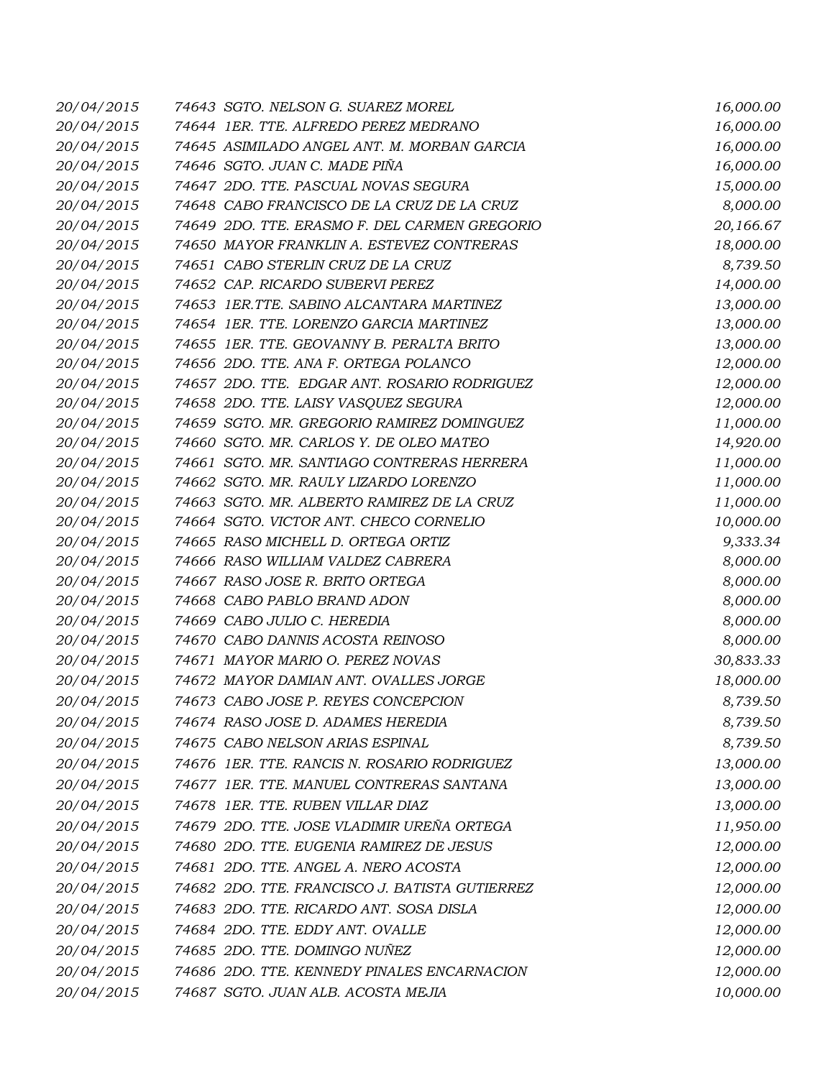| 20/04/2015 | 74643 SGTO. NELSON G. SUAREZ MOREL             | 16,000.00 |
|------------|------------------------------------------------|-----------|
| 20/04/2015 | 74644 1ER. TTE. ALFREDO PEREZ MEDRANO          | 16,000.00 |
| 20/04/2015 | 74645 ASIMILADO ANGEL ANT. M. MORBAN GARCIA    | 16,000.00 |
| 20/04/2015 | 74646 SGTO. JUAN C. MADE PIÑA                  | 16,000.00 |
| 20/04/2015 | 74647 2DO. TTE. PASCUAL NOVAS SEGURA           | 15,000.00 |
| 20/04/2015 | 74648 CABO FRANCISCO DE LA CRUZ DE LA CRUZ     | 8,000.00  |
| 20/04/2015 | 74649 2DO. TTE. ERASMO F. DEL CARMEN GREGORIO  | 20,166.67 |
| 20/04/2015 | 74650 MAYOR FRANKLIN A. ESTEVEZ CONTRERAS      | 18,000.00 |
| 20/04/2015 | 74651 CABO STERLIN CRUZ DE LA CRUZ             | 8,739.50  |
| 20/04/2015 | 74652 CAP. RICARDO SUBERVI PEREZ               | 14,000.00 |
| 20/04/2015 | 74653 IER.TTE. SABINO ALCANTARA MARTINEZ       | 13,000.00 |
| 20/04/2015 | 74654 1ER. TTE. LORENZO GARCIA MARTINEZ        | 13,000.00 |
| 20/04/2015 | 74655 1ER. TTE. GEOVANNY B. PERALTA BRITO      | 13,000.00 |
| 20/04/2015 | 74656 2DO. TTE. ANA F. ORTEGA POLANCO          | 12,000.00 |
| 20/04/2015 | 74657 2DO. TTE. EDGAR ANT. ROSARIO RODRIGUEZ   | 12,000.00 |
| 20/04/2015 | 74658 2DO. TTE. LAISY VASQUEZ SEGURA           | 12,000.00 |
| 20/04/2015 | 74659 SGTO. MR. GREGORIO RAMIREZ DOMINGUEZ     | 11,000.00 |
| 20/04/2015 | 74660 SGTO. MR. CARLOS Y. DE OLEO MATEO        | 14,920.00 |
| 20/04/2015 | 74661 SGTO. MR. SANTIAGO CONTRERAS HERRERA     | 11,000.00 |
| 20/04/2015 | 74662 SGTO. MR. RAULY LIZARDO LORENZO          | 11,000.00 |
| 20/04/2015 | 74663 SGTO. MR. ALBERTO RAMIREZ DE LA CRUZ     | 11,000.00 |
| 20/04/2015 | 74664 SGTO. VICTOR ANT. CHECO CORNELIO         | 10,000.00 |
| 20/04/2015 | 74665 RASO MICHELL D. ORTEGA ORTIZ             | 9,333.34  |
| 20/04/2015 | 74666 RASO WILLIAM VALDEZ CABRERA              | 8,000.00  |
| 20/04/2015 | 74667 RASO JOSE R. BRITO ORTEGA                | 8,000.00  |
| 20/04/2015 | 74668 CABO PABLO BRAND ADON                    | 8,000.00  |
| 20/04/2015 | 74669 CABO JULIO C. HEREDIA                    | 8,000.00  |
| 20/04/2015 | 74670 CABO DANNIS ACOSTA REINOSO               | 8,000.00  |
| 20/04/2015 | 74671 MAYOR MARIO O. PEREZ NOVAS               | 30,833.33 |
| 20/04/2015 | 74672 MAYOR DAMIAN ANT. OVALLES JORGE          | 18,000.00 |
| 20/04/2015 | 74673 CABO JOSE P. REYES CONCEPCION            | 8,739.50  |
| 20/04/2015 | 74674 RASO JOSE D. ADAMES HEREDIA              | 8,739.50  |
| 20/04/2015 | 74675 CABO NELSON ARIAS ESPINAL                | 8,739.50  |
| 20/04/2015 | 74676 1ER. TTE. RANCIS N. ROSARIO RODRIGUEZ    | 13,000.00 |
| 20/04/2015 | 74677 1ER. TTE. MANUEL CONTRERAS SANTANA       | 13,000.00 |
| 20/04/2015 | 74678 1ER. TTE. RUBEN VILLAR DIAZ              | 13,000.00 |
| 20/04/2015 | 74679 2DO. TTE. JOSE VLADIMIR UREÑA ORTEGA     | 11,950.00 |
| 20/04/2015 | 74680 2DO. TTE. EUGENIA RAMIREZ DE JESUS       | 12,000.00 |
| 20/04/2015 | 74681 2DO. TTE. ANGEL A. NERO ACOSTA           | 12,000.00 |
| 20/04/2015 | 74682 2DO. TTE. FRANCISCO J. BATISTA GUTIERREZ | 12,000.00 |
| 20/04/2015 | 74683 2DO. TTE. RICARDO ANT. SOSA DISLA        | 12,000.00 |
| 20/04/2015 | 74684 2DO. TTE. EDDY ANT. OVALLE               | 12,000.00 |
| 20/04/2015 | 74685 2DO. TTE. DOMINGO NUÑEZ                  | 12,000.00 |
| 20/04/2015 | 74686 2DO. TTE. KENNEDY PINALES ENCARNACION    |           |
|            |                                                | 12,000.00 |
| 20/04/2015 | 74687 SGTO. JUAN ALB. ACOSTA MEJIA             | 10,000.00 |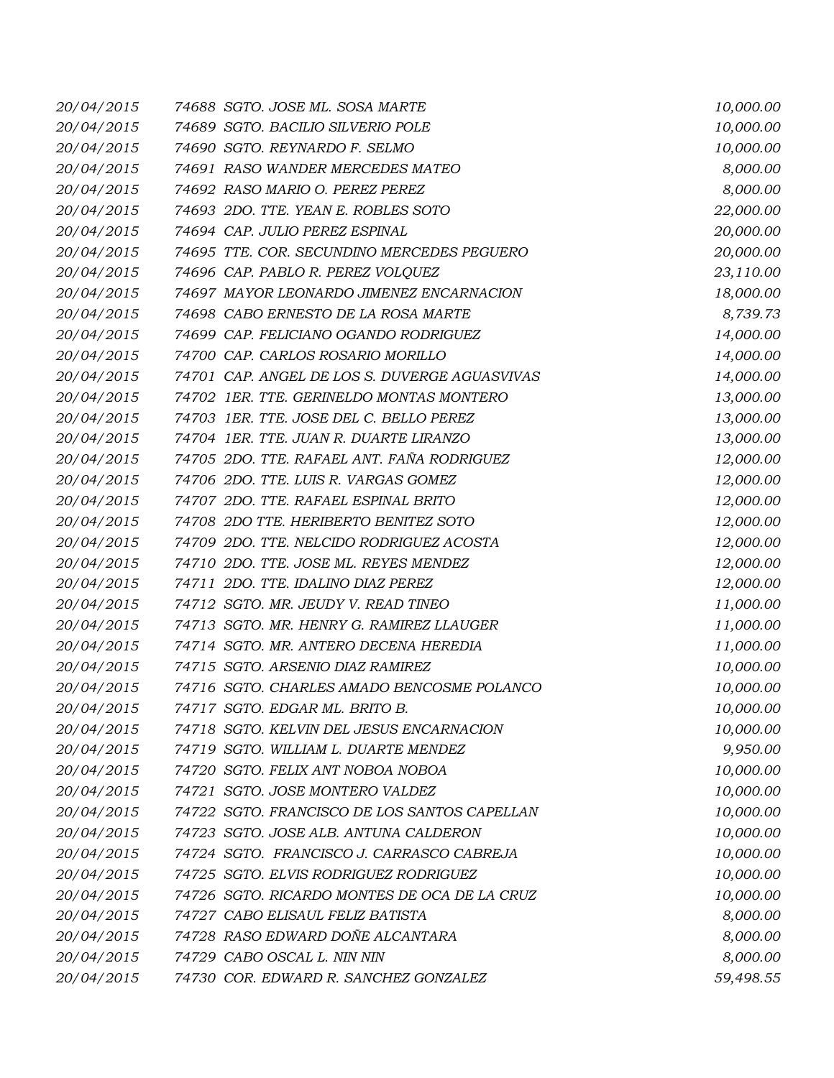| 20/04/2015 | 74688 SGTO. JOSE ML. SOSA MARTE               | 10,000.00 |
|------------|-----------------------------------------------|-----------|
| 20/04/2015 | 74689 SGTO. BACILIO SILVERIO POLE             | 10,000.00 |
| 20/04/2015 | 74690 SGTO. REYNARDO F. SELMO                 | 10,000.00 |
| 20/04/2015 | 74691 RASO WANDER MERCEDES MATEO              | 8,000.00  |
| 20/04/2015 | 74692 RASO MARIO O. PEREZ PEREZ               | 8,000.00  |
| 20/04/2015 | 74693 2DO. TTE. YEAN E. ROBLES SOTO           | 22,000.00 |
| 20/04/2015 | 74694 CAP. JULIO PEREZ ESPINAL                | 20,000.00 |
| 20/04/2015 | 74695 TTE. COR. SECUNDINO MERCEDES PEGUERO    | 20,000.00 |
| 20/04/2015 | 74696 CAP. PABLO R. PEREZ VOLQUEZ             | 23,110.00 |
| 20/04/2015 | 74697 MAYOR LEONARDO JIMENEZ ENCARNACION      | 18,000.00 |
| 20/04/2015 | 74698 CABO ERNESTO DE LA ROSA MARTE           | 8,739.73  |
| 20/04/2015 | 74699 CAP. FELICIANO OGANDO RODRIGUEZ         | 14,000.00 |
| 20/04/2015 | 74700 CAP. CARLOS ROSARIO MORILLO             | 14,000.00 |
| 20/04/2015 | 74701 CAP. ANGEL DE LOS S. DUVERGE AGUASVIVAS | 14,000.00 |
| 20/04/2015 | 74702 1ER. TTE. GERINELDO MONTAS MONTERO      | 13,000.00 |
| 20/04/2015 | 74703 1ER. TTE. JOSE DEL C. BELLO PEREZ       | 13,000.00 |
| 20/04/2015 | 74704 1ER. TTE. JUAN R. DUARTE LIRANZO        | 13,000.00 |
| 20/04/2015 | 74705 2DO. TTE. RAFAEL ANT. FAÑA RODRIGUEZ    | 12,000.00 |
| 20/04/2015 | 74706 2DO. TTE. LUIS R. VARGAS GOMEZ          | 12,000.00 |
| 20/04/2015 | 74707 2DO. TTE. RAFAEL ESPINAL BRITO          | 12,000.00 |
| 20/04/2015 | 74708 2DO TTE. HERIBERTO BENITEZ SOTO         | 12,000.00 |
| 20/04/2015 | 74709 2DO. TTE. NELCIDO RODRIGUEZ ACOSTA      | 12,000.00 |
| 20/04/2015 | 74710 2DO. TTE. JOSE ML. REYES MENDEZ         | 12,000.00 |
| 20/04/2015 | 74711 2DO. TTE. IDALINO DIAZ PEREZ            | 12,000.00 |
| 20/04/2015 | 74712 SGTO. MR. JEUDY V. READ TINEO           | 11,000.00 |
| 20/04/2015 | 74713 SGTO. MR. HENRY G. RAMIREZ LLAUGER      | 11,000.00 |
| 20/04/2015 | 74714 SGTO. MR. ANTERO DECENA HEREDIA         | 11,000.00 |
| 20/04/2015 | 74715 SGTO. ARSENIO DIAZ RAMIREZ              | 10,000.00 |
| 20/04/2015 | 74716 SGTO. CHARLES AMADO BENCOSME POLANCO    | 10,000.00 |
| 20/04/2015 | 74717 SGTO. EDGAR ML. BRITO B.                | 10,000.00 |
| 20/04/2015 | 74718 SGTO. KELVIN DEL JESUS ENCARNACION      | 10,000.00 |
| 20/04/2015 | 74719 SGTO. WILLIAM L. DUARTE MENDEZ          | 9,950.00  |
| 20/04/2015 | 74720 SGTO. FELIX ANT NOBOA NOBOA             | 10,000.00 |
| 20/04/2015 | 74721 SGTO. JOSE MONTERO VALDEZ               | 10,000.00 |
| 20/04/2015 | 74722 SGTO. FRANCISCO DE LOS SANTOS CAPELLAN  | 10,000.00 |
| 20/04/2015 | 74723 SGTO. JOSE ALB. ANTUNA CALDERON         | 10,000.00 |
| 20/04/2015 | 74724 SGTO. FRANCISCO J. CARRASCO CABREJA     | 10,000.00 |
| 20/04/2015 | 74725 SGTO. ELVIS RODRIGUEZ RODRIGUEZ         | 10,000.00 |
| 20/04/2015 | 74726 SGTO. RICARDO MONTES DE OCA DE LA CRUZ  | 10,000.00 |
| 20/04/2015 | 74727 CABO ELISAUL FELIZ BATISTA              | 8,000.00  |
| 20/04/2015 | 74728 RASO EDWARD DOÑE ALCANTARA              | 8,000.00  |
| 20/04/2015 | 74729 CABO OSCAL L. NIN NIN                   | 8,000.00  |
| 20/04/2015 | 74730 COR. EDWARD R. SANCHEZ GONZALEZ         | 59,498.55 |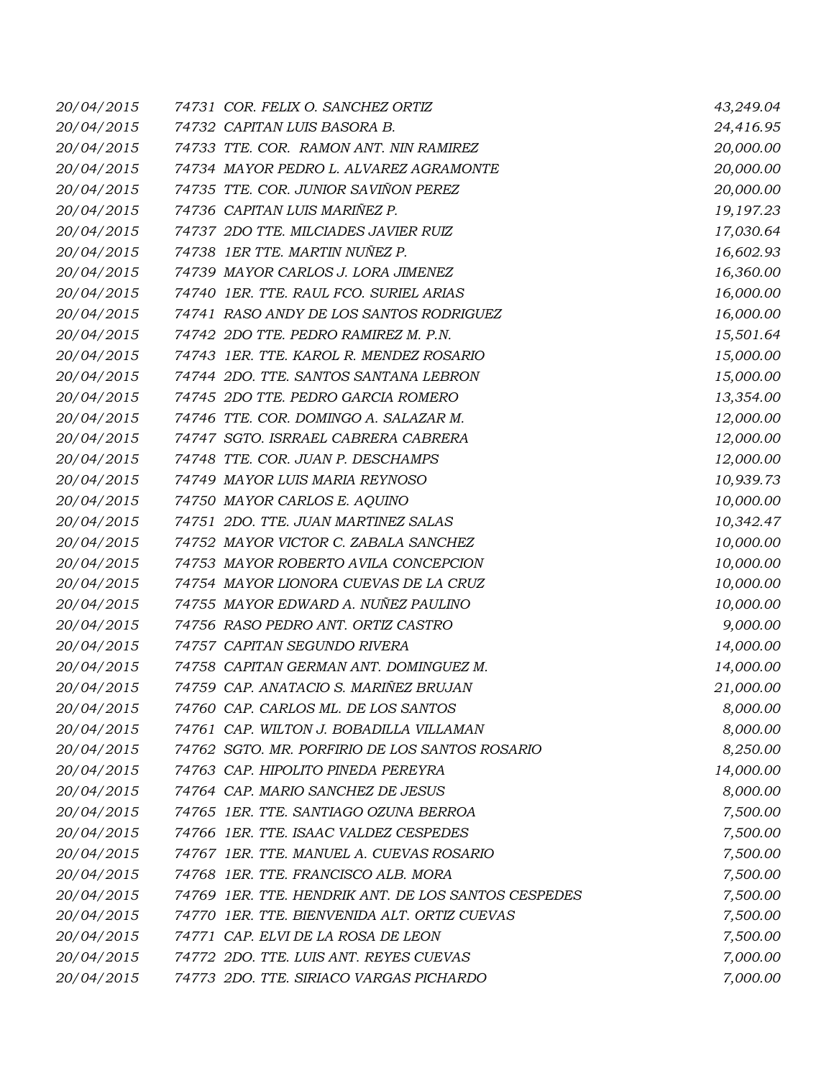| 20/04/2015 | 74731 COR. FELIX O. SANCHEZ ORTIZ                   | 43,249.04 |
|------------|-----------------------------------------------------|-----------|
| 20/04/2015 | 74732 CAPITAN LUIS BASORA B.                        | 24,416.95 |
| 20/04/2015 | 74733 TTE. COR. RAMON ANT. NIN RAMIREZ              | 20,000.00 |
| 20/04/2015 | 74734 MAYOR PEDRO L. ALVAREZ AGRAMONTE              | 20,000.00 |
| 20/04/2015 | 74735 TTE. COR. JUNIOR SAVIÑON PEREZ                | 20,000.00 |
| 20/04/2015 | 74736 CAPITAN LUIS MARIÑEZ P.                       | 19,197.23 |
| 20/04/2015 | 74737 2DO TTE. MILCIADES JAVIER RUIZ                | 17,030.64 |
| 20/04/2015 | 74738 IER TTE. MARTIN NUÑEZ P.                      | 16,602.93 |
| 20/04/2015 | 74739 MAYOR CARLOS J. LORA JIMENEZ                  | 16,360.00 |
| 20/04/2015 | 74740 IER. TTE. RAUL FCO. SURIEL ARIAS              | 16,000.00 |
| 20/04/2015 | 74741 RASO ANDY DE LOS SANTOS RODRIGUEZ             | 16,000.00 |
| 20/04/2015 | 74742 2DO TTE. PEDRO RAMIREZ M. P.N.                | 15,501.64 |
| 20/04/2015 | 74743 1ER. TTE. KAROL R. MENDEZ ROSARIO             | 15,000.00 |
| 20/04/2015 | 74744 2DO. TTE. SANTOS SANTANA LEBRON               | 15,000.00 |
| 20/04/2015 | 74745 2DO TTE. PEDRO GARCIA ROMERO                  | 13,354.00 |
| 20/04/2015 | 74746 TTE. COR. DOMINGO A. SALAZAR M.               | 12,000.00 |
| 20/04/2015 | 74747 SGTO. ISRRAEL CABRERA CABRERA                 | 12,000.00 |
| 20/04/2015 | 74748 TTE. COR. JUAN P. DESCHAMPS                   | 12,000.00 |
| 20/04/2015 | 74749 MAYOR LUIS MARIA REYNOSO                      | 10,939.73 |
| 20/04/2015 | 74750 MAYOR CARLOS E. AQUINO                        | 10,000.00 |
| 20/04/2015 | 74751 2DO. TTE. JUAN MARTINEZ SALAS                 | 10,342.47 |
| 20/04/2015 | 74752 MAYOR VICTOR C. ZABALA SANCHEZ                | 10,000.00 |
| 20/04/2015 | 74753 MAYOR ROBERTO AVILA CONCEPCION                | 10,000.00 |
| 20/04/2015 | 74754 MAYOR LIONORA CUEVAS DE LA CRUZ               | 10,000.00 |
| 20/04/2015 | 74755 MAYOR EDWARD A. NUÑEZ PAULINO                 | 10,000.00 |
| 20/04/2015 | 74756 RASO PEDRO ANT. ORTIZ CASTRO                  | 9,000.00  |
| 20/04/2015 | 74757 CAPITAN SEGUNDO RIVERA                        | 14,000.00 |
| 20/04/2015 | 74758 CAPITAN GERMAN ANT. DOMINGUEZ M.              | 14,000.00 |
| 20/04/2015 | 74759 CAP. ANATACIO S. MARIÑEZ BRUJAN               | 21,000.00 |
| 20/04/2015 | 74760 CAP. CARLOS ML. DE LOS SANTOS                 | 8,000.00  |
| 20/04/2015 | 74761 CAP. WILTON J. BOBADILLA VILLAMAN             | 8,000.00  |
| 20/04/2015 | 74762 SGTO. MR. PORFIRIO DE LOS SANTOS ROSARIO      | 8,250.00  |
| 20/04/2015 | 74763 CAP. HIPOLITO PINEDA PEREYRA                  | 14,000.00 |
| 20/04/2015 | 74764 CAP. MARIO SANCHEZ DE JESUS                   | 8,000.00  |
| 20/04/2015 | 74765 1ER. TTE. SANTIAGO OZUNA BERROA               | 7,500.00  |
| 20/04/2015 | 74766 1ER. TTE. ISAAC VALDEZ CESPEDES               | 7,500.00  |
| 20/04/2015 | 74767 1ER. TTE. MANUEL A. CUEVAS ROSARIO            | 7,500.00  |
| 20/04/2015 | 74768 1ER. TTE. FRANCISCO ALB. MORA                 | 7,500.00  |
| 20/04/2015 | 74769 1ER. TTE. HENDRIK ANT. DE LOS SANTOS CESPEDES | 7,500.00  |
| 20/04/2015 | 74770 IER. TTE. BIENVENIDA ALT. ORTIZ CUEVAS        | 7,500.00  |
| 20/04/2015 | 74771 CAP. ELVI DE LA ROSA DE LEON                  | 7,500.00  |
| 20/04/2015 | 74772 2DO. TTE. LUIS ANT. REYES CUEVAS              | 7,000.00  |
| 20/04/2015 | 74773 2DO. TTE. SIRIACO VARGAS PICHARDO             | 7,000.00  |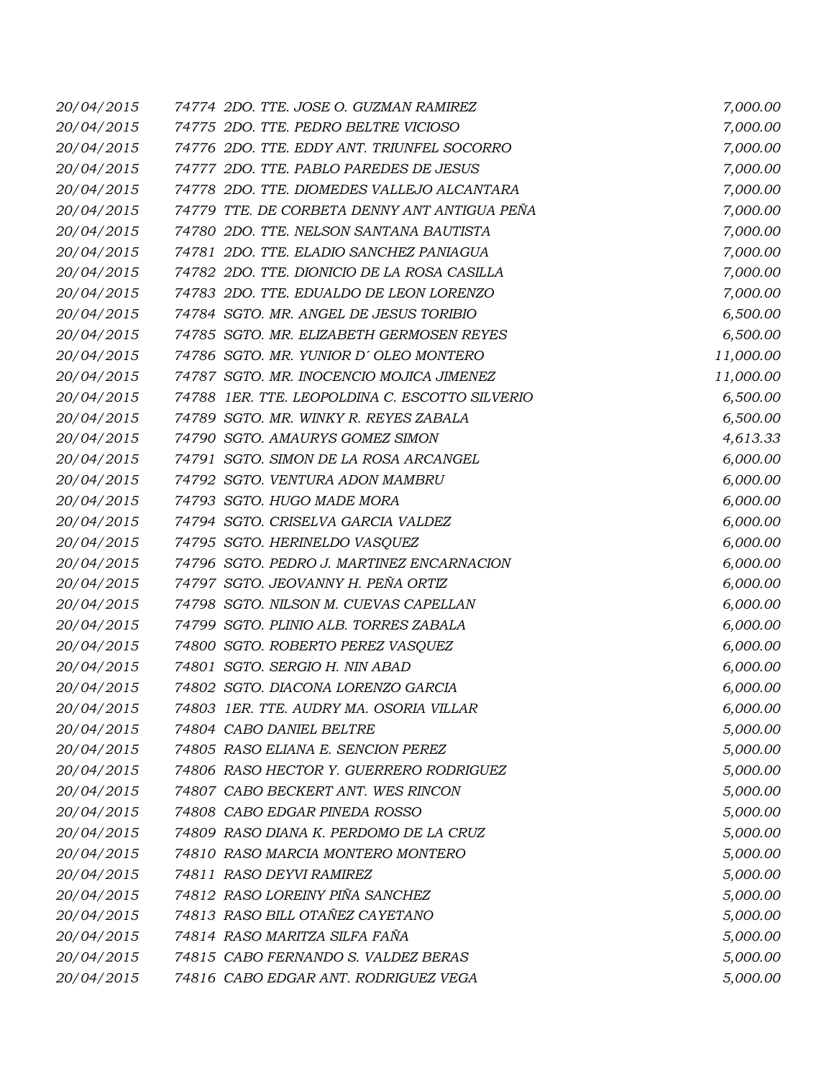| 20/04/2015 | 74774 2DO. TTE. JOSE O. GUZMAN RAMIREZ         | 7,000.00  |
|------------|------------------------------------------------|-----------|
| 20/04/2015 | 74775 2DO. TTE. PEDRO BELTRE VICIOSO           | 7,000.00  |
| 20/04/2015 | 74776 2DO. TTE. EDDY ANT. TRIUNFEL SOCORRO     | 7,000.00  |
| 20/04/2015 | 74777 2DO. TTE. PABLO PAREDES DE JESUS         | 7,000.00  |
| 20/04/2015 | 74778 2DO. TTE. DIOMEDES VALLEJO ALCANTARA     | 7,000.00  |
| 20/04/2015 | 74779 TTE. DE CORBETA DENNY ANT ANTIGUA PEÑA   | 7,000.00  |
| 20/04/2015 | 74780 2DO. TTE. NELSON SANTANA BAUTISTA        | 7,000.00  |
| 20/04/2015 | 74781 2DO. TTE. ELADIO SANCHEZ PANIAGUA        | 7,000.00  |
| 20/04/2015 | 74782 2DO. TTE. DIONICIO DE LA ROSA CASILLA    | 7,000.00  |
| 20/04/2015 | 74783 2DO. TTE. EDUALDO DE LEON LORENZO        | 7,000.00  |
| 20/04/2015 | 74784 SGTO. MR. ANGEL DE JESUS TORIBIO         | 6,500.00  |
| 20/04/2015 | 74785 SGTO. MR. ELIZABETH GERMOSEN REYES       | 6,500.00  |
| 20/04/2015 | 74786 SGTO. MR. YUNIOR D'OLEO MONTERO          | 11,000.00 |
| 20/04/2015 | 74787 SGTO. MR. INOCENCIO MOJICA JIMENEZ       | 11,000.00 |
| 20/04/2015 | 74788 1ER. TTE. LEOPOLDINA C. ESCOTTO SILVERIO | 6,500.00  |
| 20/04/2015 | 74789 SGTO. MR. WINKY R. REYES ZABALA          | 6,500.00  |
| 20/04/2015 | 74790 SGTO. AMAURYS GOMEZ SIMON                | 4,613.33  |
| 20/04/2015 | 74791 SGTO. SIMON DE LA ROSA ARCANGEL          | 6,000.00  |
| 20/04/2015 | 74792 SGTO. VENTURA ADON MAMBRU                | 6,000.00  |
| 20/04/2015 | 74793 SGTO. HUGO MADE MORA                     | 6,000.00  |
| 20/04/2015 | 74794 SGTO. CRISELVA GARCIA VALDEZ             | 6,000.00  |
| 20/04/2015 | 74795 SGTO. HERINELDO VASQUEZ                  | 6,000.00  |
| 20/04/2015 | 74796 SGTO. PEDRO J. MARTINEZ ENCARNACION      | 6,000.00  |
| 20/04/2015 | 74797 SGTO. JEOVANNY H. PEÑA ORTIZ             | 6,000.00  |
| 20/04/2015 | 74798 SGTO. NILSON M. CUEVAS CAPELLAN          | 6,000.00  |
| 20/04/2015 | 74799 SGTO. PLINIO ALB. TORRES ZABALA          | 6,000.00  |
| 20/04/2015 | 74800 SGTO. ROBERTO PEREZ VASQUEZ              | 6,000.00  |
| 20/04/2015 | 74801 SGTO. SERGIO H. NIN ABAD                 | 6,000.00  |
| 20/04/2015 | 74802 SGTO. DIACONA LORENZO GARCIA             | 6,000.00  |
| 20/04/2015 | 74803 IER. TTE. AUDRY MA. OSORIA VILLAR        | 6,000.00  |
| 20/04/2015 | 74804 CABO DANIEL BELTRE                       | 5,000.00  |
| 20/04/2015 | 74805 RASO ELIANA E. SENCION PEREZ             | 5,000.00  |
| 20/04/2015 | 74806 RASO HECTOR Y. GUERRERO RODRIGUEZ        | 5,000.00  |
| 20/04/2015 | 74807 CABO BECKERT ANT. WES RINCON             | 5,000.00  |
| 20/04/2015 | 74808 CABO EDGAR PINEDA ROSSO                  | 5,000.00  |
| 20/04/2015 | 74809 RASO DIANA K. PERDOMO DE LA CRUZ         | 5,000.00  |
| 20/04/2015 | 74810 RASO MARCIA MONTERO MONTERO              | 5,000.00  |
| 20/04/2015 | 74811 RASO DEYVI RAMIREZ                       | 5,000.00  |
| 20/04/2015 | 74812 RASO LOREINY PIÑA SANCHEZ                | 5,000.00  |
| 20/04/2015 | 74813 RASO BILL OTAÑEZ CAYETANO                | 5,000.00  |
| 20/04/2015 | 74814 RASO MARITZA SILFA FAÑA                  | 5,000.00  |
| 20/04/2015 | 74815 CABO FERNANDO S. VALDEZ BERAS            | 5,000.00  |
| 20/04/2015 | 74816 CABO EDGAR ANT. RODRIGUEZ VEGA           | 5,000.00  |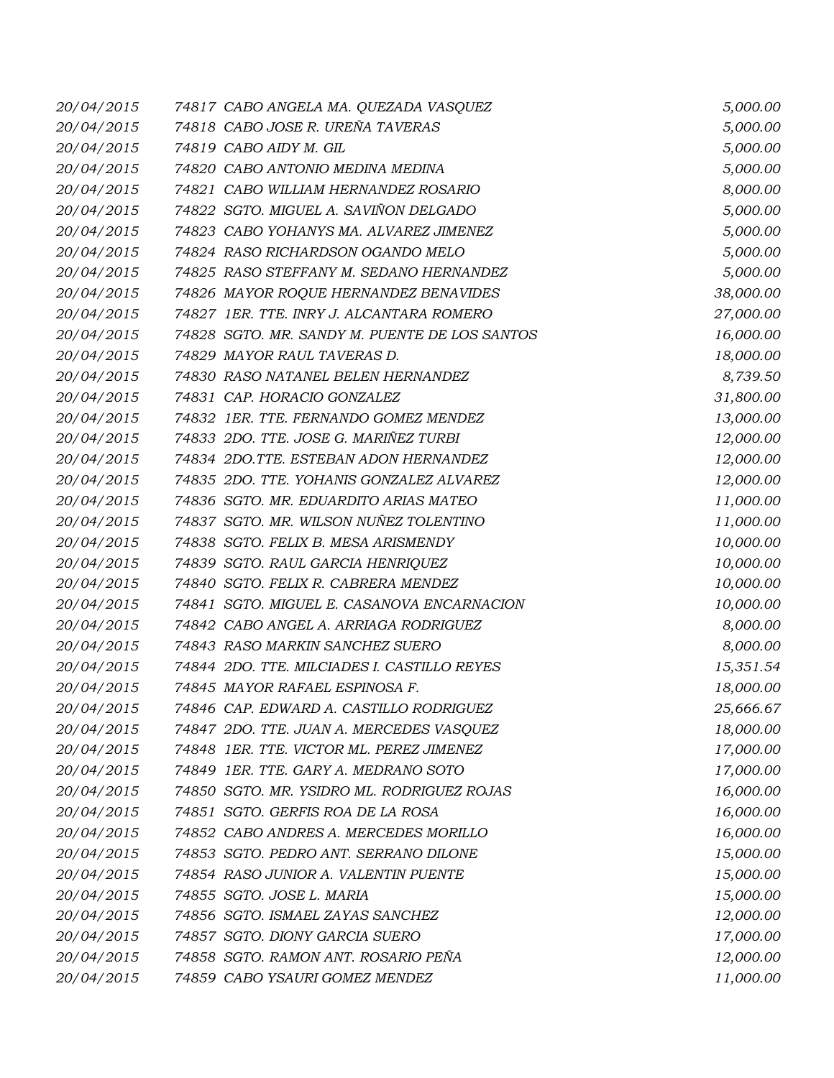| 20/04/2015 | 74817 CABO ANGELA MA. QUEZADA VASQUEZ         | 5,000.00  |
|------------|-----------------------------------------------|-----------|
| 20/04/2015 | 74818 CABO JOSE R. UREÑA TAVERAS              | 5,000.00  |
| 20/04/2015 | 74819 CABO AIDY M. GIL                        | 5,000.00  |
| 20/04/2015 | 74820 CABO ANTONIO MEDINA MEDINA              | 5,000.00  |
| 20/04/2015 | 74821 CABO WILLIAM HERNANDEZ ROSARIO          | 8,000.00  |
| 20/04/2015 | 74822 SGTO. MIGUEL A. SAVIÑON DELGADO         | 5,000.00  |
| 20/04/2015 | 74823 CABO YOHANYS MA. ALVAREZ JIMENEZ        | 5,000.00  |
| 20/04/2015 | 74824 RASO RICHARDSON OGANDO MELO             | 5,000.00  |
| 20/04/2015 | 74825 RASO STEFFANY M. SEDANO HERNANDEZ       | 5,000.00  |
| 20/04/2015 | 74826 MAYOR ROQUE HERNANDEZ BENAVIDES         | 38,000.00 |
| 20/04/2015 | 74827 1ER. TTE. INRY J. ALCANTARA ROMERO      | 27,000.00 |
| 20/04/2015 | 74828 SGTO. MR. SANDY M. PUENTE DE LOS SANTOS | 16,000.00 |
| 20/04/2015 | 74829 MAYOR RAUL TAVERAS D.                   | 18,000.00 |
| 20/04/2015 | 74830 RASO NATANEL BELEN HERNANDEZ            | 8,739.50  |
| 20/04/2015 | 74831 CAP. HORACIO GONZALEZ                   | 31,800.00 |
| 20/04/2015 | 74832 1ER. TTE. FERNANDO GOMEZ MENDEZ         | 13,000.00 |
| 20/04/2015 | 74833 2DO. TTE. JOSE G. MARIÑEZ TURBI         | 12,000.00 |
| 20/04/2015 | 74834 2DO.TTE. ESTEBAN ADON HERNANDEZ         | 12,000.00 |
| 20/04/2015 | 74835 2DO. TTE. YOHANIS GONZALEZ ALVAREZ      | 12,000.00 |
| 20/04/2015 | 74836 SGTO. MR. EDUARDITO ARIAS MATEO         | 11,000.00 |
| 20/04/2015 | 74837 SGTO. MR. WILSON NUÑEZ TOLENTINO        | 11,000.00 |
| 20/04/2015 | 74838 SGTO. FELIX B. MESA ARISMENDY           | 10,000.00 |
| 20/04/2015 | 74839 SGTO. RAUL GARCIA HENRIQUEZ             | 10,000.00 |
| 20/04/2015 | 74840 SGTO. FELIX R. CABRERA MENDEZ           | 10,000.00 |
| 20/04/2015 | 74841 SGTO. MIGUEL E. CASANOVA ENCARNACION    | 10,000.00 |
| 20/04/2015 | 74842 CABO ANGEL A. ARRIAGA RODRIGUEZ         | 8,000.00  |
| 20/04/2015 | 74843 RASO MARKIN SANCHEZ SUERO               | 8,000.00  |
| 20/04/2015 | 74844 2DO. TTE. MILCIADES I. CASTILLO REYES   | 15,351.54 |
| 20/04/2015 | 74845 MAYOR RAFAEL ESPINOSA F.                | 18,000.00 |
| 20/04/2015 | 74846 CAP. EDWARD A. CASTILLO RODRIGUEZ       | 25,666.67 |
| 20/04/2015 | 74847 2DO. TTE. JUAN A. MERCEDES VASQUEZ      | 18,000.00 |
| 20/04/2015 | 74848 1ER. TTE. VICTOR ML. PEREZ JIMENEZ      | 17,000.00 |
| 20/04/2015 | 74849 1ER. TTE. GARY A. MEDRANO SOTO          | 17,000.00 |
| 20/04/2015 | 74850 SGTO. MR. YSIDRO ML. RODRIGUEZ ROJAS    | 16,000.00 |
| 20/04/2015 | 74851 SGTO. GERFIS ROA DE LA ROSA             | 16,000.00 |
| 20/04/2015 | 74852 CABO ANDRES A. MERCEDES MORILLO         | 16,000.00 |
| 20/04/2015 | 74853 SGTO. PEDRO ANT. SERRANO DILONE         | 15,000.00 |
| 20/04/2015 | 74854 RASO JUNIOR A. VALENTIN PUENTE          | 15,000.00 |
| 20/04/2015 | 74855 SGTO. JOSE L. MARIA                     | 15,000.00 |
| 20/04/2015 | 74856 SGTO. ISMAEL ZAYAS SANCHEZ              | 12,000.00 |
| 20/04/2015 | 74857 SGTO. DIONY GARCIA SUERO                | 17,000.00 |
| 20/04/2015 | 74858 SGTO. RAMON ANT. ROSARIO PEÑA           | 12,000.00 |
| 20/04/2015 | 74859 CABO YSAURI GOMEZ MENDEZ                | 11,000.00 |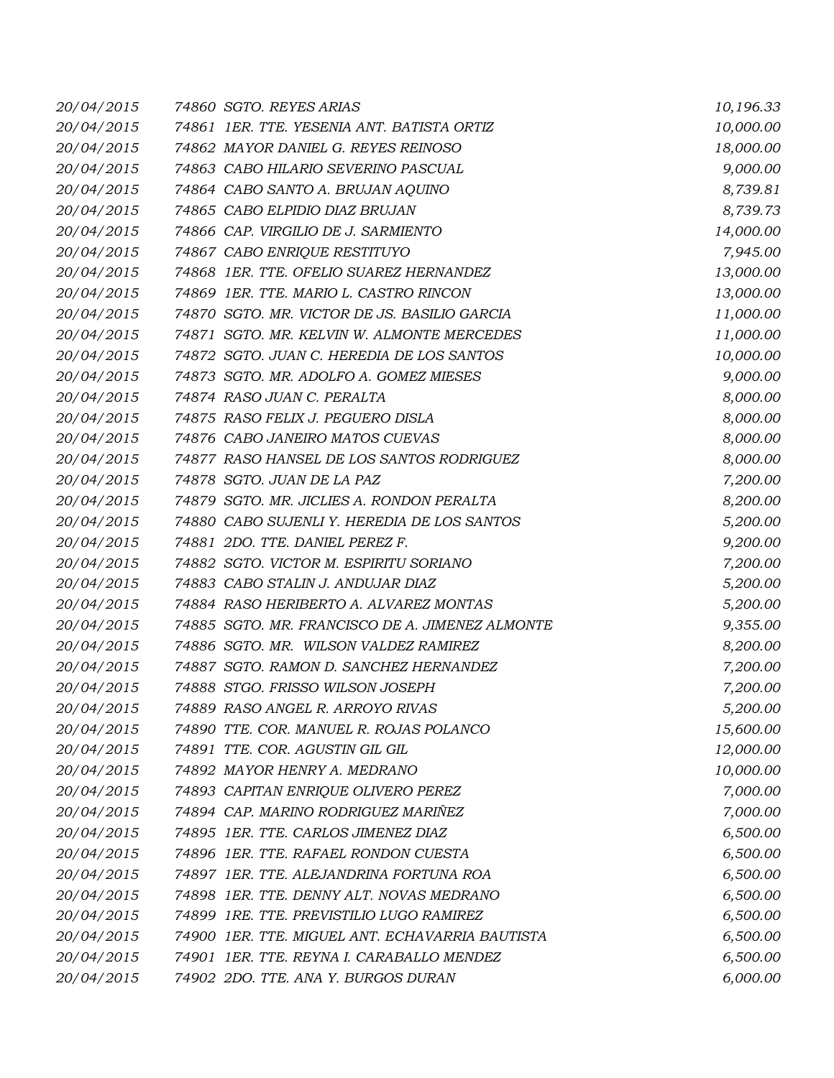| 20/04/2015 | 74860 SGTO. REYES ARIAS                         | 10,196.33 |
|------------|-------------------------------------------------|-----------|
| 20/04/2015 | 74861 IER. TTE. YESENIA ANT. BATISTA ORTIZ      | 10,000.00 |
| 20/04/2015 | 74862 MAYOR DANIEL G. REYES REINOSO             | 18,000.00 |
| 20/04/2015 | 74863 CABO HILARIO SEVERINO PASCUAL             | 9,000.00  |
| 20/04/2015 | 74864 CABO SANTO A. BRUJAN AQUINO               | 8,739.81  |
| 20/04/2015 | 74865 CABO ELPIDIO DIAZ BRUJAN                  | 8,739.73  |
| 20/04/2015 | 74866 CAP. VIRGILIO DE J. SARMIENTO             | 14,000.00 |
| 20/04/2015 | 74867 CABO ENRIQUE RESTITUYO                    | 7,945.00  |
| 20/04/2015 | 74868 1ER. TTE. OFELIO SUAREZ HERNANDEZ         | 13,000.00 |
| 20/04/2015 | 74869 1ER. TTE. MARIO L. CASTRO RINCON          | 13,000.00 |
| 20/04/2015 | 74870 SGTO. MR. VICTOR DE JS. BASILIO GARCIA    | 11,000.00 |
| 20/04/2015 | 74871 SGTO. MR. KELVIN W. ALMONTE MERCEDES      | 11,000.00 |
| 20/04/2015 | 74872 SGTO. JUAN C. HEREDIA DE LOS SANTOS       | 10,000.00 |
| 20/04/2015 | 74873 SGTO. MR. ADOLFO A. GOMEZ MIESES          | 9,000.00  |
| 20/04/2015 | 74874 RASO JUAN C. PERALTA                      | 8,000.00  |
| 20/04/2015 | 74875 RASO FELIX J. PEGUERO DISLA               | 8,000.00  |
| 20/04/2015 | 74876 CABO JANEIRO MATOS CUEVAS                 | 8,000.00  |
| 20/04/2015 | 74877 RASO HANSEL DE LOS SANTOS RODRIGUEZ       | 8,000.00  |
| 20/04/2015 | 74878 SGTO. JUAN DE LA PAZ                      | 7,200.00  |
| 20/04/2015 | 74879 SGTO. MR. JICLIES A. RONDON PERALTA       | 8,200.00  |
| 20/04/2015 | 74880 CABO SUJENLI Y. HEREDIA DE LOS SANTOS     | 5,200.00  |
| 20/04/2015 | 74881 2DO. TTE. DANIEL PEREZ F.                 | 9,200.00  |
| 20/04/2015 | 74882 SGTO. VICTOR M. ESPIRITU SORIANO          | 7,200.00  |
| 20/04/2015 | 74883 CABO STALIN J. ANDUJAR DIAZ               | 5,200.00  |
| 20/04/2015 | 74884 RASO HERIBERTO A. ALVAREZ MONTAS          | 5,200.00  |
| 20/04/2015 | 74885 SGTO. MR. FRANCISCO DE A. JIMENEZ ALMONTE | 9,355.00  |
| 20/04/2015 | 74886 SGTO. MR. WILSON VALDEZ RAMIREZ           | 8,200.00  |
| 20/04/2015 | 74887 SGTO. RAMON D. SANCHEZ HERNANDEZ          | 7,200.00  |
| 20/04/2015 | 74888 STGO. FRISSO WILSON JOSEPH                | 7,200.00  |
| 20/04/2015 | 74889 RASO ANGEL R. ARROYO RIVAS                | 5,200.00  |
| 20/04/2015 | 74890 TTE, COR, MANUEL R, ROJAS POLANCO         | 15,600.00 |
| 20/04/2015 | 74891 TTE. COR. AGUSTIN GIL GIL                 | 12,000.00 |
| 20/04/2015 | 74892 MAYOR HENRY A. MEDRANO                    | 10,000.00 |
| 20/04/2015 | 74893 CAPITAN ENRIQUE OLIVERO PEREZ             | 7,000.00  |
| 20/04/2015 | 74894 CAP. MARINO RODRIGUEZ MARIÑEZ             | 7,000.00  |
| 20/04/2015 | 74895 1ER. TTE. CARLOS JIMENEZ DIAZ             | 6,500.00  |
| 20/04/2015 | 74896 1ER. TTE. RAFAEL RONDON CUESTA            | 6,500.00  |
| 20/04/2015 | 74897 1ER. TTE. ALEJANDRINA FORTUNA ROA         | 6,500.00  |
| 20/04/2015 | 74898 1ER. TTE. DENNY ALT. NOVAS MEDRANO        | 6,500.00  |
| 20/04/2015 | 74899 1RE. TTE. PREVISTILIO LUGO RAMIREZ        | 6,500.00  |
| 20/04/2015 | 74900 1ER. TTE. MIGUEL ANT. ECHAVARRIA BAUTISTA | 6,500.00  |
| 20/04/2015 | 74901 IER. TTE. REYNA I. CARABALLO MENDEZ       | 6,500.00  |
| 20/04/2015 | 74902 2DO. TTE. ANA Y. BURGOS DURAN             | 6,000.00  |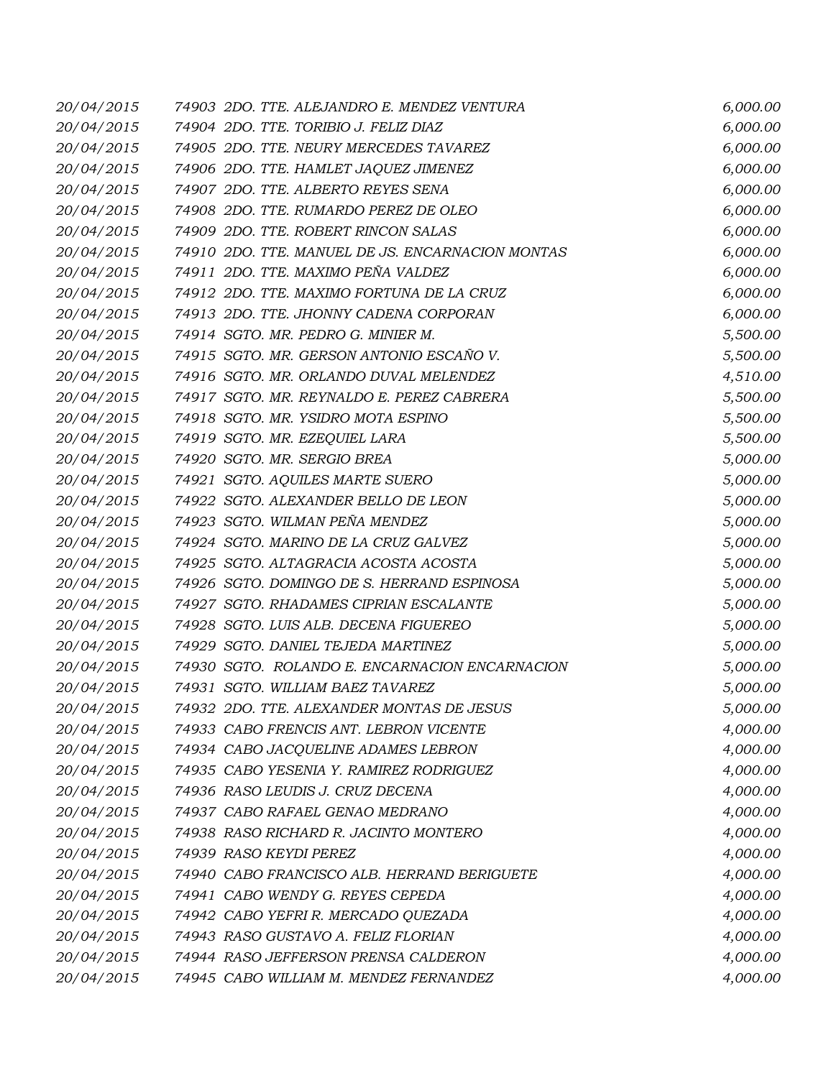| 20/04/2015 | 74903 2DO. TTE. ALEJANDRO E. MENDEZ VENTURA      | 6,000.00 |
|------------|--------------------------------------------------|----------|
| 20/04/2015 | 74904 2DO. TTE. TORIBIO J. FELIZ DIAZ            | 6,000.00 |
| 20/04/2015 | 74905 2DO. TTE. NEURY MERCEDES TAVAREZ           | 6,000.00 |
| 20/04/2015 | 74906 2DO. TTE. HAMLET JAQUEZ JIMENEZ            | 6,000.00 |
| 20/04/2015 | 74907 2DO. TTE. ALBERTO REYES SENA               | 6,000.00 |
| 20/04/2015 | 74908 2DO. TTE. RUMARDO PEREZ DE OLEO            | 6,000.00 |
| 20/04/2015 | 74909 2DO. TTE. ROBERT RINCON SALAS              | 6,000.00 |
| 20/04/2015 | 74910 2DO. TTE. MANUEL DE JS. ENCARNACION MONTAS | 6,000.00 |
| 20/04/2015 | 74911 2DO. TTE. MAXIMO PEÑA VALDEZ               | 6,000.00 |
| 20/04/2015 | 74912 2DO. TTE. MAXIMO FORTUNA DE LA CRUZ        | 6,000.00 |
| 20/04/2015 | 74913 2DO. TTE. JHONNY CADENA CORPORAN           | 6,000.00 |
| 20/04/2015 | 74914 SGTO. MR. PEDRO G. MINIER M.               | 5,500.00 |
| 20/04/2015 | 74915 SGTO. MR. GERSON ANTONIO ESCAÑO V.         | 5,500.00 |
| 20/04/2015 | 74916 SGTO. MR. ORLANDO DUVAL MELENDEZ           | 4,510.00 |
| 20/04/2015 | 74917 SGTO. MR. REYNALDO E. PEREZ CABRERA        | 5,500.00 |
| 20/04/2015 | 74918 SGTO. MR. YSIDRO MOTA ESPINO               | 5,500.00 |
| 20/04/2015 | 74919 SGTO. MR. EZEQUIEL LARA                    | 5,500.00 |
| 20/04/2015 | 74920 SGTO. MR. SERGIO BREA                      | 5,000.00 |
| 20/04/2015 | 74921 SGTO. AQUILES MARTE SUERO                  | 5,000.00 |
| 20/04/2015 | 74922 SGTO. ALEXANDER BELLO DE LEON              | 5,000.00 |
| 20/04/2015 | 74923 SGTO. WILMAN PEÑA MENDEZ                   | 5,000.00 |
| 20/04/2015 | 74924 SGTO. MARINO DE LA CRUZ GALVEZ             | 5,000.00 |
| 20/04/2015 | 74925 SGTO. ALTAGRACIA ACOSTA ACOSTA             | 5,000.00 |
| 20/04/2015 | 74926 SGTO. DOMINGO DE S. HERRAND ESPINOSA       | 5,000.00 |
| 20/04/2015 | 74927 SGTO. RHADAMES CIPRIAN ESCALANTE           | 5,000.00 |
| 20/04/2015 | 74928 SGTO. LUIS ALB. DECENA FIGUEREO            | 5,000.00 |
| 20/04/2015 | 74929 SGTO. DANIEL TEJEDA MARTINEZ               | 5,000.00 |
| 20/04/2015 | 74930 SGTO. ROLANDO E. ENCARNACION ENCARNACION   | 5,000.00 |
| 20/04/2015 | 74931 SGTO. WILLIAM BAEZ TAVAREZ                 | 5,000.00 |
| 20/04/2015 | 74932 2DO. TTE. ALEXANDER MONTAS DE JESUS        | 5,000.00 |
| 20/04/2015 | 74933 CABO FRENCIS ANT. LEBRON VICENTE           | 4,000.00 |
| 20/04/2015 | 74934 CABO JACQUELINE ADAMES LEBRON              | 4,000.00 |
| 20/04/2015 | 74935 CABO YESENIA Y. RAMIREZ RODRIGUEZ          | 4,000.00 |
| 20/04/2015 | 74936 RASO LEUDIS J. CRUZ DECENA                 | 4,000.00 |
| 20/04/2015 | 74937 CABO RAFAEL GENAO MEDRANO                  | 4,000.00 |
| 20/04/2015 | 74938 RASO RICHARD R. JACINTO MONTERO            | 4,000.00 |
| 20/04/2015 | 74939 RASO KEYDI PEREZ                           | 4,000.00 |
| 20/04/2015 | 74940 CABO FRANCISCO ALB. HERRAND BERIGUETE      | 4,000.00 |
| 20/04/2015 | 74941 CABO WENDY G. REYES CEPEDA                 | 4,000.00 |
| 20/04/2015 | 74942 CABO YEFRI R. MERCADO QUEZADA              | 4,000.00 |
| 20/04/2015 | 74943 RASO GUSTAVO A. FELIZ FLORIAN              | 4,000.00 |
| 20/04/2015 | 74944 RASO JEFFERSON PRENSA CALDERON             | 4,000.00 |
| 20/04/2015 | 74945 CABO WILLIAM M. MENDEZ FERNANDEZ           | 4,000.00 |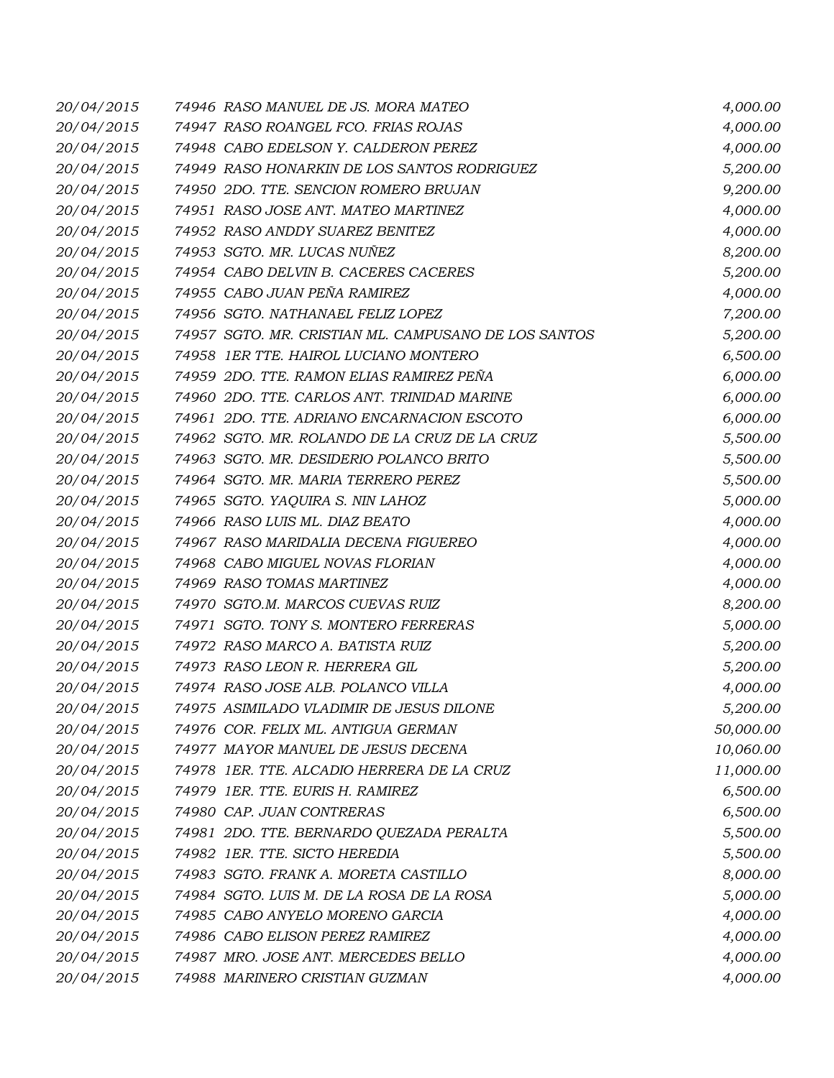| 20/04/2015 | 74946 RASO MANUEL DE JS. MORA MATEO                  | 4,000.00  |
|------------|------------------------------------------------------|-----------|
| 20/04/2015 | 74947 RASO ROANGEL FCO. FRIAS ROJAS                  | 4,000.00  |
| 20/04/2015 | 74948 CABO EDELSON Y. CALDERON PEREZ                 | 4,000.00  |
| 20/04/2015 | 74949 RASO HONARKIN DE LOS SANTOS RODRIGUEZ          | 5,200.00  |
| 20/04/2015 | 74950 2DO. TTE. SENCION ROMERO BRUJAN                | 9,200.00  |
| 20/04/2015 | 74951 RASO JOSE ANT. MATEO MARTINEZ                  | 4,000.00  |
| 20/04/2015 | 74952 RASO ANDDY SUAREZ BENITEZ                      | 4,000.00  |
| 20/04/2015 | 74953 SGTO. MR. LUCAS NUÑEZ                          | 8,200.00  |
| 20/04/2015 | 74954 CABO DELVIN B. CACERES CACERES                 | 5,200.00  |
| 20/04/2015 | 74955 CABO JUAN PEÑA RAMIREZ                         | 4,000.00  |
| 20/04/2015 | 74956 SGTO. NATHANAEL FELIZ LOPEZ                    | 7,200.00  |
| 20/04/2015 | 74957 SGTO. MR. CRISTIAN ML. CAMPUSANO DE LOS SANTOS | 5,200.00  |
| 20/04/2015 | 74958 1ER TTE. HAIROL LUCIANO MONTERO                | 6,500.00  |
| 20/04/2015 | 74959 2DO. TTE. RAMON ELIAS RAMIREZ PEÑA             | 6,000.00  |
| 20/04/2015 | 74960 2DO. TTE. CARLOS ANT. TRINIDAD MARINE          | 6,000.00  |
| 20/04/2015 | 74961 2DO. TTE. ADRIANO ENCARNACION ESCOTO           | 6,000.00  |
| 20/04/2015 | 74962 SGTO. MR. ROLANDO DE LA CRUZ DE LA CRUZ        | 5,500.00  |
| 20/04/2015 | 74963 SGTO. MR. DESIDERIO POLANCO BRITO              | 5,500.00  |
| 20/04/2015 | 74964 SGTO. MR. MARIA TERRERO PEREZ                  | 5,500.00  |
| 20/04/2015 | 74965 SGTO. YAQUIRA S. NIN LAHOZ                     | 5,000.00  |
| 20/04/2015 | 74966 RASO LUIS ML. DIAZ BEATO                       | 4,000.00  |
| 20/04/2015 | 74967 RASO MARIDALIA DECENA FIGUEREO                 | 4,000.00  |
| 20/04/2015 | 74968 CABO MIGUEL NOVAS FLORIAN                      | 4,000.00  |
| 20/04/2015 | 74969 RASO TOMAS MARTINEZ                            | 4,000.00  |
| 20/04/2015 | 74970 SGTO.M. MARCOS CUEVAS RUIZ                     | 8,200.00  |
| 20/04/2015 | 74971 SGTO. TONY S. MONTERO FERRERAS                 | 5,000.00  |
| 20/04/2015 | 74972 RASO MARCO A. BATISTA RUIZ                     | 5,200.00  |
| 20/04/2015 | 74973 RASO LEON R. HERRERA GIL                       | 5,200.00  |
| 20/04/2015 | 74974 RASO JOSE ALB. POLANCO VILLA                   | 4,000.00  |
| 20/04/2015 | 74975 ASIMILADO VLADIMIR DE JESUS DILONE             | 5,200.00  |
| 20/04/2015 | 74976 COR. FELIX ML. ANTIGUA GERMAN                  | 50,000.00 |
| 20/04/2015 | 74977 MAYOR MANUEL DE JESUS DECENA                   | 10,060.00 |
| 20/04/2015 | 74978 IER. TTE. ALCADIO HERRERA DE LA CRUZ           | 11,000.00 |
| 20/04/2015 | 74979 1ER. TTE. EURIS H. RAMIREZ                     | 6,500.00  |
| 20/04/2015 | 74980 CAP. JUAN CONTRERAS                            | 6,500.00  |
| 20/04/2015 | 74981 2DO. TTE. BERNARDO QUEZADA PERALTA             | 5,500.00  |
| 20/04/2015 | 74982 1ER. TTE. SICTO HEREDIA                        | 5,500.00  |
| 20/04/2015 | 74983 SGTO. FRANK A. MORETA CASTILLO                 | 8,000.00  |
| 20/04/2015 | 74984 SGTO. LUIS M. DE LA ROSA DE LA ROSA            | 5,000.00  |
| 20/04/2015 | 74985 CABO ANYELO MORENO GARCIA                      | 4,000.00  |
| 20/04/2015 | 74986 CABO ELISON PEREZ RAMIREZ                      | 4,000.00  |
| 20/04/2015 | 74987 MRO. JOSE ANT. MERCEDES BELLO                  | 4,000.00  |
| 20/04/2015 | 74988 MARINERO CRISTIAN GUZMAN                       | 4,000.00  |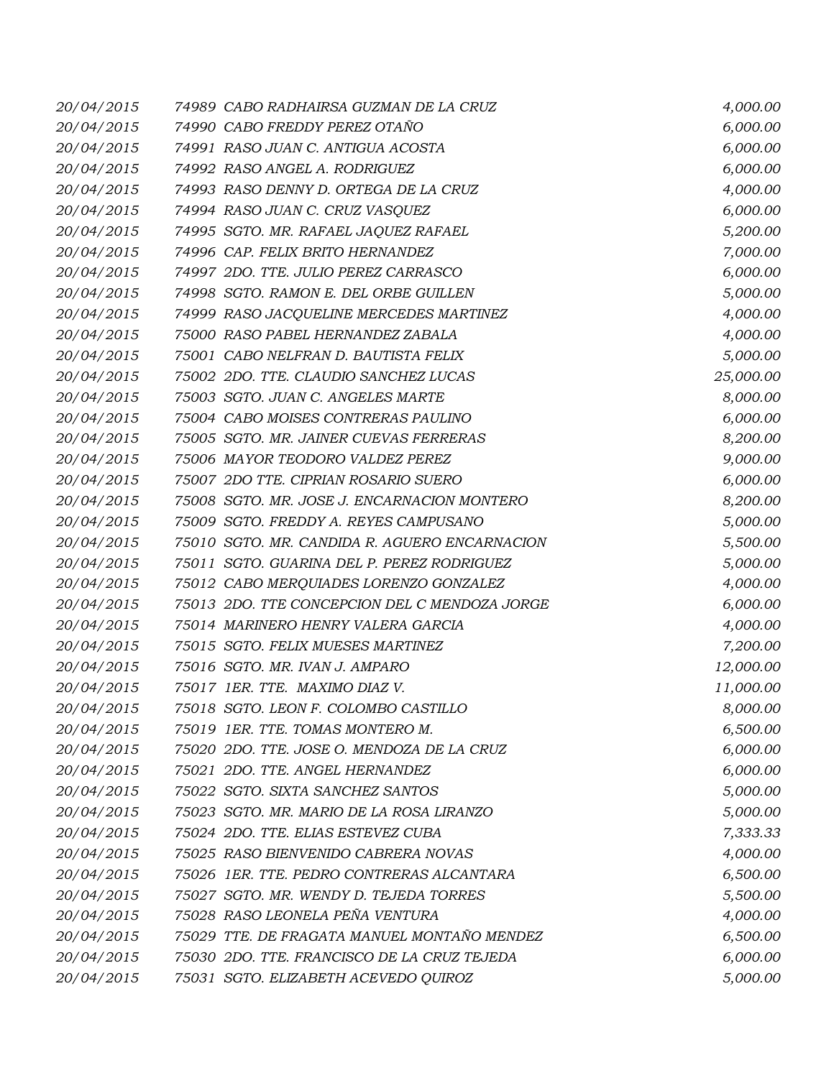| 20/04/2015 | 74989 CABO RADHAIRSA GUZMAN DE LA CRUZ        | 4,000.00  |
|------------|-----------------------------------------------|-----------|
| 20/04/2015 | 74990 CABO FREDDY PEREZ OTAÑO                 | 6,000.00  |
| 20/04/2015 | 74991 RASO JUAN C. ANTIGUA ACOSTA             | 6,000.00  |
| 20/04/2015 | 74992 RASO ANGEL A. RODRIGUEZ                 | 6,000.00  |
| 20/04/2015 | 74993 RASO DENNY D. ORTEGA DE LA CRUZ         | 4,000.00  |
| 20/04/2015 | 74994 RASO JUAN C. CRUZ VASQUEZ               | 6,000.00  |
| 20/04/2015 | 74995 SGTO. MR. RAFAEL JAQUEZ RAFAEL          | 5,200.00  |
| 20/04/2015 | 74996 CAP. FELIX BRITO HERNANDEZ              | 7,000.00  |
| 20/04/2015 | 74997 2DO. TTE. JULIO PEREZ CARRASCO          | 6,000.00  |
| 20/04/2015 | 74998 SGTO. RAMON E. DEL ORBE GUILLEN         | 5,000.00  |
| 20/04/2015 | 74999 RASO JACQUELINE MERCEDES MARTINEZ       | 4,000.00  |
| 20/04/2015 | 75000 RASO PABEL HERNANDEZ ZABALA             | 4,000.00  |
| 20/04/2015 | 75001 CABO NELFRAN D. BAUTISTA FELIX          | 5,000.00  |
| 20/04/2015 | 75002 2DO. TTE. CLAUDIO SANCHEZ LUCAS         | 25,000.00 |
| 20/04/2015 | 75003 SGTO. JUAN C. ANGELES MARTE             | 8,000.00  |
| 20/04/2015 | 75004 CABO MOISES CONTRERAS PAULINO           | 6,000.00  |
| 20/04/2015 | 75005 SGTO. MR. JAINER CUEVAS FERRERAS        | 8,200.00  |
| 20/04/2015 | 75006 MAYOR TEODORO VALDEZ PEREZ              | 9,000.00  |
| 20/04/2015 | 75007 2DO TTE. CIPRIAN ROSARIO SUERO          | 6,000.00  |
| 20/04/2015 | 75008 SGTO. MR. JOSE J. ENCARNACION MONTERO   | 8,200.00  |
| 20/04/2015 | 75009 SGTO. FREDDY A. REYES CAMPUSANO         | 5,000.00  |
| 20/04/2015 | 75010 SGTO. MR. CANDIDA R. AGUERO ENCARNACION | 5,500.00  |
| 20/04/2015 | 75011 SGTO. GUARINA DEL P. PEREZ RODRIGUEZ    | 5,000.00  |
| 20/04/2015 | 75012 CABO MERQUIADES LORENZO GONZALEZ        | 4,000.00  |
| 20/04/2015 | 75013 2DO. TTE CONCEPCION DEL C MENDOZA JORGE | 6,000.00  |
| 20/04/2015 | 75014 MARINERO HENRY VALERA GARCIA            | 4,000.00  |
| 20/04/2015 | 75015 SGTO. FELIX MUESES MARTINEZ             | 7,200.00  |
| 20/04/2015 | 75016 SGTO. MR. IVAN J. AMPARO                | 12,000.00 |
| 20/04/2015 | 75017 1ER. TTE. MAXIMO DIAZ V.                | 11,000.00 |
| 20/04/2015 | 75018 SGTO. LEON F. COLOMBO CASTILLO          | 8,000.00  |
| 20/04/2015 | 75019 1ER. TTE. TOMAS MONTERO M.              | 6,500.00  |
| 20/04/2015 | 75020 2DO. TTE. JOSE O. MENDOZA DE LA CRUZ    | 6,000.00  |
| 20/04/2015 | 75021 2DO. TTE. ANGEL HERNANDEZ               | 6,000.00  |
| 20/04/2015 | 75022 SGTO. SIXTA SANCHEZ SANTOS              | 5,000.00  |
| 20/04/2015 | 75023 SGTO. MR. MARIO DE LA ROSA LIRANZO      | 5,000.00  |
| 20/04/2015 | 75024 2DO. TTE. ELIAS ESTEVEZ CUBA            | 7,333.33  |
| 20/04/2015 | 75025 RASO BIENVENIDO CABRERA NOVAS           | 4,000.00  |
| 20/04/2015 | 75026 1ER. TTE. PEDRO CONTRERAS ALCANTARA     | 6,500.00  |
| 20/04/2015 | 75027 SGTO. MR. WENDY D. TEJEDA TORRES        | 5,500.00  |
| 20/04/2015 | 75028 RASO LEONELA PEÑA VENTURA               | 4,000.00  |
| 20/04/2015 | 75029 TTE. DE FRAGATA MANUEL MONTAÑO MENDEZ   | 6,500.00  |
| 20/04/2015 | 75030 2DO. TTE. FRANCISCO DE LA CRUZ TEJEDA   | 6,000.00  |
| 20/04/2015 | 75031 SGTO. ELIZABETH ACEVEDO QUIROZ          | 5,000.00  |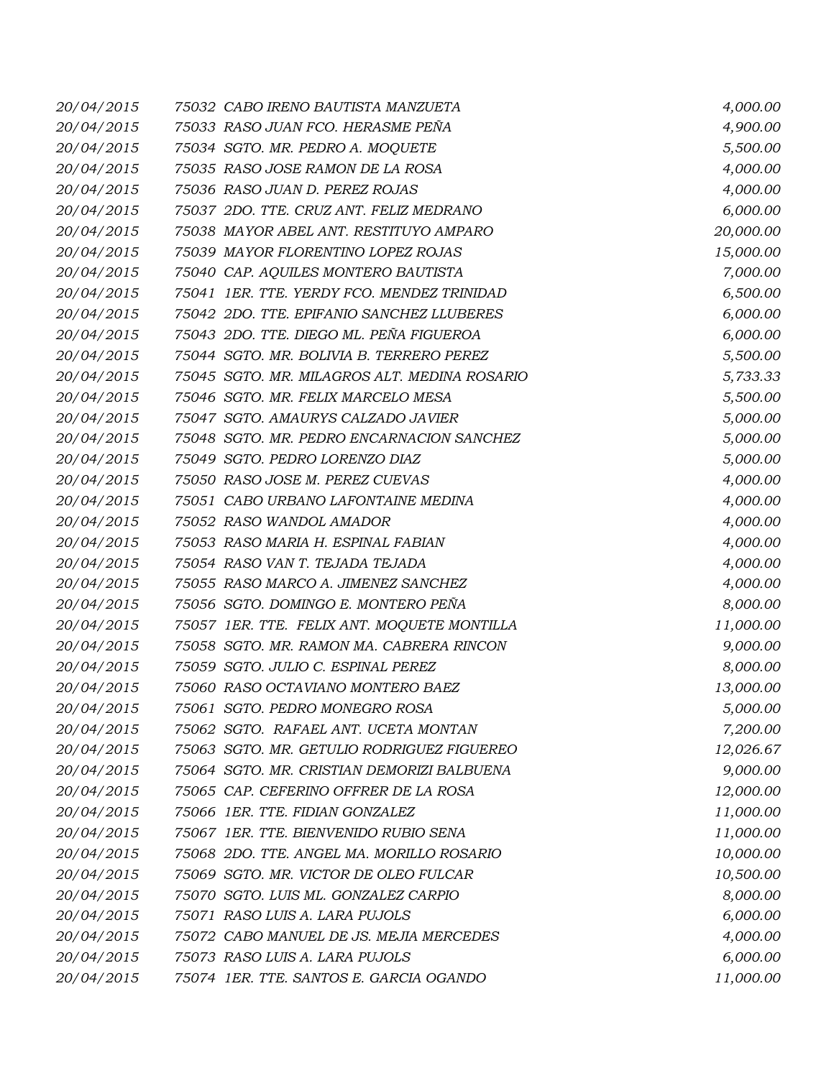| 20/04/2015 | 75032 CABO IRENO BAUTISTA MANZUETA           | 4,000.00  |
|------------|----------------------------------------------|-----------|
| 20/04/2015 | 75033 RASO JUAN FCO. HERASME PEÑA            | 4,900.00  |
| 20/04/2015 | 75034 SGTO. MR. PEDRO A. MOQUETE             | 5,500.00  |
| 20/04/2015 | 75035 RASO JOSE RAMON DE LA ROSA             | 4,000.00  |
| 20/04/2015 | 75036 RASO JUAN D. PEREZ ROJAS               | 4,000.00  |
| 20/04/2015 | 75037 2DO. TTE. CRUZ ANT. FELIZ MEDRANO      | 6,000.00  |
| 20/04/2015 | 75038 MAYOR ABEL ANT. RESTITUYO AMPARO       | 20,000.00 |
| 20/04/2015 | 75039 MAYOR FLORENTINO LOPEZ ROJAS           | 15,000.00 |
| 20/04/2015 | 75040 CAP. AQUILES MONTERO BAUTISTA          | 7,000.00  |
| 20/04/2015 | 75041 IER. TTE. YERDY FCO. MENDEZ TRINIDAD   | 6,500.00  |
| 20/04/2015 | 75042 2DO. TTE. EPIFANIO SANCHEZ LLUBERES    | 6,000.00  |
| 20/04/2015 | 75043 2DO. TTE. DIEGO ML. PEÑA FIGUEROA      | 6,000.00  |
| 20/04/2015 | 75044 SGTO. MR. BOLIVIA B. TERRERO PEREZ     | 5,500.00  |
| 20/04/2015 | 75045 SGTO. MR. MILAGROS ALT. MEDINA ROSARIO | 5,733.33  |
| 20/04/2015 | 75046 SGTO. MR. FELIX MARCELO MESA           | 5,500.00  |
| 20/04/2015 | 75047 SGTO. AMAURYS CALZADO JAVIER           | 5,000.00  |
| 20/04/2015 | 75048 SGTO. MR. PEDRO ENCARNACION SANCHEZ    | 5,000.00  |
| 20/04/2015 | 75049 SGTO. PEDRO LORENZO DIAZ               | 5,000.00  |
| 20/04/2015 | 75050 RASO JOSE M. PEREZ CUEVAS              | 4,000.00  |
| 20/04/2015 | 75051 CABO URBANO LAFONTAINE MEDINA          | 4,000.00  |
| 20/04/2015 | 75052 RASO WANDOL AMADOR                     | 4,000.00  |
| 20/04/2015 | 75053 RASO MARIA H. ESPINAL FABIAN           | 4,000.00  |
| 20/04/2015 | 75054 RASO VAN T. TEJADA TEJADA              | 4,000.00  |
| 20/04/2015 | 75055 RASO MARCO A. JIMENEZ SANCHEZ          | 4,000.00  |
| 20/04/2015 | 75056 SGTO. DOMINGO E. MONTERO PEÑA          | 8,000.00  |
| 20/04/2015 | 75057 1ER. TTE. FELIX ANT. MOQUETE MONTILLA  | 11,000.00 |
| 20/04/2015 | 75058 SGTO. MR. RAMON MA. CABRERA RINCON     | 9,000.00  |
| 20/04/2015 | 75059 SGTO. JULIO C. ESPINAL PEREZ           | 8,000.00  |
| 20/04/2015 | 75060 RASO OCTAVIANO MONTERO BAEZ            | 13,000.00 |
| 20/04/2015 | 75061 SGTO. PEDRO MONEGRO ROSA               | 5,000.00  |
| 20/04/2015 | 75062 SGTO. RAFAEL ANT. UCETA MONTAN         | 7,200.00  |
| 20/04/2015 | 75063 SGTO. MR. GETULIO RODRIGUEZ FIGUEREO   | 12,026.67 |
| 20/04/2015 | 75064 SGTO. MR. CRISTIAN DEMORIZI BALBUENA   | 9,000.00  |
| 20/04/2015 | 75065 CAP. CEFERINO OFFRER DE LA ROSA        | 12,000.00 |
| 20/04/2015 | 75066 1ER. TTE. FIDIAN GONZALEZ              | 11,000.00 |
| 20/04/2015 | 75067 1ER. TTE. BIENVENIDO RUBIO SENA        | 11,000.00 |
| 20/04/2015 | 75068 2DO. TTE. ANGEL MA. MORILLO ROSARIO    | 10,000.00 |
| 20/04/2015 | 75069 SGTO. MR. VICTOR DE OLEO FULCAR        | 10,500.00 |
| 20/04/2015 | 75070 SGTO. LUIS ML. GONZALEZ CARPIO         | 8,000.00  |
| 20/04/2015 | 75071 RASO LUIS A. LARA PUJOLS               | 6,000.00  |
| 20/04/2015 | 75072 CABO MANUEL DE JS. MEJIA MERCEDES      | 4,000.00  |
| 20/04/2015 | 75073 RASO LUIS A. LARA PUJOLS               | 6,000.00  |
| 20/04/2015 | 75074 1ER. TTE. SANTOS E. GARCIA OGANDO      | 11,000.00 |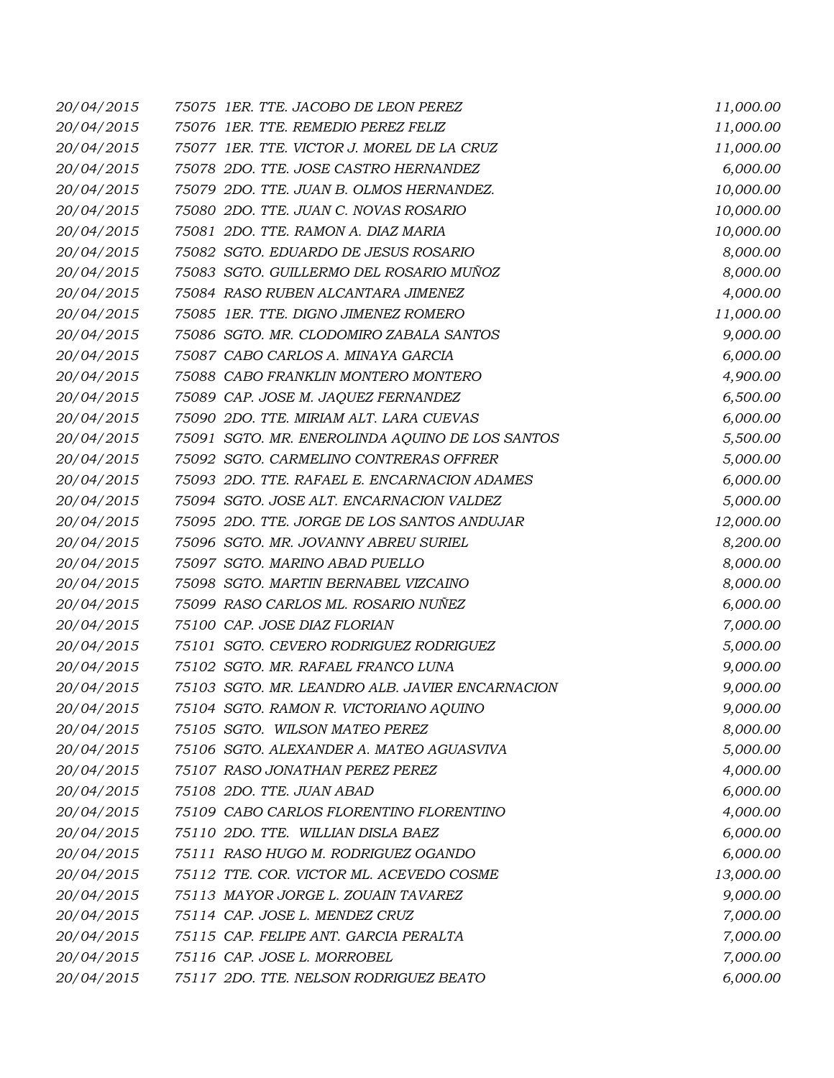| 20/04/2015 | 75075 1ER. TTE. JACOBO DE LEON PEREZ            | 11,000.00 |
|------------|-------------------------------------------------|-----------|
| 20/04/2015 | 75076 1ER. TTE. REMEDIO PEREZ FELIZ             | 11,000.00 |
| 20/04/2015 | 75077 1ER. TTE. VICTOR J. MOREL DE LA CRUZ      | 11,000.00 |
| 20/04/2015 | 75078 2DO. TTE. JOSE CASTRO HERNANDEZ           | 6,000.00  |
| 20/04/2015 | 75079 2DO. TTE. JUAN B. OLMOS HERNANDEZ.        | 10,000.00 |
| 20/04/2015 | 75080 2DO. TTE. JUAN C. NOVAS ROSARIO           | 10,000.00 |
| 20/04/2015 | 75081 2DO. TTE. RAMON A. DIAZ MARIA             | 10,000.00 |
| 20/04/2015 | 75082 SGTO. EDUARDO DE JESUS ROSARIO            | 8,000.00  |
| 20/04/2015 | 75083 SGTO. GUILLERMO DEL ROSARIO MUÑOZ         | 8,000.00  |
| 20/04/2015 | 75084 RASO RUBEN ALCANTARA JIMENEZ              | 4,000.00  |
| 20/04/2015 | 75085 1ER. TTE. DIGNO JIMENEZ ROMERO            | 11,000.00 |
| 20/04/2015 | 75086 SGTO. MR. CLODOMIRO ZABALA SANTOS         | 9,000.00  |
| 20/04/2015 | 75087 CABO CARLOS A. MINAYA GARCIA              | 6,000.00  |
| 20/04/2015 | 75088 CABO FRANKLIN MONTERO MONTERO             | 4,900.00  |
| 20/04/2015 | 75089 CAP. JOSE M. JAQUEZ FERNANDEZ             | 6,500.00  |
| 20/04/2015 | 75090 2DO. TTE. MIRIAM ALT. LARA CUEVAS         | 6,000.00  |
| 20/04/2015 | 75091 SGTO. MR. ENEROLINDA AQUINO DE LOS SANTOS | 5,500.00  |
| 20/04/2015 | 75092 SGTO. CARMELINO CONTRERAS OFFRER          | 5,000.00  |
| 20/04/2015 | 75093 2DO. TTE. RAFAEL E. ENCARNACION ADAMES    | 6,000.00  |
| 20/04/2015 | 75094 SGTO. JOSE ALT. ENCARNACION VALDEZ        | 5,000.00  |
| 20/04/2015 | 75095 2DO. TTE. JORGE DE LOS SANTOS ANDUJAR     | 12,000.00 |
| 20/04/2015 | 75096 SGTO. MR. JOVANNY ABREU SURIEL            | 8,200.00  |
| 20/04/2015 | 75097 SGTO. MARINO ABAD PUELLO                  | 8,000.00  |
| 20/04/2015 | 75098 SGTO. MARTIN BERNABEL VIZCAINO            | 8,000.00  |
| 20/04/2015 | 75099 RASO CARLOS ML. ROSARIO NUÑEZ             | 6,000.00  |
| 20/04/2015 | 75100 CAP. JOSE DIAZ FLORIAN                    | 7,000.00  |
| 20/04/2015 | 75101 SGTO. CEVERO RODRIGUEZ RODRIGUEZ          | 5,000.00  |
| 20/04/2015 | 75102 SGTO. MR. RAFAEL FRANCO LUNA              | 9,000.00  |
| 20/04/2015 | 75103 SGTO. MR. LEANDRO ALB. JAVIER ENCARNACION | 9,000.00  |
| 20/04/2015 | 75104 SGTO. RAMON R. VICTORIANO AQUINO          | 9,000.00  |
| 20/04/2015 | 75105 SGTO. WILSON MATEO PEREZ                  | 8,000.00  |
| 20/04/2015 | 75106 SGTO. ALEXANDER A. MATEO AGUASVIVA        | 5,000.00  |
| 20/04/2015 | 75107 RASO JONATHAN PEREZ PEREZ                 | 4,000.00  |
| 20/04/2015 | 75108 2DO. TTE. JUAN ABAD                       | 6,000.00  |
| 20/04/2015 | 75109 CABO CARLOS FLORENTINO FLORENTINO         | 4,000.00  |
| 20/04/2015 | 75110 2DO. TTE. WILLIAN DISLA BAEZ              | 6,000.00  |
| 20/04/2015 | 75111 RASO HUGO M. RODRIGUEZ OGANDO             | 6,000.00  |
| 20/04/2015 | 75112 TTE. COR. VICTOR ML. ACEVEDO COSME        | 13,000.00 |
| 20/04/2015 | 75113 MAYOR JORGE L. ZOUAIN TAVAREZ             | 9,000.00  |
| 20/04/2015 | 75114 CAP. JOSE L. MENDEZ CRUZ                  | 7,000.00  |
| 20/04/2015 | 75115 CAP. FELIPE ANT. GARCIA PERALTA           | 7,000.00  |
| 20/04/2015 | 75116 CAP. JOSE L. MORROBEL                     | 7,000.00  |
| 20/04/2015 | 75117 2DO. TTE. NELSON RODRIGUEZ BEATO          | 6,000.00  |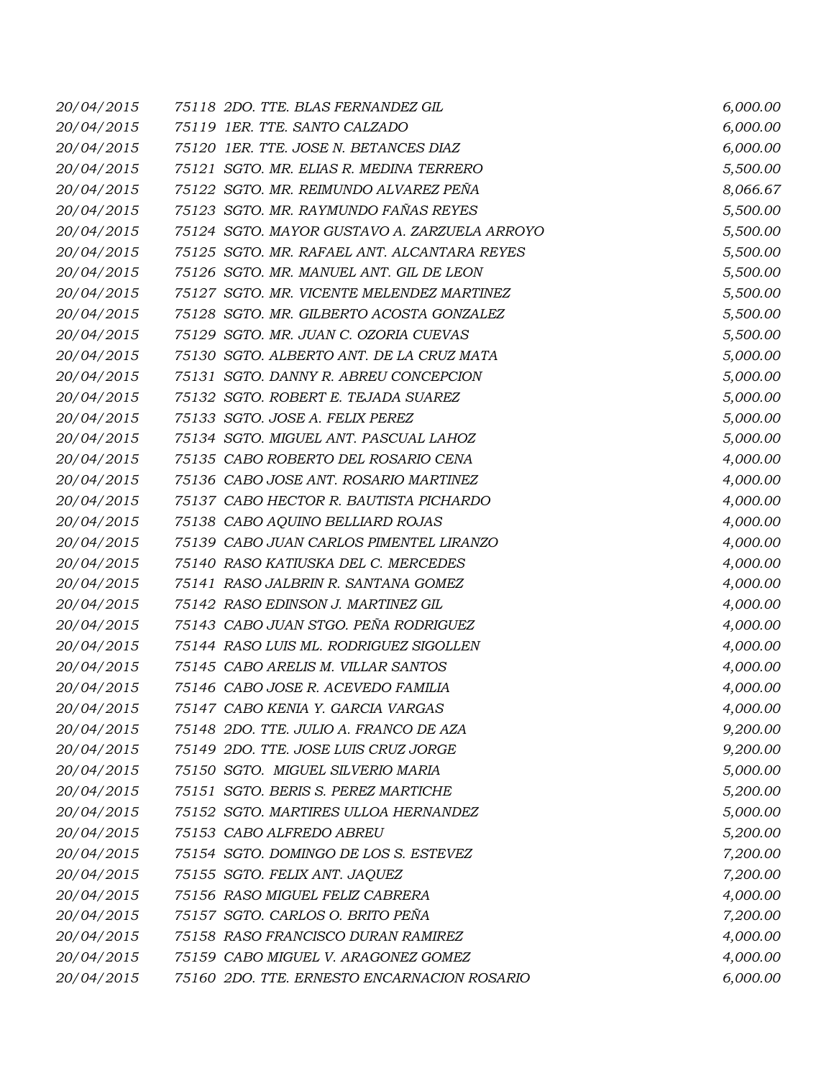| 20/04/2015 | 75118 2DO. TTE. BLAS FERNANDEZ GIL           | 6,000.00 |
|------------|----------------------------------------------|----------|
| 20/04/2015 | 75119 1ER. TTE. SANTO CALZADO                | 6,000.00 |
| 20/04/2015 | 75120 1ER. TTE. JOSE N. BETANCES DIAZ        | 6,000.00 |
| 20/04/2015 | 75121 SGTO. MR. ELIAS R. MEDINA TERRERO      | 5,500.00 |
| 20/04/2015 | 75122 SGTO. MR. REIMUNDO ALVAREZ PEÑA        | 8,066.67 |
| 20/04/2015 | 75123 SGTO. MR. RAYMUNDO FAÑAS REYES         | 5,500.00 |
| 20/04/2015 | 75124 SGTO. MAYOR GUSTAVO A. ZARZUELA ARROYO | 5,500.00 |
| 20/04/2015 | 75125 SGTO. MR. RAFAEL ANT. ALCANTARA REYES  | 5,500.00 |
| 20/04/2015 | 75126 SGTO. MR. MANUEL ANT. GIL DE LEON      | 5,500.00 |
| 20/04/2015 | 75127 SGTO. MR. VICENTE MELENDEZ MARTINEZ    | 5,500.00 |
| 20/04/2015 | 75128 SGTO. MR. GILBERTO ACOSTA GONZALEZ     | 5,500.00 |
| 20/04/2015 | 75129 SGTO. MR. JUAN C. OZORIA CUEVAS        | 5,500.00 |
| 20/04/2015 | 75130 SGTO. ALBERTO ANT. DE LA CRUZ MATA     | 5,000.00 |
| 20/04/2015 | 75131 SGTO. DANNY R. ABREU CONCEPCION        | 5,000.00 |
| 20/04/2015 | 75132 SGTO. ROBERT E. TEJADA SUAREZ          | 5,000.00 |
| 20/04/2015 | 75133 SGTO. JOSE A. FELIX PEREZ              | 5,000.00 |
| 20/04/2015 | 75134 SGTO. MIGUEL ANT. PASCUAL LAHOZ        | 5,000.00 |
| 20/04/2015 | 75135 CABO ROBERTO DEL ROSARIO CENA          | 4,000.00 |
| 20/04/2015 | 75136 CABO JOSE ANT. ROSARIO MARTINEZ        | 4,000.00 |
| 20/04/2015 | 75137 CABO HECTOR R. BAUTISTA PICHARDO       | 4,000.00 |
| 20/04/2015 | 75138 CABO AQUINO BELLIARD ROJAS             | 4,000.00 |
| 20/04/2015 | 75139 CABO JUAN CARLOS PIMENTEL LIRANZO      | 4,000.00 |
| 20/04/2015 | 75140 RASO KATIUSKA DEL C. MERCEDES          | 4,000.00 |
| 20/04/2015 | 75141 RASO JALBRIN R. SANTANA GOMEZ          | 4,000.00 |
| 20/04/2015 | 75142 RASO EDINSON J. MARTINEZ GIL           | 4,000.00 |
| 20/04/2015 | 75143 CABO JUAN STGO. PEÑA RODRIGUEZ         | 4,000.00 |
| 20/04/2015 | 75144 RASO LUIS ML. RODRIGUEZ SIGOLLEN       | 4,000.00 |
| 20/04/2015 | 75145 CABO ARELIS M. VILLAR SANTOS           | 4,000.00 |
| 20/04/2015 | 75146 CABO JOSE R. ACEVEDO FAMILIA           | 4,000.00 |
| 20/04/2015 | 75147 CABO KENIA Y. GARCIA VARGAS            | 4,000.00 |
| 20/04/2015 | 75148 2DO. TTE. JULIO A. FRANCO DE AZA       | 9,200.00 |
| 20/04/2015 | 75149 2DO. TTE. JOSE LUIS CRUZ JORGE         | 9,200.00 |
| 20/04/2015 | 75150 SGTO. MIGUEL SILVERIO MARIA            | 5,000.00 |
| 20/04/2015 | 75151 SGTO. BERIS S. PEREZ MARTICHE          | 5,200.00 |
| 20/04/2015 | 75152 SGTO. MARTIRES ULLOA HERNANDEZ         | 5,000.00 |
| 20/04/2015 | 75153 CABO ALFREDO ABREU                     | 5,200.00 |
| 20/04/2015 | 75154 SGTO. DOMINGO DE LOS S. ESTEVEZ        | 7,200.00 |
| 20/04/2015 | 75155 SGTO. FELIX ANT. JAQUEZ                | 7,200.00 |
| 20/04/2015 | 75156 RASO MIGUEL FELIZ CABRERA              | 4,000.00 |
| 20/04/2015 | 75157 SGTO. CARLOS O. BRITO PEÑA             | 7,200.00 |
| 20/04/2015 | 75158 RASO FRANCISCO DURAN RAMIREZ           | 4,000.00 |
| 20/04/2015 | 75159 CABO MIGUEL V. ARAGONEZ GOMEZ          | 4,000.00 |
| 20/04/2015 | 75160 2DO. TTE. ERNESTO ENCARNACION ROSARIO  | 6,000.00 |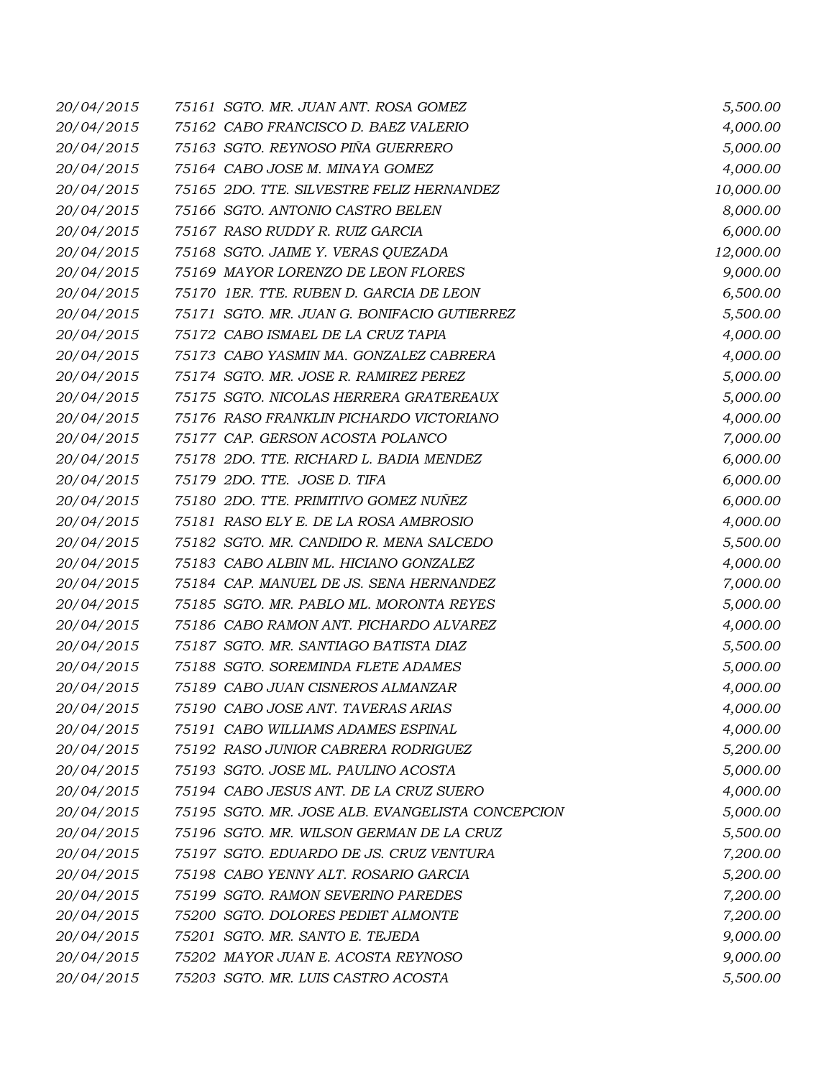| 20/04/2015 | 75161 SGTO. MR. JUAN ANT. ROSA GOMEZ             | 5,500.00  |
|------------|--------------------------------------------------|-----------|
| 20/04/2015 | 75162 CABO FRANCISCO D. BAEZ VALERIO             | 4,000.00  |
| 20/04/2015 | 75163 SGTO. REYNOSO PIÑA GUERRERO                | 5,000.00  |
| 20/04/2015 | 75164 CABO JOSE M. MINAYA GOMEZ                  | 4,000.00  |
| 20/04/2015 | 75165 2DO. TTE. SILVESTRE FELIZ HERNANDEZ        | 10,000.00 |
| 20/04/2015 | 75166 SGTO. ANTONIO CASTRO BELEN                 | 8,000.00  |
| 20/04/2015 | 75167 RASO RUDDY R. RUIZ GARCIA                  | 6,000.00  |
| 20/04/2015 | 75168 SGTO. JAIME Y. VERAS QUEZADA               | 12,000.00 |
| 20/04/2015 | 75169 MAYOR LORENZO DE LEON FLORES               | 9,000.00  |
| 20/04/2015 | 75170 1ER. TTE. RUBEN D. GARCIA DE LEON          | 6,500.00  |
| 20/04/2015 | 75171 SGTO. MR. JUAN G. BONIFACIO GUTIERREZ      | 5,500.00  |
| 20/04/2015 | 75172 CABO ISMAEL DE LA CRUZ TAPIA               | 4,000.00  |
| 20/04/2015 | 75173 CABO YASMIN MA. GONZALEZ CABRERA           | 4,000.00  |
| 20/04/2015 | 75174 SGTO. MR. JOSE R. RAMIREZ PEREZ            | 5,000.00  |
| 20/04/2015 | 75175 SGTO. NICOLAS HERRERA GRATEREAUX           | 5,000.00  |
| 20/04/2015 | 75176 RASO FRANKLIN PICHARDO VICTORIANO          | 4,000.00  |
| 20/04/2015 | 75177 CAP. GERSON ACOSTA POLANCO                 | 7,000.00  |
| 20/04/2015 | 75178 2DO. TTE. RICHARD L. BADIA MENDEZ          | 6,000.00  |
| 20/04/2015 | 75179 2DO. TTE. JOSE D. TIFA                     | 6,000.00  |
| 20/04/2015 | 75180 2DO. TTE. PRIMITIVO GOMEZ NUÑEZ            | 6,000.00  |
| 20/04/2015 | 75181 RASO ELY E. DE LA ROSA AMBROSIO            | 4,000.00  |
| 20/04/2015 | 75182 SGTO. MR. CANDIDO R. MENA SALCEDO          | 5,500.00  |
| 20/04/2015 | 75183 CABO ALBIN ML. HICIANO GONZALEZ            | 4,000.00  |
| 20/04/2015 | 75184 CAP. MANUEL DE JS. SENA HERNANDEZ          | 7,000.00  |
| 20/04/2015 | 75185 SGTO. MR. PABLO ML. MORONTA REYES          | 5,000.00  |
| 20/04/2015 | 75186 CABO RAMON ANT. PICHARDO ALVAREZ           | 4,000.00  |
| 20/04/2015 | 75187 SGTO. MR. SANTIAGO BATISTA DIAZ            | 5,500.00  |
| 20/04/2015 | 75188 SGTO. SOREMINDA FLETE ADAMES               | 5,000.00  |
| 20/04/2015 | 75189 CABO JUAN CISNEROS ALMANZAR                | 4,000.00  |
| 20/04/2015 | 75190 CABO JOSE ANT. TAVERAS ARIAS               | 4,000.00  |
| 20/04/2015 | 75191 CABO WILLIAMS ADAMES ESPINAL               | 4,000.00  |
| 20/04/2015 | 75192 RASO JUNIOR CABRERA RODRIGUEZ              | 5,200.00  |
| 20/04/2015 | 75193 SGTO. JOSE ML. PAULINO ACOSTA              | 5,000.00  |
| 20/04/2015 | 75194 CABO JESUS ANT. DE LA CRUZ SUERO           | 4,000.00  |
| 20/04/2015 | 75195 SGTO. MR. JOSE ALB. EVANGELISTA CONCEPCION | 5,000.00  |
| 20/04/2015 | 75196 SGTO. MR. WILSON GERMAN DE LA CRUZ         | 5,500.00  |
| 20/04/2015 | 75197 SGTO. EDUARDO DE JS. CRUZ VENTURA          | 7,200.00  |
| 20/04/2015 | 75198 CABO YENNY ALT. ROSARIO GARCIA             | 5,200.00  |
| 20/04/2015 | 75199 SGTO. RAMON SEVERINO PAREDES               | 7,200.00  |
| 20/04/2015 | 75200 SGTO. DOLORES PEDIET ALMONTE               | 7,200.00  |
| 20/04/2015 | 75201 SGTO. MR. SANTO E. TEJEDA                  | 9,000.00  |
| 20/04/2015 | 75202 MAYOR JUAN E. ACOSTA REYNOSO               | 9,000.00  |
| 20/04/2015 | 75203 SGTO. MR. LUIS CASTRO ACOSTA               | 5,500.00  |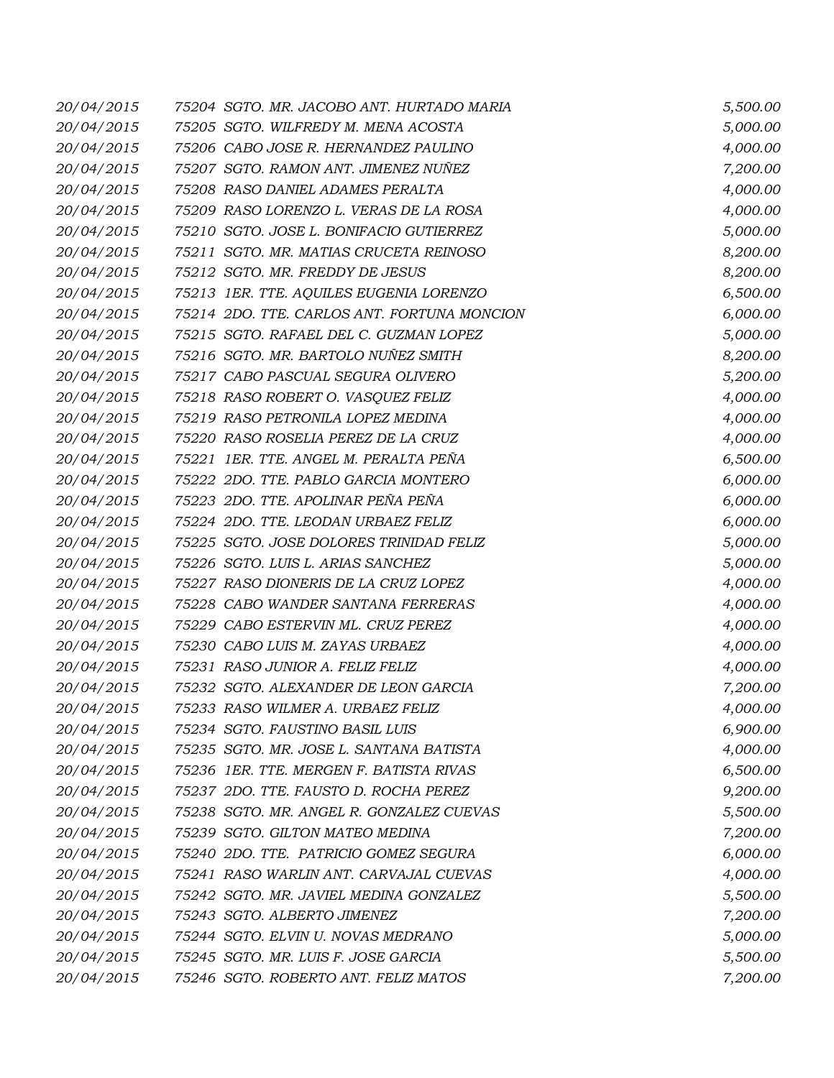| 20/04/2015 | 75204 SGTO. MR. JACOBO ANT. HURTADO MARIA   | 5,500.00 |
|------------|---------------------------------------------|----------|
| 20/04/2015 | 75205 SGTO. WILFREDY M. MENA ACOSTA         | 5,000.00 |
| 20/04/2015 | 75206 CABO JOSE R. HERNANDEZ PAULINO        | 4,000.00 |
| 20/04/2015 | 75207 SGTO. RAMON ANT. JIMENEZ NUÑEZ        | 7,200.00 |
| 20/04/2015 | 75208 RASO DANIEL ADAMES PERALTA            | 4,000.00 |
| 20/04/2015 | 75209 RASO LORENZO L. VERAS DE LA ROSA      | 4,000.00 |
| 20/04/2015 | 75210 SGTO. JOSE L. BONIFACIO GUTIERREZ     | 5,000.00 |
| 20/04/2015 | 75211 SGTO. MR. MATIAS CRUCETA REINOSO      | 8,200.00 |
| 20/04/2015 | 75212 SGTO. MR. FREDDY DE JESUS             | 8,200.00 |
| 20/04/2015 | 75213 IER. TTE. AQUILES EUGENIA LORENZO     | 6,500.00 |
| 20/04/2015 | 75214 2DO. TTE. CARLOS ANT. FORTUNA MONCION | 6,000.00 |
| 20/04/2015 | 75215 SGTO. RAFAEL DEL C. GUZMAN LOPEZ      | 5,000.00 |
| 20/04/2015 | 75216 SGTO. MR. BARTOLO NUÑEZ SMITH         | 8,200.00 |
| 20/04/2015 | 75217 CABO PASCUAL SEGURA OLIVERO           | 5,200.00 |
| 20/04/2015 | 75218 RASO ROBERT O. VASQUEZ FELIZ          | 4,000.00 |
| 20/04/2015 | 75219 RASO PETRONILA LOPEZ MEDINA           | 4,000.00 |
| 20/04/2015 | 75220 RASO ROSELIA PEREZ DE LA CRUZ         | 4,000.00 |
| 20/04/2015 | 75221 IER. TTE. ANGEL M. PERALTA PEÑA       | 6,500.00 |
| 20/04/2015 | 75222 2DO. TTE. PABLO GARCIA MONTERO        | 6,000.00 |
| 20/04/2015 | 75223 2DO. TTE. APOLINAR PEÑA PEÑA          | 6,000.00 |
| 20/04/2015 | 75224 2DO. TTE. LEODAN URBAEZ FELIZ         | 6,000.00 |
| 20/04/2015 | 75225 SGTO. JOSE DOLORES TRINIDAD FELIZ     | 5,000.00 |
| 20/04/2015 | 75226 SGTO. LUIS L. ARIAS SANCHEZ           | 5,000.00 |
| 20/04/2015 | 75227 RASO DIONERIS DE LA CRUZ LOPEZ        | 4,000.00 |
| 20/04/2015 | 75228 CABO WANDER SANTANA FERRERAS          | 4,000.00 |
| 20/04/2015 | 75229 CABO ESTERVIN ML. CRUZ PEREZ          | 4,000.00 |
| 20/04/2015 | 75230 CABO LUIS M. ZAYAS URBAEZ             | 4,000.00 |
| 20/04/2015 | 75231 RASO JUNIOR A. FELIZ FELIZ            | 4,000.00 |
| 20/04/2015 | 75232 SGTO. ALEXANDER DE LEON GARCIA        | 7,200.00 |
| 20/04/2015 | 75233 RASO WILMER A. URBAEZ FELIZ           | 4,000.00 |
| 20/04/2015 | 75234 SGTO. FAUSTINO BASIL LUIS             | 6,900.00 |
| 20/04/2015 | 75235 SGTO. MR. JOSE L. SANTANA BATISTA     | 4,000.00 |
| 20/04/2015 | 75236 IER. TTE. MERGEN F. BATISTA RIVAS     | 6,500.00 |
| 20/04/2015 | 75237 2DO. TTE. FAUSTO D. ROCHA PEREZ       | 9,200.00 |
| 20/04/2015 | 75238 SGTO. MR. ANGEL R. GONZALEZ CUEVAS    | 5,500.00 |
| 20/04/2015 | 75239 SGTO. GILTON MATEO MEDINA             | 7,200.00 |
| 20/04/2015 | 75240 2DO. TTE. PATRICIO GOMEZ SEGURA       | 6,000.00 |
| 20/04/2015 | 75241 RASO WARLIN ANT. CARVAJAL CUEVAS      | 4,000.00 |
| 20/04/2015 | 75242 SGTO. MR. JAVIEL MEDINA GONZALEZ      | 5,500.00 |
| 20/04/2015 | 75243 SGTO. ALBERTO JIMENEZ                 | 7,200.00 |
| 20/04/2015 | 75244 SGTO. ELVIN U. NOVAS MEDRANO          | 5,000.00 |
| 20/04/2015 | 75245 SGTO. MR. LUIS F. JOSE GARCIA         | 5,500.00 |
| 20/04/2015 | 75246 SGTO. ROBERTO ANT. FELIZ MATOS        | 7,200.00 |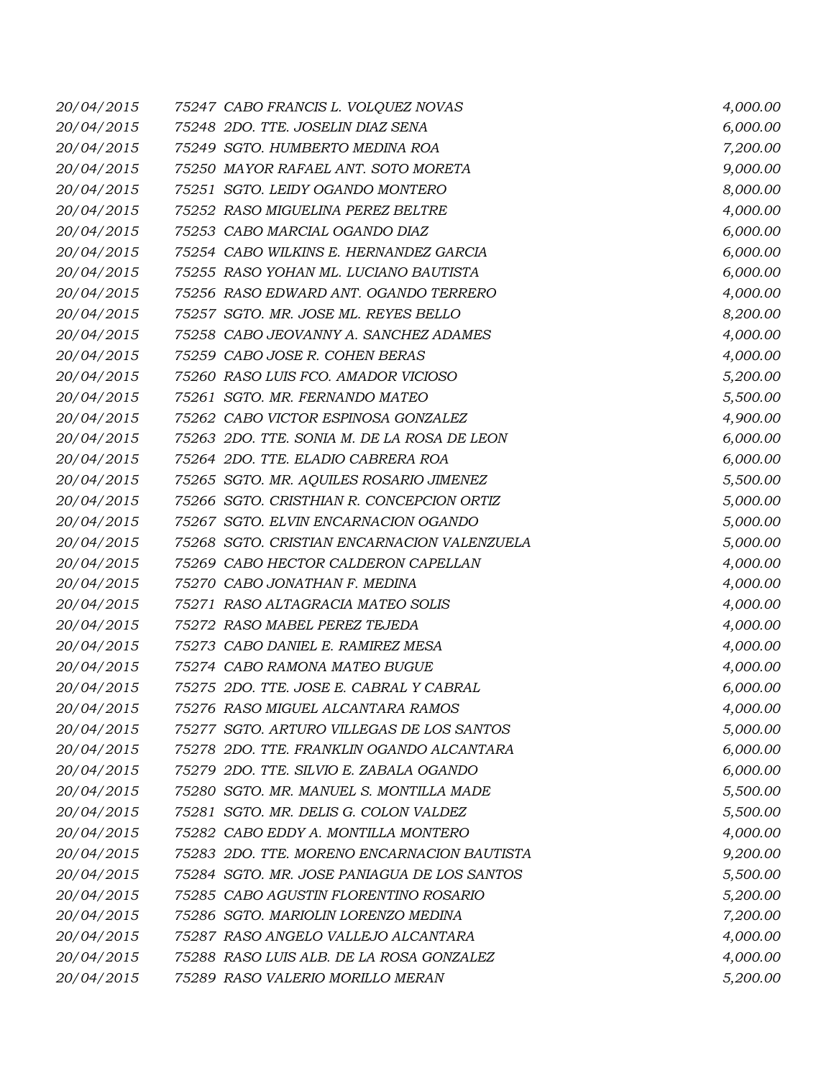| 20/04/2015 | 75247 CABO FRANCIS L. VOLQUEZ NOVAS         | 4,000.00 |
|------------|---------------------------------------------|----------|
| 20/04/2015 | 75248 2DO. TTE. JOSELIN DIAZ SENA           | 6,000.00 |
| 20/04/2015 | 75249 SGTO. HUMBERTO MEDINA ROA             | 7,200.00 |
| 20/04/2015 | 75250 MAYOR RAFAEL ANT. SOTO MORETA         | 9,000.00 |
| 20/04/2015 | 75251 SGTO. LEIDY OGANDO MONTERO            | 8,000.00 |
| 20/04/2015 | 75252 RASO MIGUELINA PEREZ BELTRE           | 4,000.00 |
| 20/04/2015 | 75253 CABO MARCIAL OGANDO DIAZ              | 6,000.00 |
| 20/04/2015 | 75254 CABO WILKINS E. HERNANDEZ GARCIA      | 6,000.00 |
| 20/04/2015 | 75255 RASO YOHAN ML. LUCIANO BAUTISTA       | 6,000.00 |
| 20/04/2015 | 75256 RASO EDWARD ANT. OGANDO TERRERO       | 4,000.00 |
| 20/04/2015 | 75257 SGTO. MR. JOSE ML. REYES BELLO        | 8,200.00 |
| 20/04/2015 | 75258 CABO JEOVANNY A. SANCHEZ ADAMES       | 4,000.00 |
| 20/04/2015 | 75259 CABO JOSE R. COHEN BERAS              | 4,000.00 |
| 20/04/2015 | 75260 RASO LUIS FCO. AMADOR VICIOSO         | 5,200.00 |
| 20/04/2015 | 75261 SGTO. MR. FERNANDO MATEO              | 5,500.00 |
| 20/04/2015 | 75262 CABO VICTOR ESPINOSA GONZALEZ         | 4,900.00 |
| 20/04/2015 | 75263 2DO. TTE. SONIA M. DE LA ROSA DE LEON | 6,000.00 |
| 20/04/2015 | 75264 2DO. TTE. ELADIO CABRERA ROA          | 6,000.00 |
| 20/04/2015 | 75265 SGTO. MR. AQUILES ROSARIO JIMENEZ     | 5,500.00 |
| 20/04/2015 | 75266 SGTO. CRISTHIAN R. CONCEPCION ORTIZ   | 5,000.00 |
| 20/04/2015 | 75267 SGTO. ELVIN ENCARNACION OGANDO        | 5,000.00 |
| 20/04/2015 | 75268 SGTO. CRISTIAN ENCARNACION VALENZUELA | 5,000.00 |
| 20/04/2015 | 75269 CABO HECTOR CALDERON CAPELLAN         | 4,000.00 |
| 20/04/2015 | 75270 CABO JONATHAN F. MEDINA               | 4,000.00 |
| 20/04/2015 | 75271 RASO ALTAGRACIA MATEO SOLIS           | 4,000.00 |
| 20/04/2015 | 75272 RASO MABEL PEREZ TEJEDA               | 4,000.00 |
| 20/04/2015 | 75273 CABO DANIEL E. RAMIREZ MESA           | 4,000.00 |
| 20/04/2015 | 75274 CABO RAMONA MATEO BUGUE               | 4,000.00 |
| 20/04/2015 | 75275 2DO. TTE. JOSE E. CABRAL Y CABRAL     | 6,000.00 |
| 20/04/2015 | 75276 RASO MIGUEL ALCANTARA RAMOS           | 4,000.00 |
| 20/04/2015 | 75277 SGTO. ARTURO VILLEGAS DE LOS SANTOS   | 5,000.00 |
| 20/04/2015 | 75278 2DO. TTE. FRANKLIN OGANDO ALCANTARA   | 6,000.00 |
| 20/04/2015 | 75279 2DO. TTE, SILVIO E, ZABALA OGANDO     | 6,000.00 |
| 20/04/2015 | 75280 SGTO. MR. MANUEL S. MONTILLA MADE     | 5,500.00 |
| 20/04/2015 | 75281 SGTO. MR. DELIS G. COLON VALDEZ       | 5,500.00 |
| 20/04/2015 | 75282 CABO EDDY A. MONTILLA MONTERO         | 4,000.00 |
| 20/04/2015 | 75283 2DO. TTE. MORENO ENCARNACION BAUTISTA | 9,200.00 |
| 20/04/2015 | 75284 SGTO. MR. JOSE PANIAGUA DE LOS SANTOS | 5,500.00 |
| 20/04/2015 | 75285 CABO AGUSTIN FLORENTINO ROSARIO       | 5,200.00 |
| 20/04/2015 | 75286 SGTO. MARIOLIN LORENZO MEDINA         | 7,200.00 |
| 20/04/2015 | 75287 RASO ANGELO VALLEJO ALCANTARA         | 4,000.00 |
| 20/04/2015 | 75288 RASO LUIS ALB. DE LA ROSA GONZALEZ    | 4,000.00 |
| 20/04/2015 | 75289 RASO VALERIO MORILLO MERAN            | 5,200.00 |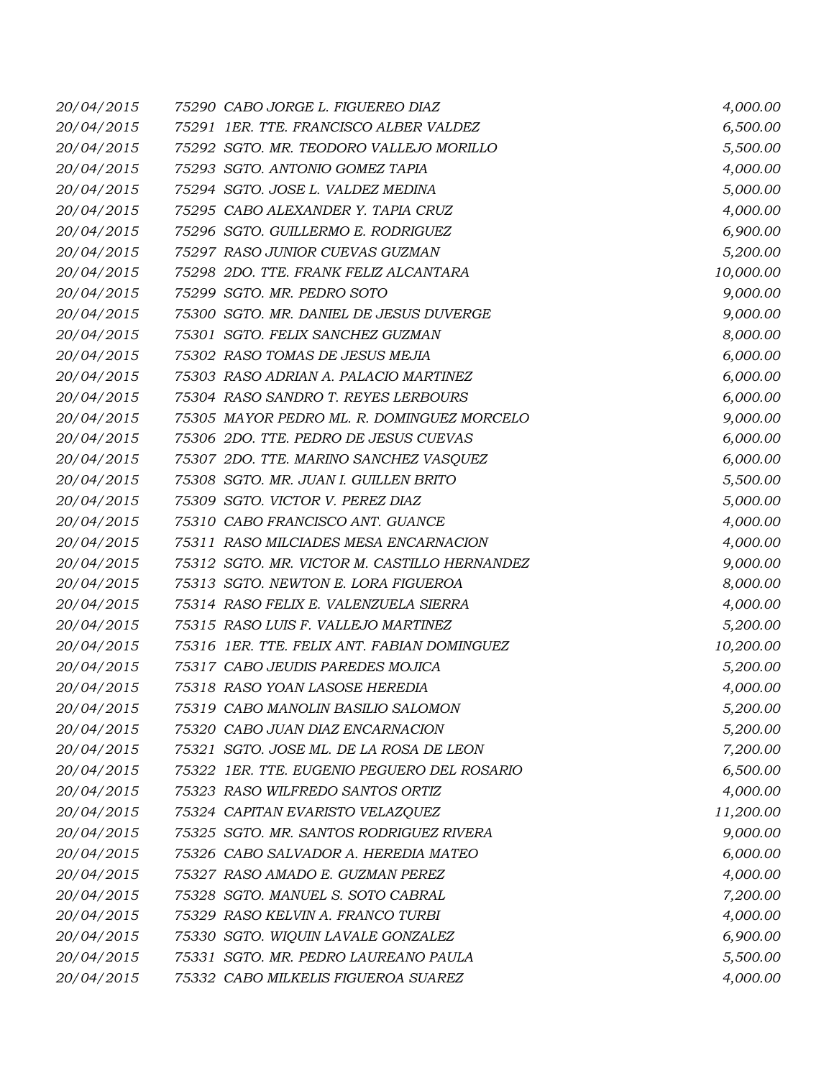| 20/04/2015 | 75290 CABO JORGE L. FIGUEREO DIAZ            | 4,000.00  |
|------------|----------------------------------------------|-----------|
| 20/04/2015 | 75291 IER. TTE. FRANCISCO ALBER VALDEZ       | 6,500.00  |
| 20/04/2015 | 75292 SGTO. MR. TEODORO VALLEJO MORILLO      | 5,500.00  |
| 20/04/2015 | 75293 SGTO. ANTONIO GOMEZ TAPIA              | 4,000.00  |
| 20/04/2015 | 75294 SGTO. JOSE L. VALDEZ MEDINA            | 5,000.00  |
| 20/04/2015 | 75295 CABO ALEXANDER Y. TAPIA CRUZ           | 4,000.00  |
| 20/04/2015 | 75296 SGTO. GUILLERMO E. RODRIGUEZ           | 6,900.00  |
| 20/04/2015 | 75297 RASO JUNIOR CUEVAS GUZMAN              | 5,200.00  |
| 20/04/2015 | 75298 2DO. TTE. FRANK FELIZ ALCANTARA        | 10,000.00 |
| 20/04/2015 | 75299 SGTO. MR. PEDRO SOTO                   | 9,000.00  |
| 20/04/2015 | 75300 SGTO. MR. DANIEL DE JESUS DUVERGE      | 9,000.00  |
| 20/04/2015 | 75301 SGTO. FELIX SANCHEZ GUZMAN             | 8,000.00  |
| 20/04/2015 | 75302 RASO TOMAS DE JESUS MEJIA              | 6,000.00  |
| 20/04/2015 | 75303 RASO ADRIAN A. PALACIO MARTINEZ        | 6,000.00  |
| 20/04/2015 | 75304 RASO SANDRO T. REYES LERBOURS          | 6,000.00  |
| 20/04/2015 | 75305 MAYOR PEDRO ML. R. DOMINGUEZ MORCELO   | 9,000.00  |
| 20/04/2015 | 75306 2DO. TTE. PEDRO DE JESUS CUEVAS        | 6,000.00  |
| 20/04/2015 | 75307 2DO. TTE. MARINO SANCHEZ VASQUEZ       | 6,000.00  |
| 20/04/2015 | 75308 SGTO. MR. JUAN I. GUILLEN BRITO        | 5,500.00  |
| 20/04/2015 | 75309 SGTO. VICTOR V. PEREZ DIAZ             | 5,000.00  |
| 20/04/2015 | 75310 CABO FRANCISCO ANT. GUANCE             | 4,000.00  |
| 20/04/2015 | 75311 RASO MILCIADES MESA ENCARNACION        | 4,000.00  |
| 20/04/2015 | 75312 SGTO. MR. VICTOR M. CASTILLO HERNANDEZ | 9,000.00  |
| 20/04/2015 | 75313 SGTO. NEWTON E. LORA FIGUEROA          | 8,000.00  |
| 20/04/2015 | 75314 RASO FELIX E. VALENZUELA SIERRA        | 4,000.00  |
| 20/04/2015 | 75315 RASO LUIS F. VALLEJO MARTINEZ          | 5,200.00  |
| 20/04/2015 | 75316 1ER. TTE. FELIX ANT. FABIAN DOMINGUEZ  | 10,200.00 |
| 20/04/2015 | 75317 CABO JEUDIS PAREDES MOJICA             | 5,200.00  |
| 20/04/2015 | 75318 RASO YOAN LASOSE HEREDIA               | 4,000.00  |
| 20/04/2015 | 75319 CABO MANOLIN BASILIO SALOMON           | 5,200.00  |
| 20/04/2015 | 75320 CABO JUAN DIAZ ENCARNACION             | 5,200.00  |
| 20/04/2015 | 75321 SGTO. JOSE ML. DE LA ROSA DE LEON      | 7,200.00  |
| 20/04/2015 | 75322 1ER. TTE. EUGENIO PEGUERO DEL ROSARIO  | 6,500.00  |
| 20/04/2015 | 75323 RASO WILFREDO SANTOS ORTIZ             | 4,000.00  |
| 20/04/2015 | 75324 CAPITAN EVARISTO VELAZQUEZ             | 11,200.00 |
| 20/04/2015 | 75325 SGTO. MR. SANTOS RODRIGUEZ RIVERA      | 9,000.00  |
| 20/04/2015 | 75326 CABO SALVADOR A. HEREDIA MATEO         | 6,000.00  |
| 20/04/2015 | 75327 RASO AMADO E. GUZMAN PEREZ             | 4,000.00  |
| 20/04/2015 | 75328 SGTO. MANUEL S. SOTO CABRAL            | 7,200.00  |
| 20/04/2015 | 75329 RASO KELVIN A. FRANCO TURBI            | 4,000.00  |
| 20/04/2015 | 75330 SGTO. WIQUIN LAVALE GONZALEZ           | 6,900.00  |
| 20/04/2015 | 75331 SGTO. MR. PEDRO LAUREANO PAULA         | 5,500.00  |
| 20/04/2015 | 75332 CABO MILKELIS FIGUEROA SUAREZ          | 4,000.00  |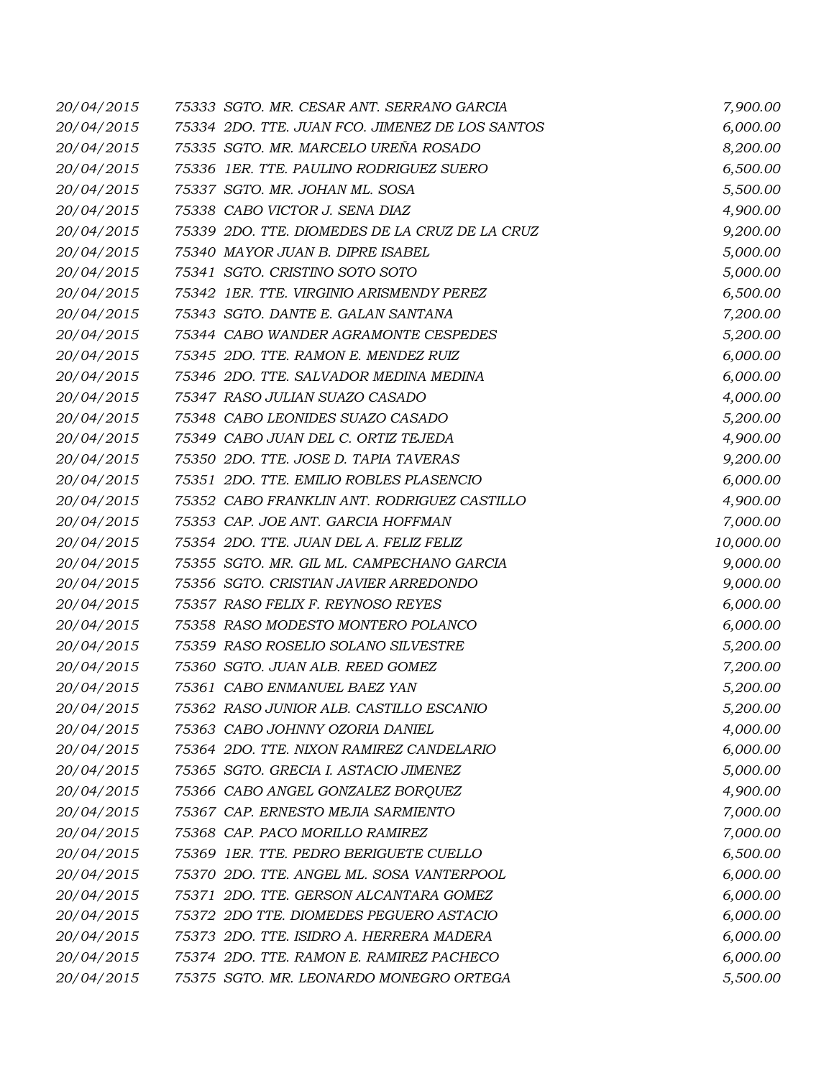| 20/04/2015 | 75333 SGTO. MR. CESAR ANT. SERRANO GARCIA       | 7,900.00  |
|------------|-------------------------------------------------|-----------|
| 20/04/2015 | 75334 2DO. TTE. JUAN FCO. JIMENEZ DE LOS SANTOS | 6,000.00  |
| 20/04/2015 | 75335 SGTO. MR. MARCELO UREÑA ROSADO            | 8,200.00  |
| 20/04/2015 | 75336 1ER. TTE. PAULINO RODRIGUEZ SUERO         | 6,500.00  |
| 20/04/2015 | 75337 SGTO. MR. JOHAN ML. SOSA                  | 5,500.00  |
| 20/04/2015 | 75338 CABO VICTOR J. SENA DIAZ                  | 4,900.00  |
| 20/04/2015 | 75339 2DO. TTE. DIOMEDES DE LA CRUZ DE LA CRUZ  | 9,200.00  |
| 20/04/2015 | 75340 MAYOR JUAN B. DIPRE ISABEL                | 5,000.00  |
| 20/04/2015 | 75341 SGTO. CRISTINO SOTO SOTO                  | 5,000.00  |
| 20/04/2015 | 75342 1ER. TTE. VIRGINIO ARISMENDY PEREZ        | 6,500.00  |
| 20/04/2015 | 75343 SGTO. DANTE E. GALAN SANTANA              | 7,200.00  |
| 20/04/2015 | 75344 CABO WANDER AGRAMONTE CESPEDES            | 5,200.00  |
| 20/04/2015 | 75345 2DO. TTE. RAMON E. MENDEZ RUIZ            | 6,000.00  |
| 20/04/2015 | 75346 2DO. TTE. SALVADOR MEDINA MEDINA          | 6,000.00  |
| 20/04/2015 | 75347 RASO JULIAN SUAZO CASADO                  | 4,000.00  |
| 20/04/2015 | 75348 CABO LEONIDES SUAZO CASADO                | 5,200.00  |
| 20/04/2015 | 75349 CABO JUAN DEL C. ORTIZ TEJEDA             | 4,900.00  |
| 20/04/2015 | 75350 2DO. TTE. JOSE D. TAPIA TAVERAS           | 9,200.00  |
| 20/04/2015 | 75351 2DO. TTE. EMILIO ROBLES PLASENCIO         | 6,000.00  |
| 20/04/2015 | 75352 CABO FRANKLIN ANT. RODRIGUEZ CASTILLO     | 4,900.00  |
| 20/04/2015 | 75353 CAP. JOE ANT. GARCIA HOFFMAN              | 7,000.00  |
| 20/04/2015 | 75354 2DO. TTE. JUAN DEL A. FELIZ FELIZ         | 10,000.00 |
| 20/04/2015 | 75355 SGTO. MR. GIL ML. CAMPECHANO GARCIA       | 9,000.00  |
| 20/04/2015 | 75356 SGTO. CRISTIAN JAVIER ARREDONDO           | 9,000.00  |
| 20/04/2015 | 75357 RASO FELIX F. REYNOSO REYES               | 6,000.00  |
| 20/04/2015 | 75358 RASO MODESTO MONTERO POLANCO              | 6,000.00  |
| 20/04/2015 | 75359 RASO ROSELIO SOLANO SILVESTRE             | 5,200.00  |
| 20/04/2015 | 75360 SGTO. JUAN ALB. REED GOMEZ                | 7,200.00  |
| 20/04/2015 | 75361 CABO ENMANUEL BAEZ YAN                    | 5,200.00  |
| 20/04/2015 | 75362 RASO JUNIOR ALB. CASTILLO ESCANIO         | 5,200.00  |
| 20/04/2015 | 75363 CABO JOHNNY OZORIA DANIEL                 | 4,000.00  |
| 20/04/2015 | 75364 2DO. TTE. NIXON RAMIREZ CANDELARIO        | 6,000.00  |
| 20/04/2015 | 75365 SGTO. GRECIA I. ASTACIO JIMENEZ           | 5,000.00  |
| 20/04/2015 | 75366 CABO ANGEL GONZALEZ BORQUEZ               | 4,900.00  |
| 20/04/2015 | 75367 CAP. ERNESTO MEJIA SARMIENTO              | 7,000.00  |
| 20/04/2015 | 75368 CAP. PACO MORILLO RAMIREZ                 | 7,000.00  |
| 20/04/2015 | 75369 1ER. TTE. PEDRO BERIGUETE CUELLO          | 6,500.00  |
| 20/04/2015 | 75370 2DO. TTE. ANGEL ML. SOSA VANTERPOOL       | 6,000.00  |
| 20/04/2015 | 75371 2DO. TTE. GERSON ALCANTARA GOMEZ          | 6,000.00  |
| 20/04/2015 | 75372 2DO TTE. DIOMEDES PEGUERO ASTACIO         | 6,000.00  |
| 20/04/2015 | 75373 2DO. TTE. ISIDRO A. HERRERA MADERA        | 6,000.00  |
| 20/04/2015 | 75374 2DO. TTE. RAMON E. RAMIREZ PACHECO        | 6,000.00  |
| 20/04/2015 | 75375 SGTO. MR. LEONARDO MONEGRO ORTEGA         | 5,500.00  |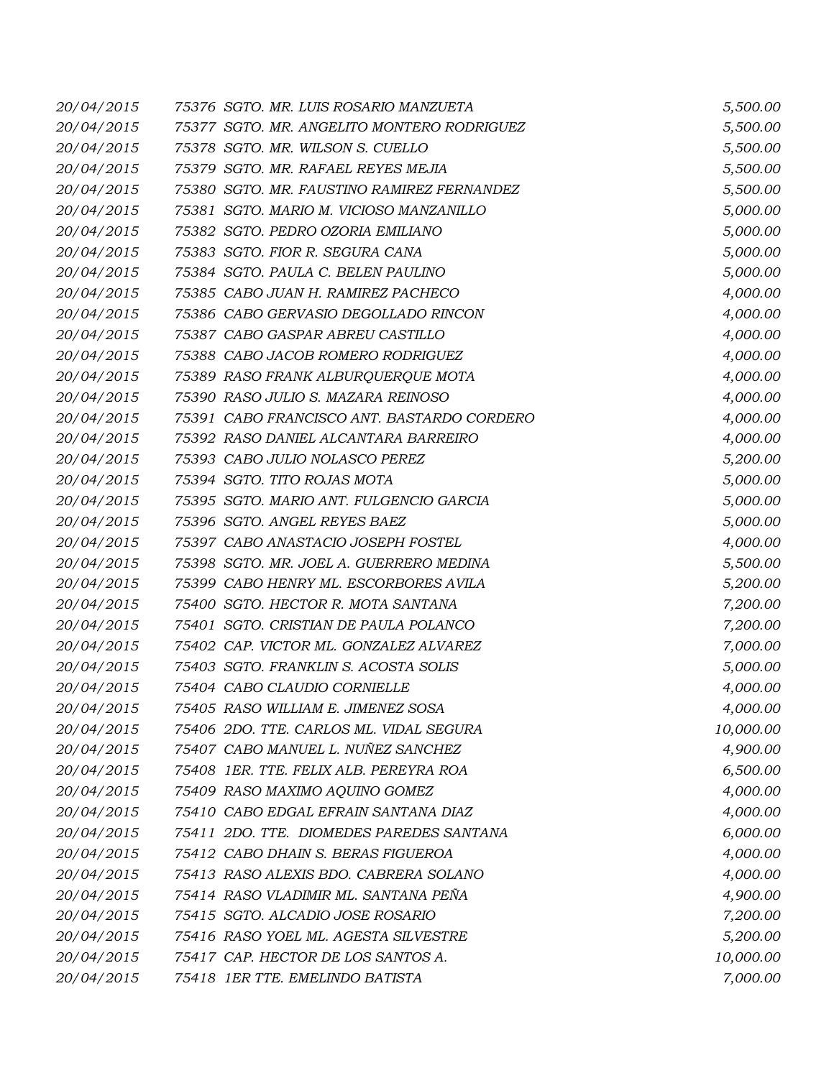| 20/04/2015 | 75376 SGTO. MR. LUIS ROSARIO MANZUETA      | 5,500.00  |
|------------|--------------------------------------------|-----------|
| 20/04/2015 | 75377 SGTO. MR. ANGELITO MONTERO RODRIGUEZ | 5,500.00  |
| 20/04/2015 | 75378 SGTO. MR. WILSON S. CUELLO           | 5,500.00  |
| 20/04/2015 | 75379 SGTO. MR. RAFAEL REYES MEJIA         | 5,500.00  |
| 20/04/2015 | 75380 SGTO. MR. FAUSTINO RAMIREZ FERNANDEZ | 5,500.00  |
| 20/04/2015 | 75381 SGTO. MARIO M. VICIOSO MANZANILLO    | 5,000.00  |
| 20/04/2015 | 75382 SGTO. PEDRO OZORIA EMILIANO          | 5,000.00  |
| 20/04/2015 | 75383 SGTO. FIOR R. SEGURA CANA            | 5,000.00  |
| 20/04/2015 | 75384 SGTO. PAULA C. BELEN PAULINO         | 5,000.00  |
| 20/04/2015 | 75385 CABO JUAN H. RAMIREZ PACHECO         | 4,000.00  |
| 20/04/2015 | 75386 CABO GERVASIO DEGOLLADO RINCON       | 4,000.00  |
| 20/04/2015 | 75387 CABO GASPAR ABREU CASTILLO           | 4,000.00  |
| 20/04/2015 | 75388 CABO JACOB ROMERO RODRIGUEZ          | 4,000.00  |
| 20/04/2015 | 75389 RASO FRANK ALBURQUERQUE MOTA         | 4,000.00  |
| 20/04/2015 | 75390 RASO JULIO S. MAZARA REINOSO         | 4,000.00  |
| 20/04/2015 | 75391 CABO FRANCISCO ANT. BASTARDO CORDERO | 4,000.00  |
| 20/04/2015 | 75392 RASO DANIEL ALCANTARA BARREIRO       | 4,000.00  |
| 20/04/2015 | 75393 CABO JULIO NOLASCO PEREZ             | 5,200.00  |
| 20/04/2015 | 75394 SGTO. TITO ROJAS MOTA                | 5,000.00  |
| 20/04/2015 | 75395 SGTO. MARIO ANT. FULGENCIO GARCIA    | 5,000.00  |
| 20/04/2015 | 75396 SGTO. ANGEL REYES BAEZ               | 5,000.00  |
| 20/04/2015 | 75397 CABO ANASTACIO JOSEPH FOSTEL         | 4,000.00  |
| 20/04/2015 | 75398 SGTO. MR. JOEL A. GUERRERO MEDINA    | 5,500.00  |
| 20/04/2015 | 75399 CABO HENRY ML. ESCORBORES AVILA      | 5,200.00  |
| 20/04/2015 | 75400 SGTO. HECTOR R. MOTA SANTANA         | 7,200.00  |
| 20/04/2015 | 75401 SGTO. CRISTIAN DE PAULA POLANCO      | 7,200.00  |
| 20/04/2015 | 75402 CAP. VICTOR ML. GONZALEZ ALVAREZ     | 7,000.00  |
| 20/04/2015 | 75403 SGTO. FRANKLIN S. ACOSTA SOLIS       | 5,000.00  |
| 20/04/2015 | 75404 CABO CLAUDIO CORNIELLE               | 4,000.00  |
| 20/04/2015 | 75405 RASO WILLIAM E. JIMENEZ SOSA         | 4,000.00  |
| 20/04/2015 | 75406 2DO. TTE. CARLOS ML. VIDAL SEGURA    | 10,000.00 |
| 20/04/2015 | 75407 CABO MANUEL L. NUÑEZ SANCHEZ         | 4,900.00  |
| 20/04/2015 | 75408 IER. TTE, FELIX ALB. PEREYRA ROA     | 6,500.00  |
| 20/04/2015 | 75409 RASO MAXIMO AQUINO GOMEZ             | 4,000.00  |
| 20/04/2015 | 75410 CABO EDGAL EFRAIN SANTANA DIAZ       | 4,000.00  |
| 20/04/2015 | 75411 2DO. TTE. DIOMEDES PAREDES SANTANA   | 6,000.00  |
| 20/04/2015 | 75412 CABO DHAIN S. BERAS FIGUEROA         | 4,000.00  |
| 20/04/2015 | 75413 RASO ALEXIS BDO. CABRERA SOLANO      | 4,000.00  |
| 20/04/2015 | 75414 RASO VLADIMIR ML. SANTANA PEÑA       | 4,900.00  |
| 20/04/2015 | 75415 SGTO. ALCADIO JOSE ROSARIO           | 7,200.00  |
| 20/04/2015 | 75416 RASO YOEL ML. AGESTA SILVESTRE       | 5,200.00  |
| 20/04/2015 | 75417 CAP. HECTOR DE LOS SANTOS A.         | 10,000.00 |
| 20/04/2015 | 75418 1ER TTE. EMELINDO BATISTA            | 7,000.00  |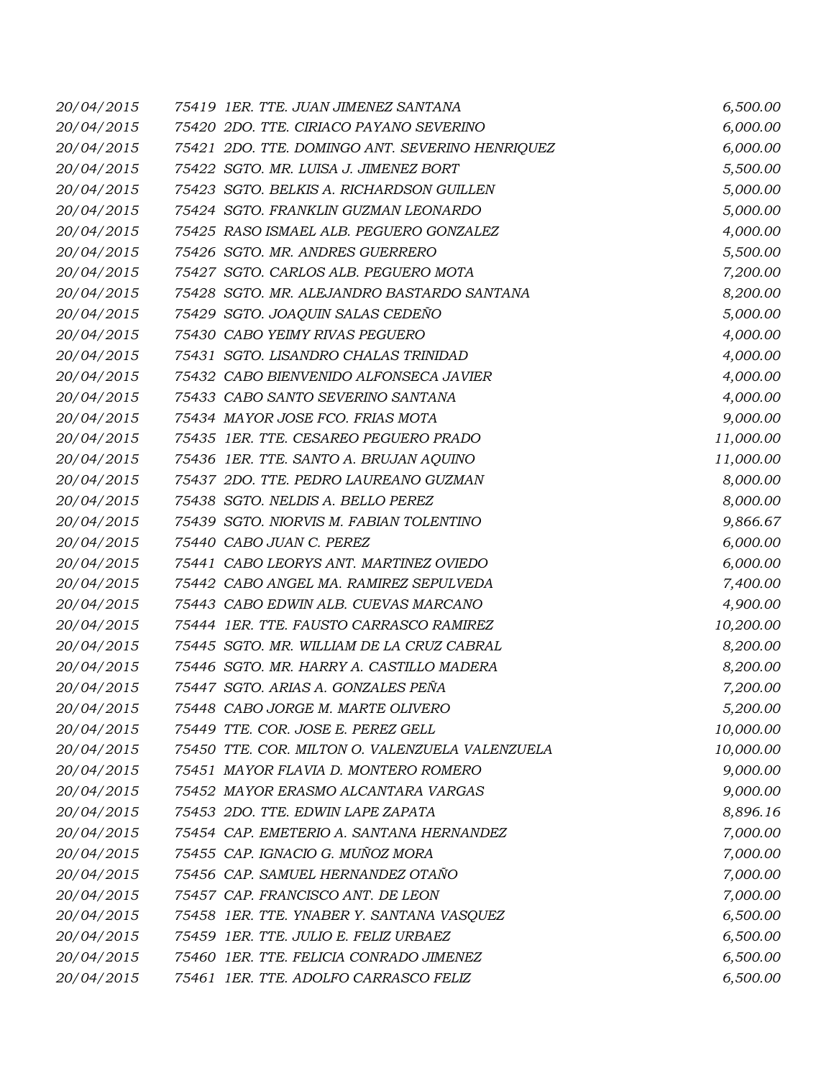| 20/04/2015 | 75419 IER. TTE. JUAN JIMENEZ SANTANA            | 6,500.00  |
|------------|-------------------------------------------------|-----------|
| 20/04/2015 | 75420 2DO. TTE. CIRIACO PAYANO SEVERINO         | 6,000.00  |
| 20/04/2015 | 75421 2DO. TTE. DOMINGO ANT. SEVERINO HENRIQUEZ | 6,000.00  |
| 20/04/2015 | 75422 SGTO. MR. LUISA J. JIMENEZ BORT           | 5,500.00  |
| 20/04/2015 | 75423 SGTO. BELKIS A. RICHARDSON GUILLEN        | 5,000.00  |
| 20/04/2015 | 75424 SGTO. FRANKLIN GUZMAN LEONARDO            | 5,000.00  |
| 20/04/2015 | 75425 RASO ISMAEL ALB. PEGUERO GONZALEZ         | 4,000.00  |
| 20/04/2015 | 75426 SGTO. MR. ANDRES GUERRERO                 | 5,500.00  |
| 20/04/2015 | 75427 SGTO. CARLOS ALB. PEGUERO MOTA            | 7,200.00  |
| 20/04/2015 | 75428 SGTO. MR. ALEJANDRO BASTARDO SANTANA      | 8,200.00  |
| 20/04/2015 | 75429 SGTO. JOAQUIN SALAS CEDEÑO                | 5,000.00  |
| 20/04/2015 | 75430 CABO YEIMY RIVAS PEGUERO                  | 4,000.00  |
| 20/04/2015 | 75431 SGTO. LISANDRO CHALAS TRINIDAD            | 4,000.00  |
| 20/04/2015 | 75432 CABO BIENVENIDO ALFONSECA JAVIER          | 4,000.00  |
| 20/04/2015 | 75433 CABO SANTO SEVERINO SANTANA               | 4,000.00  |
| 20/04/2015 | 75434 MAYOR JOSE FCO. FRIAS MOTA                | 9,000.00  |
| 20/04/2015 | 75435 1ER. TTE. CESAREO PEGUERO PRADO           | 11,000.00 |
| 20/04/2015 | 75436 1ER. TTE. SANTO A. BRUJAN AQUINO          | 11,000.00 |
| 20/04/2015 | 75437 2DO. TTE. PEDRO LAUREANO GUZMAN           | 8,000.00  |
| 20/04/2015 | 75438 SGTO. NELDIS A. BELLO PEREZ               | 8,000.00  |
| 20/04/2015 | 75439 SGTO. NIORVIS M. FABIAN TOLENTINO         | 9,866.67  |
| 20/04/2015 | 75440 CABO JUAN C. PEREZ                        | 6,000.00  |
| 20/04/2015 | 75441 CABO LEORYS ANT. MARTINEZ OVIEDO          | 6,000.00  |
| 20/04/2015 | 75442 CABO ANGEL MA. RAMIREZ SEPULVEDA          | 7,400.00  |
| 20/04/2015 | 75443 CABO EDWIN ALB. CUEVAS MARCANO            | 4,900.00  |
| 20/04/2015 | 75444 1ER. TTE. FAUSTO CARRASCO RAMIREZ         | 10,200.00 |
| 20/04/2015 | 75445 SGTO. MR. WILLIAM DE LA CRUZ CABRAL       | 8,200.00  |
| 20/04/2015 | 75446 SGTO. MR. HARRY A. CASTILLO MADERA        | 8,200.00  |
| 20/04/2015 | 75447 SGTO. ARIAS A. GONZALES PEÑA              | 7,200.00  |
| 20/04/2015 | 75448 CABO JORGE M. MARTE OLIVERO               | 5,200.00  |
| 20/04/2015 | 75449 TTE. COR. JOSE E. PEREZ GELL              | 10,000.00 |
| 20/04/2015 | 75450 TTE. COR. MILTON O. VALENZUELA VALENZUELA | 10,000.00 |
| 20/04/2015 | 75451 MAYOR FLAVIA D. MONTERO ROMERO            | 9,000.00  |
| 20/04/2015 | 75452 MAYOR ERASMO ALCANTARA VARGAS             | 9,000.00  |
| 20/04/2015 | 75453 2DO. TTE. EDWIN LAPE ZAPATA               | 8,896.16  |
| 20/04/2015 | 75454 CAP. EMETERIO A. SANTANA HERNANDEZ        | 7,000.00  |
| 20/04/2015 | 75455 CAP. IGNACIO G. MUÑOZ MORA                | 7,000.00  |
| 20/04/2015 | 75456 CAP. SAMUEL HERNANDEZ OTAÑO               | 7,000.00  |
| 20/04/2015 | 75457 CAP. FRANCISCO ANT. DE LEON               | 7,000.00  |
| 20/04/2015 | 75458 IER. TTE. YNABER Y. SANTANA VASQUEZ       | 6,500.00  |
| 20/04/2015 | 75459 1ER. TTE. JULIO E. FELIZ URBAEZ           | 6,500.00  |
| 20/04/2015 | 75460 1ER. TTE. FELICIA CONRADO JIMENEZ         | 6,500.00  |
| 20/04/2015 | 75461 IER. TTE. ADOLFO CARRASCO FELIZ           | 6,500.00  |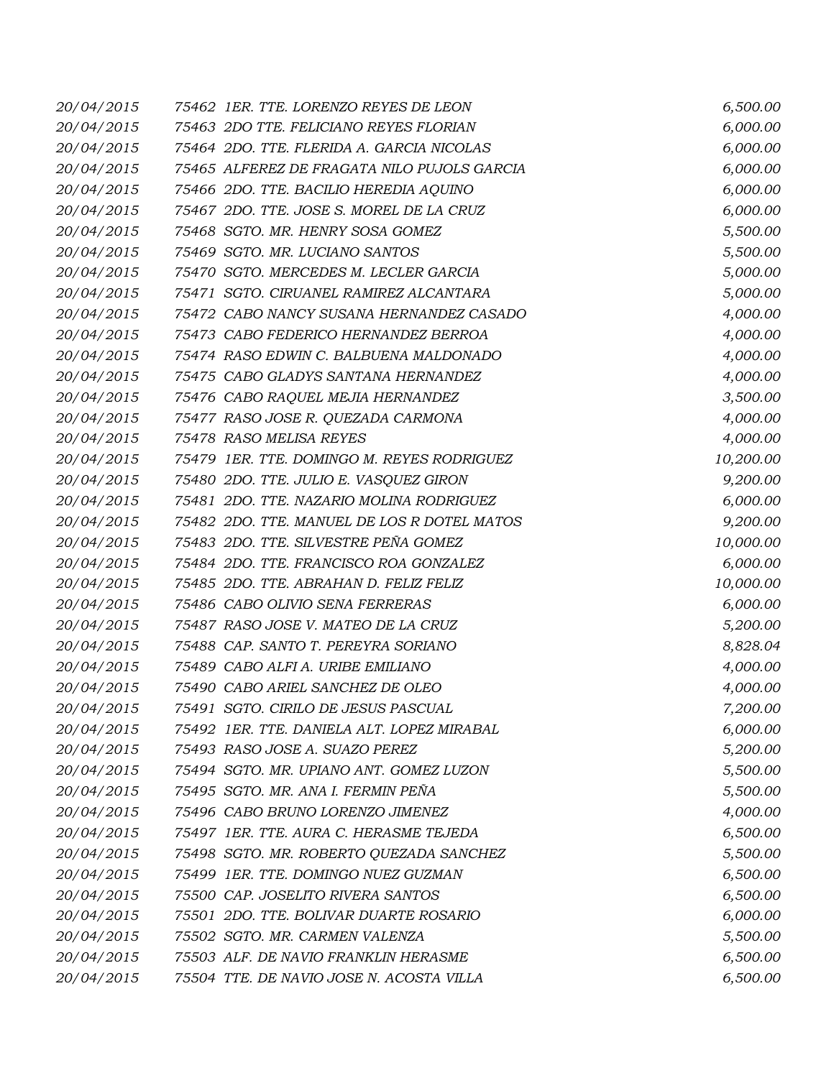| 20/04/2015 | 75462 IER. TTE. LORENZO REYES DE LEON       | 6,500.00  |
|------------|---------------------------------------------|-----------|
| 20/04/2015 | 75463 2DO TTE. FELICIANO REYES FLORIAN      | 6,000.00  |
| 20/04/2015 | 75464 2DO. TTE. FLERIDA A. GARCIA NICOLAS   | 6,000.00  |
| 20/04/2015 | 75465 ALFEREZ DE FRAGATA NILO PUJOLS GARCIA | 6,000.00  |
| 20/04/2015 | 75466 2DO. TTE. BACILIO HEREDIA AQUINO      | 6,000.00  |
| 20/04/2015 | 75467 2DO. TTE. JOSE S. MOREL DE LA CRUZ    | 6,000.00  |
| 20/04/2015 | 75468 SGTO. MR. HENRY SOSA GOMEZ            | 5,500.00  |
| 20/04/2015 | 75469 SGTO. MR. LUCIANO SANTOS              | 5,500.00  |
| 20/04/2015 | 75470 SGTO. MERCEDES M. LECLER GARCIA       | 5,000.00  |
| 20/04/2015 | 75471 SGTO. CIRUANEL RAMIREZ ALCANTARA      | 5,000.00  |
| 20/04/2015 | 75472 CABO NANCY SUSANA HERNANDEZ CASADO    | 4,000.00  |
| 20/04/2015 | 75473 CABO FEDERICO HERNANDEZ BERROA        | 4,000.00  |
| 20/04/2015 | 75474 RASO EDWIN C. BALBUENA MALDONADO      | 4,000.00  |
| 20/04/2015 | 75475 CABO GLADYS SANTANA HERNANDEZ         | 4,000.00  |
| 20/04/2015 | 75476 CABO RAQUEL MEJIA HERNANDEZ           | 3,500.00  |
| 20/04/2015 | 75477 RASO JOSE R. QUEZADA CARMONA          | 4,000.00  |
| 20/04/2015 | 75478 RASO MELISA REYES                     | 4,000.00  |
| 20/04/2015 | 75479 1ER. TTE. DOMINGO M. REYES RODRIGUEZ  | 10,200.00 |
| 20/04/2015 | 75480 2DO. TTE. JULIO E. VASQUEZ GIRON      | 9,200.00  |
| 20/04/2015 | 75481 2DO. TTE. NAZARIO MOLINA RODRIGUEZ    | 6,000.00  |
| 20/04/2015 | 75482 2DO. TTE. MANUEL DE LOS R DOTEL MATOS | 9,200.00  |
| 20/04/2015 | 75483 2DO. TTE. SILVESTRE PEÑA GOMEZ        | 10,000.00 |
| 20/04/2015 | 75484 2DO. TTE. FRANCISCO ROA GONZALEZ      | 6,000.00  |
| 20/04/2015 | 75485 2DO. TTE. ABRAHAN D. FELIZ FELIZ      | 10,000.00 |
| 20/04/2015 | 75486 CABO OLIVIO SENA FERRERAS             | 6,000.00  |
| 20/04/2015 | 75487 RASO JOSE V. MATEO DE LA CRUZ         | 5,200.00  |
| 20/04/2015 | 75488 CAP. SANTO T. PEREYRA SORIANO         | 8,828.04  |
| 20/04/2015 | 75489 CABO ALFI A. URIBE EMILIANO           | 4,000.00  |
| 20/04/2015 | 75490 CABO ARIEL SANCHEZ DE OLEO            | 4,000.00  |
| 20/04/2015 | 75491 SGTO. CIRILO DE JESUS PASCUAL         | 7,200.00  |
| 20/04/2015 | 75492 IER. TTE. DANIELA ALT. LOPEZ MIRABAL  | 6,000.00  |
| 20/04/2015 | 75493 RASO JOSE A. SUAZO PEREZ              | 5,200.00  |
| 20/04/2015 | 75494 SGTO. MR. UPIANO ANT. GOMEZ LUZON     | 5,500.00  |
| 20/04/2015 | 75495 SGTO. MR. ANA I. FERMIN PEÑA          | 5,500.00  |
| 20/04/2015 | 75496 CABO BRUNO LORENZO JIMENEZ            | 4,000.00  |
| 20/04/2015 | 75497 1ER. TTE. AURA C. HERASME TEJEDA      | 6,500.00  |
| 20/04/2015 | 75498 SGTO. MR. ROBERTO QUEZADA SANCHEZ     | 5,500.00  |
| 20/04/2015 | 75499 1ER. TTE. DOMINGO NUEZ GUZMAN         | 6,500.00  |
| 20/04/2015 | 75500 CAP. JOSELITO RIVERA SANTOS           | 6,500.00  |
| 20/04/2015 | 75501 2DO. TTE. BOLIVAR DUARTE ROSARIO      | 6,000.00  |
| 20/04/2015 | 75502 SGTO. MR. CARMEN VALENZA              | 5,500.00  |
| 20/04/2015 | 75503 ALF. DE NAVIO FRANKLIN HERASME        | 6,500.00  |
| 20/04/2015 | 75504 TTE. DE NAVIO JOSE N. ACOSTA VILLA    | 6,500.00  |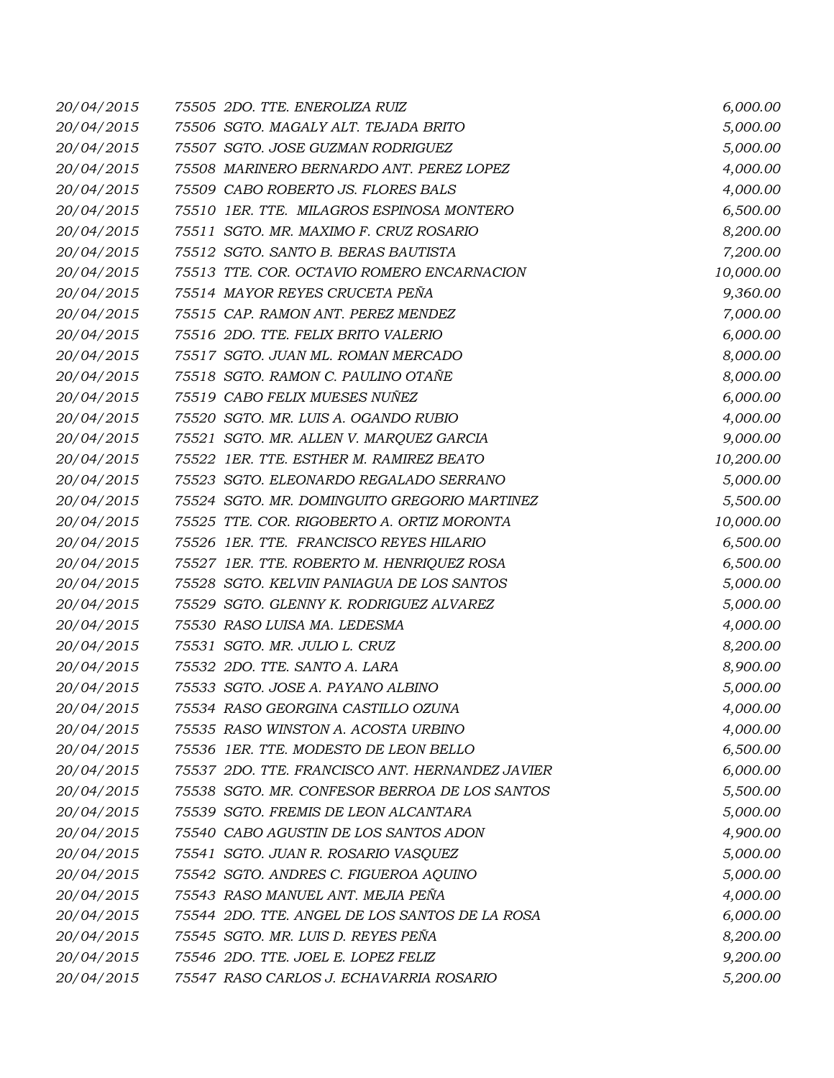| 20/04/2015 | 75505 2DO. TTE. ENEROLIZA RUIZ                  | 6,000.00  |
|------------|-------------------------------------------------|-----------|
| 20/04/2015 | 75506 SGTO. MAGALY ALT. TEJADA BRITO            | 5,000.00  |
| 20/04/2015 | 75507 SGTO. JOSE GUZMAN RODRIGUEZ               | 5,000.00  |
| 20/04/2015 | 75508 MARINERO BERNARDO ANT. PEREZ LOPEZ        | 4,000.00  |
| 20/04/2015 | 75509 CABO ROBERTO JS. FLORES BALS              | 4,000.00  |
| 20/04/2015 | 75510 1ER. TTE. MILAGROS ESPINOSA MONTERO       | 6,500.00  |
| 20/04/2015 | 75511 SGTO. MR. MAXIMO F. CRUZ ROSARIO          | 8,200.00  |
| 20/04/2015 | 75512 SGTO. SANTO B. BERAS BAUTISTA             | 7,200.00  |
| 20/04/2015 | 75513 TTE. COR. OCTAVIO ROMERO ENCARNACION      | 10,000.00 |
| 20/04/2015 | 75514 MAYOR REYES CRUCETA PEÑA                  | 9,360.00  |
| 20/04/2015 | 75515 CAP. RAMON ANT. PEREZ MENDEZ              | 7,000.00  |
| 20/04/2015 | 75516 2DO. TTE. FELIX BRITO VALERIO             | 6,000.00  |
| 20/04/2015 | 75517 SGTO. JUAN ML. ROMAN MERCADO              | 8,000.00  |
| 20/04/2015 | 75518 SGTO. RAMON C. PAULINO OTAÑE              | 8,000.00  |
| 20/04/2015 | 75519 CABO FELIX MUESES NUÑEZ                   | 6,000.00  |
| 20/04/2015 | 75520 SGTO. MR. LUIS A. OGANDO RUBIO            | 4,000.00  |
| 20/04/2015 | 75521 SGTO. MR. ALLEN V. MARQUEZ GARCIA         | 9,000.00  |
| 20/04/2015 | 75522 1ER. TTE. ESTHER M. RAMIREZ BEATO         | 10,200.00 |
| 20/04/2015 | 75523 SGTO. ELEONARDO REGALADO SERRANO          | 5,000.00  |
| 20/04/2015 | 75524 SGTO. MR. DOMINGUITO GREGORIO MARTINEZ    | 5,500.00  |
| 20/04/2015 | 75525 TTE. COR. RIGOBERTO A. ORTIZ MORONTA      | 10,000.00 |
| 20/04/2015 | 75526 1ER. TTE. FRANCISCO REYES HILARIO         | 6,500.00  |
| 20/04/2015 | 75527 1ER. TTE. ROBERTO M. HENRIQUEZ ROSA       | 6,500.00  |
| 20/04/2015 | 75528 SGTO. KELVIN PANIAGUA DE LOS SANTOS       | 5,000.00  |
| 20/04/2015 | 75529 SGTO. GLENNY K. RODRIGUEZ ALVAREZ         | 5,000.00  |
| 20/04/2015 | 75530 RASO LUISA MA. LEDESMA                    | 4,000.00  |
| 20/04/2015 | 75531 SGTO. MR. JULIO L. CRUZ                   | 8,200.00  |
| 20/04/2015 | 75532 2DO. TTE. SANTO A. LARA                   | 8,900.00  |
| 20/04/2015 | 75533 SGTO. JOSE A. PAYANO ALBINO               | 5,000.00  |
| 20/04/2015 | 75534 RASO GEORGINA CASTILLO OZUNA              | 4,000.00  |
| 20/04/2015 | 75535 RASO WINSTON A. ACOSTA URBINO             | 4,000.00  |
| 20/04/2015 | 75536 1ER. TTE. MODESTO DE LEON BELLO           | 6,500.00  |
| 20/04/2015 | 75537 2DO. TTE. FRANCISCO ANT. HERNANDEZ JAVIER | 6,000.00  |
| 20/04/2015 | 75538 SGTO. MR. CONFESOR BERROA DE LOS SANTOS   | 5,500.00  |
| 20/04/2015 | 75539 SGTO. FREMIS DE LEON ALCANTARA            | 5,000.00  |
| 20/04/2015 | 75540 CABO AGUSTIN DE LOS SANTOS ADON           | 4,900.00  |
| 20/04/2015 | 75541 SGTO. JUAN R. ROSARIO VASQUEZ             | 5,000.00  |
| 20/04/2015 | 75542 SGTO. ANDRES C. FIGUEROA AQUINO           | 5,000.00  |
| 20/04/2015 | 75543 RASO MANUEL ANT. MEJIA PEÑA               | 4,000.00  |
| 20/04/2015 | 75544 2DO. TTE. ANGEL DE LOS SANTOS DE LA ROSA  | 6,000.00  |
| 20/04/2015 | 75545 SGTO. MR. LUIS D. REYES PEÑA              | 8,200.00  |
| 20/04/2015 | 75546 2DO. TTE. JOEL E. LOPEZ FELIZ             | 9,200.00  |
| 20/04/2015 | 75547 RASO CARLOS J. ECHAVARRIA ROSARIO         | 5,200.00  |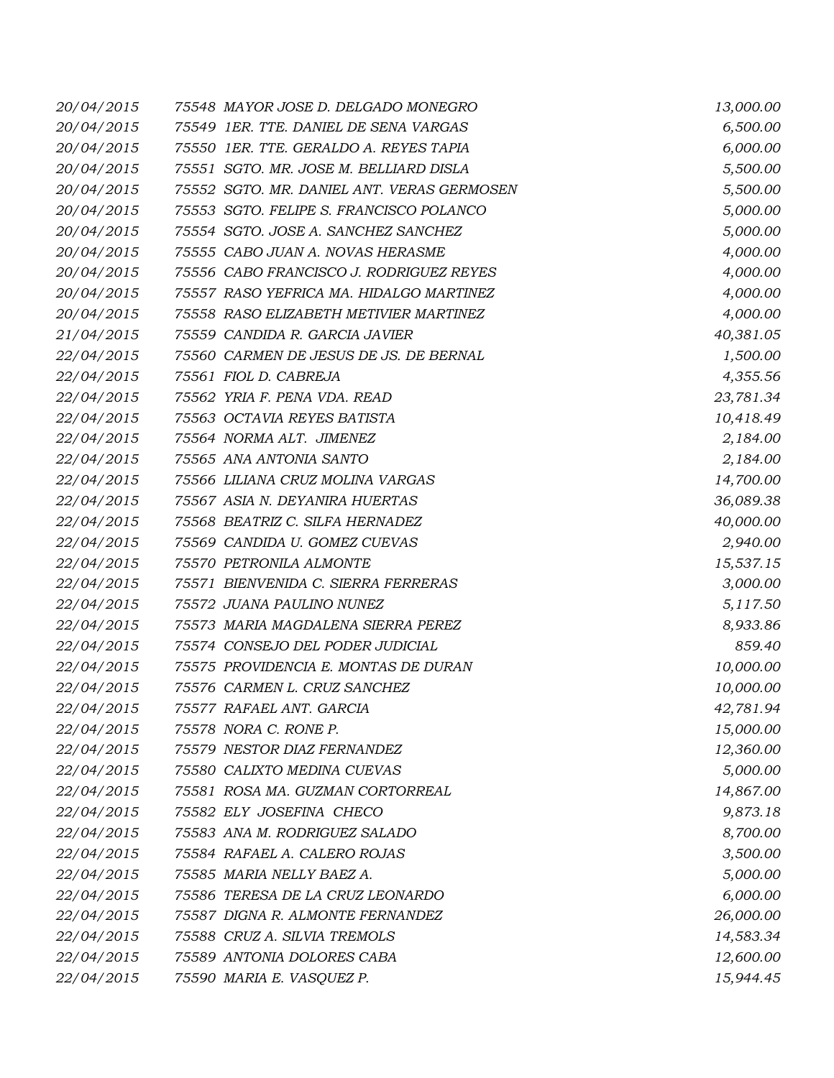| 20/04/2015 | 75548 MAYOR JOSE D. DELGADO MONEGRO        | 13,000.00 |
|------------|--------------------------------------------|-----------|
| 20/04/2015 | 75549 1ER. TTE. DANIEL DE SENA VARGAS      | 6,500.00  |
| 20/04/2015 | 75550 IER. TTE. GERALDO A. REYES TAPIA     | 6,000.00  |
| 20/04/2015 | 75551 SGTO. MR. JOSE M. BELLIARD DISLA     | 5,500.00  |
| 20/04/2015 | 75552 SGTO. MR. DANIEL ANT. VERAS GERMOSEN | 5,500.00  |
| 20/04/2015 | 75553 SGTO. FELIPE S. FRANCISCO POLANCO    | 5,000.00  |
| 20/04/2015 | 75554 SGTO. JOSE A. SANCHEZ SANCHEZ        | 5,000.00  |
| 20/04/2015 | 75555 CABO JUAN A. NOVAS HERASME           | 4,000.00  |
| 20/04/2015 | 75556 CABO FRANCISCO J. RODRIGUEZ REYES    | 4,000.00  |
| 20/04/2015 | 75557 RASO YEFRICA MA. HIDALGO MARTINEZ    | 4,000.00  |
| 20/04/2015 | 75558 RASO ELIZABETH METIVIER MARTINEZ     | 4,000.00  |
| 21/04/2015 | 75559 CANDIDA R. GARCIA JAVIER             | 40,381.05 |
| 22/04/2015 | 75560 CARMEN DE JESUS DE JS. DE BERNAL     | 1,500.00  |
| 22/04/2015 | 75561 FIOL D. CABREJA                      | 4,355.56  |
| 22/04/2015 | 75562 YRIA F. PENA VDA. READ               | 23,781.34 |
| 22/04/2015 | 75563 OCTAVIA REYES BATISTA                | 10,418.49 |
| 22/04/2015 | 75564 NORMA ALT. JIMENEZ                   | 2,184.00  |
| 22/04/2015 | 75565 ANA ANTONIA SANTO                    | 2,184.00  |
| 22/04/2015 | 75566 LILIANA CRUZ MOLINA VARGAS           | 14,700.00 |
| 22/04/2015 | 75567 ASIA N. DEYANIRA HUERTAS             | 36,089.38 |
| 22/04/2015 | 75568 BEATRIZ C. SILFA HERNADEZ            | 40,000.00 |
| 22/04/2015 | 75569 CANDIDA U. GOMEZ CUEVAS              | 2,940.00  |
| 22/04/2015 | 75570 PETRONILA ALMONTE                    | 15,537.15 |
| 22/04/2015 | 75571 BIENVENIDA C. SIERRA FERRERAS        | 3,000.00  |
| 22/04/2015 | 75572 JUANA PAULINO NUNEZ                  | 5,117.50  |
| 22/04/2015 | 75573 MARIA MAGDALENA SIERRA PEREZ         | 8,933.86  |
| 22/04/2015 | 75574 CONSEJO DEL PODER JUDICIAL           | 859.40    |
| 22/04/2015 | 75575 PROVIDENCIA E. MONTAS DE DURAN       | 10,000.00 |
| 22/04/2015 | 75576 CARMEN L. CRUZ SANCHEZ               | 10,000.00 |
| 22/04/2015 | 75577 RAFAEL ANT. GARCIA                   | 42,781.94 |
| 22/04/2015 | 75578 NORA C. RONE P.                      | 15,000.00 |
| 22/04/2015 | 75579 NESTOR DIAZ FERNANDEZ                | 12,360.00 |
| 22/04/2015 | 75580 CALIXTO MEDINA CUEVAS                | 5,000.00  |
| 22/04/2015 | 75581 ROSA MA. GUZMAN CORTORREAL           | 14,867.00 |
| 22/04/2015 | 75582 ELY JOSEFINA CHECO                   | 9,873.18  |
| 22/04/2015 | 75583 ANA M. RODRIGUEZ SALADO              | 8,700.00  |
| 22/04/2015 | 75584 RAFAEL A. CALERO ROJAS               | 3,500.00  |
| 22/04/2015 | 75585 MARIA NELLY BAEZ A.                  | 5,000.00  |
| 22/04/2015 | 75586 TERESA DE LA CRUZ LEONARDO           | 6,000.00  |
| 22/04/2015 | 75587 DIGNA R. ALMONTE FERNANDEZ           | 26,000.00 |
| 22/04/2015 | 75588 CRUZ A. SILVIA TREMOLS               | 14,583.34 |
| 22/04/2015 | 75589 ANTONIA DOLORES CABA                 | 12,600.00 |
| 22/04/2015 | 75590 MARIA E. VASQUEZ P.                  | 15,944.45 |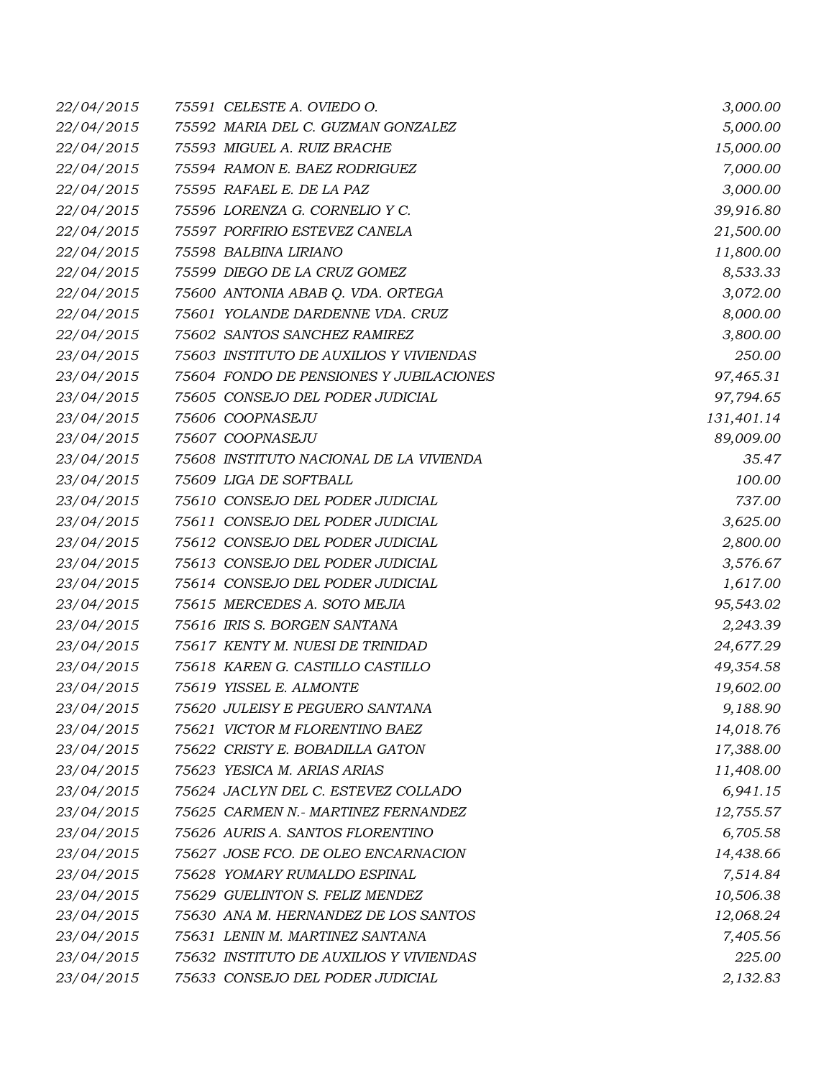| 22/04/2015 | 75591 CELESTE A. OVIEDO O.              | 3,000.00   |
|------------|-----------------------------------------|------------|
| 22/04/2015 | 75592 MARIA DEL C. GUZMAN GONZALEZ      | 5,000.00   |
| 22/04/2015 | 75593 MIGUEL A. RUIZ BRACHE             | 15,000.00  |
| 22/04/2015 | 75594 RAMON E. BAEZ RODRIGUEZ           | 7,000.00   |
| 22/04/2015 | 75595 RAFAEL E. DE LA PAZ               | 3,000.00   |
| 22/04/2015 | 75596 LORENZA G. CORNELIO Y C.          | 39,916.80  |
| 22/04/2015 | 75597 PORFIRIO ESTEVEZ CANELA           | 21,500.00  |
| 22/04/2015 | 75598 BALBINA LIRIANO                   | 11,800.00  |
| 22/04/2015 | 75599 DIEGO DE LA CRUZ GOMEZ            | 8,533.33   |
| 22/04/2015 | 75600 ANTONIA ABAB Q. VDA. ORTEGA       | 3,072.00   |
| 22/04/2015 | 75601 YOLANDE DARDENNE VDA. CRUZ        | 8,000.00   |
| 22/04/2015 | 75602 SANTOS SANCHEZ RAMIREZ            | 3,800.00   |
| 23/04/2015 | 75603 INSTITUTO DE AUXILIOS Y VIVIENDAS | 250.00     |
| 23/04/2015 | 75604 FONDO DE PENSIONES Y JUBILACIONES | 97,465.31  |
| 23/04/2015 | 75605 CONSEJO DEL PODER JUDICIAL        | 97,794.65  |
| 23/04/2015 | 75606 COOPNASEJU                        | 131,401.14 |
| 23/04/2015 | 75607 COOPNASEJU                        | 89,009.00  |
| 23/04/2015 | 75608 INSTITUTO NACIONAL DE LA VIVIENDA | 35.47      |
| 23/04/2015 | 75609 LIGA DE SOFTBALL                  | 100.00     |
| 23/04/2015 | 75610 CONSEJO DEL PODER JUDICIAL        | 737.00     |
| 23/04/2015 | 75611 CONSEJO DEL PODER JUDICIAL        | 3,625.00   |
| 23/04/2015 | 75612 CONSEJO DEL PODER JUDICIAL        | 2,800.00   |
| 23/04/2015 | 75613 CONSEJO DEL PODER JUDICIAL        | 3,576.67   |
| 23/04/2015 | 75614 CONSEJO DEL PODER JUDICIAL        | 1,617.00   |
| 23/04/2015 | 75615 MERCEDES A. SOTO MEJIA            | 95,543.02  |
| 23/04/2015 | 75616 IRIS S. BORGEN SANTANA            | 2,243.39   |
| 23/04/2015 | 75617 KENTY M. NUESI DE TRINIDAD        | 24,677.29  |
| 23/04/2015 | 75618 KAREN G. CASTILLO CASTILLO        | 49,354.58  |
| 23/04/2015 | 75619 YISSEL E. ALMONTE                 | 19,602.00  |
| 23/04/2015 | 75620 JULEISY E PEGUERO SANTANA         | 9,188.90   |
| 23/04/2015 | 75621 VICTOR M FLORENTINO BAEZ          | 14,018.76  |
| 23/04/2015 | 75622 CRISTY E. BOBADILLA GATON         | 17,388.00  |
| 23/04/2015 | 75623 YESICA M. ARIAS ARIAS             | 11,408.00  |
| 23/04/2015 | 75624 JACLYN DEL C. ESTEVEZ COLLADO     | 6,941.15   |
| 23/04/2015 | 75625 CARMEN N.- MARTINEZ FERNANDEZ     | 12,755.57  |
| 23/04/2015 | 75626 AURIS A. SANTOS FLORENTINO        | 6,705.58   |
| 23/04/2015 | 75627 JOSE FCO. DE OLEO ENCARNACION     | 14,438.66  |
| 23/04/2015 | 75628 YOMARY RUMALDO ESPINAL            | 7,514.84   |
| 23/04/2015 | 75629 GUELINTON S. FELIZ MENDEZ         | 10,506.38  |
| 23/04/2015 | 75630 ANA M. HERNANDEZ DE LOS SANTOS    | 12,068.24  |
| 23/04/2015 | 75631 LENIN M. MARTINEZ SANTANA         | 7,405.56   |
| 23/04/2015 | 75632 INSTITUTO DE AUXILIOS Y VIVIENDAS | 225.00     |
| 23/04/2015 | 75633 CONSEJO DEL PODER JUDICIAL        | 2,132.83   |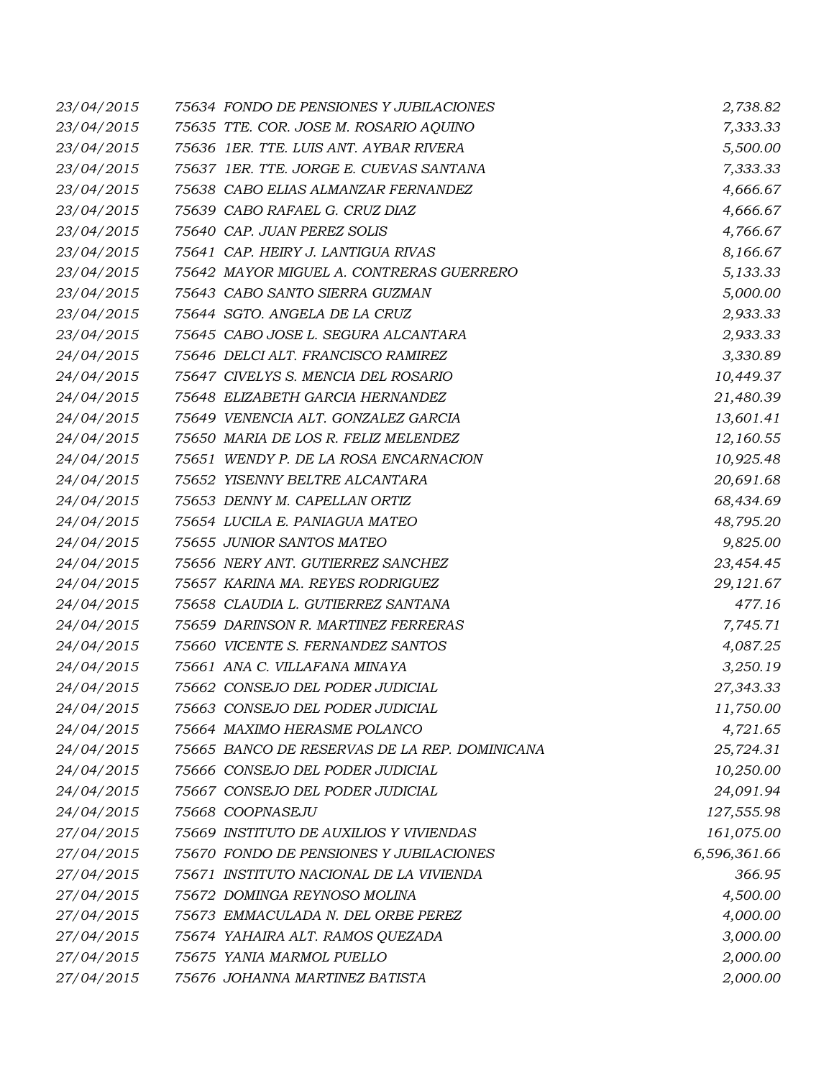| 23/04/2015 | 75634 FONDO DE PENSIONES Y JUBILACIONES       | 2,738.82     |
|------------|-----------------------------------------------|--------------|
| 23/04/2015 | 75635 TTE. COR. JOSE M. ROSARIO AQUINO        | 7,333.33     |
| 23/04/2015 | 75636 1ER. TTE. LUIS ANT. AYBAR RIVERA        | 5,500.00     |
| 23/04/2015 | 75637 1ER. TTE. JORGE E. CUEVAS SANTANA       | 7,333.33     |
| 23/04/2015 | 75638 CABO ELIAS ALMANZAR FERNANDEZ           | 4,666.67     |
| 23/04/2015 | 75639 CABO RAFAEL G. CRUZ DIAZ                | 4,666.67     |
| 23/04/2015 | 75640 CAP. JUAN PEREZ SOLIS                   | 4,766.67     |
| 23/04/2015 | 75641 CAP. HEIRY J. LANTIGUA RIVAS            | 8,166.67     |
| 23/04/2015 | 75642 MAYOR MIGUEL A. CONTRERAS GUERRERO      | 5,133.33     |
| 23/04/2015 | 75643 CABO SANTO SIERRA GUZMAN                | 5,000.00     |
| 23/04/2015 | 75644 SGTO. ANGELA DE LA CRUZ                 | 2,933.33     |
| 23/04/2015 | 75645 CABO JOSE L. SEGURA ALCANTARA           | 2,933.33     |
| 24/04/2015 | 75646 DELCI ALT. FRANCISCO RAMIREZ            | 3,330.89     |
| 24/04/2015 | 75647 CIVELYS S. MENCIA DEL ROSARIO           | 10,449.37    |
| 24/04/2015 | 75648 ELIZABETH GARCIA HERNANDEZ              | 21,480.39    |
| 24/04/2015 | 75649 VENENCIA ALT. GONZALEZ GARCIA           | 13,601.41    |
| 24/04/2015 | 75650 MARIA DE LOS R. FELIZ MELENDEZ          | 12,160.55    |
| 24/04/2015 | 75651 WENDY P. DE LA ROSA ENCARNACION         | 10,925.48    |
| 24/04/2015 | 75652 YISENNY BELTRE ALCANTARA                | 20,691.68    |
| 24/04/2015 | 75653 DENNY M. CAPELLAN ORTIZ                 | 68,434.69    |
| 24/04/2015 | 75654 LUCILA E. PANIAGUA MATEO                | 48,795.20    |
| 24/04/2015 | 75655 JUNIOR SANTOS MATEO                     | 9,825.00     |
| 24/04/2015 | 75656 NERY ANT. GUTIERREZ SANCHEZ             | 23,454.45    |
| 24/04/2015 | 75657 KARINA MA. REYES RODRIGUEZ              | 29,121.67    |
| 24/04/2015 | 75658 CLAUDIA L. GUTIERREZ SANTANA            | 477.16       |
| 24/04/2015 | 75659 DARINSON R. MARTINEZ FERRERAS           | 7,745.71     |
| 24/04/2015 | 75660 VICENTE S. FERNANDEZ SANTOS             | 4,087.25     |
| 24/04/2015 | 75661 ANA C. VILLAFANA MINAYA                 | 3,250.19     |
| 24/04/2015 | 75662 CONSEJO DEL PODER JUDICIAL              | 27,343.33    |
| 24/04/2015 | 75663 CONSEJO DEL PODER JUDICIAL              | 11,750.00    |
| 24/04/2015 | 75664 MAXIMO HERASME POLANCO                  | 4,721.65     |
| 24/04/2015 | 75665 BANCO DE RESERVAS DE LA REP. DOMINICANA | 25,724.31    |
| 24/04/2015 | 75666 CONSEJO DEL PODER JUDICIAL              | 10,250.00    |
| 24/04/2015 | 75667 CONSEJO DEL PODER JUDICIAL              | 24,091.94    |
| 24/04/2015 | 75668 COOPNASEJU                              | 127,555.98   |
| 27/04/2015 | 75669 INSTITUTO DE AUXILIOS Y VIVIENDAS       | 161,075.00   |
| 27/04/2015 | 75670 FONDO DE PENSIONES Y JUBILACIONES       | 6,596,361.66 |
| 27/04/2015 | 75671 INSTITUTO NACIONAL DE LA VIVIENDA       | 366.95       |
| 27/04/2015 | 75672 DOMINGA REYNOSO MOLINA                  | 4,500.00     |
| 27/04/2015 | 75673 EMMACULADA N. DEL ORBE PEREZ            | 4,000.00     |
| 27/04/2015 | 75674 YAHAIRA ALT. RAMOS QUEZADA              | 3,000.00     |
| 27/04/2015 | 75675 YANIA MARMOL PUELLO                     | 2,000.00     |
| 27/04/2015 | 75676 JOHANNA MARTINEZ BATISTA                | 2,000.00     |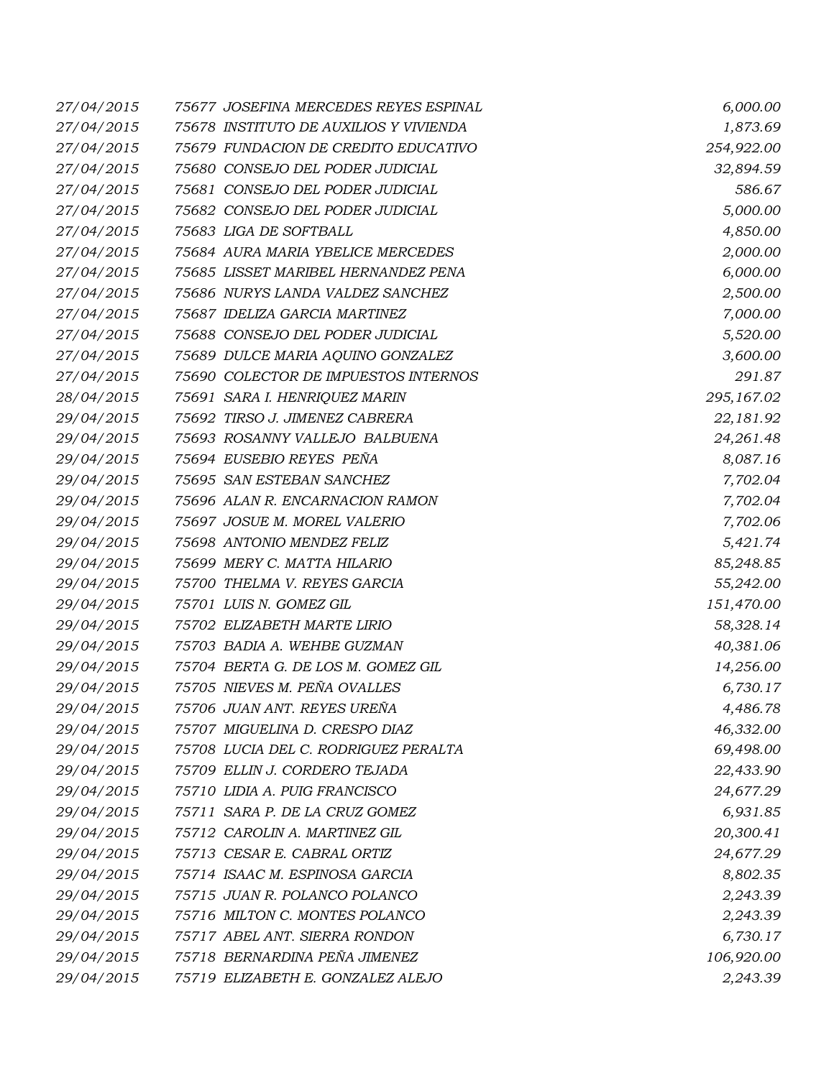| 27/04/2015 | 75677 JOSEFINA MERCEDES REYES ESPINAL  | 6,000.00   |
|------------|----------------------------------------|------------|
| 27/04/2015 | 75678 INSTITUTO DE AUXILIOS Y VIVIENDA | 1,873.69   |
| 27/04/2015 | 75679 FUNDACION DE CREDITO EDUCATIVO   | 254,922.00 |
| 27/04/2015 | 75680 CONSEJO DEL PODER JUDICIAL       | 32,894.59  |
| 27/04/2015 | 75681 CONSEJO DEL PODER JUDICIAL       | 586.67     |
| 27/04/2015 | 75682 CONSEJO DEL PODER JUDICIAL       | 5,000.00   |
| 27/04/2015 | 75683 LIGA DE SOFTBALL                 | 4,850.00   |
| 27/04/2015 | 75684 AURA MARIA YBELICE MERCEDES      | 2,000.00   |
| 27/04/2015 | 75685 LISSET MARIBEL HERNANDEZ PENA    | 6,000.00   |
| 27/04/2015 | 75686 NURYS LANDA VALDEZ SANCHEZ       | 2,500.00   |
| 27/04/2015 | 75687 IDELIZA GARCIA MARTINEZ          | 7,000.00   |
| 27/04/2015 | 75688 CONSEJO DEL PODER JUDICIAL       | 5,520.00   |
| 27/04/2015 | 75689 DULCE MARIA AQUINO GONZALEZ      | 3,600.00   |
| 27/04/2015 | 75690 COLECTOR DE IMPUESTOS INTERNOS   | 291.87     |
| 28/04/2015 | 75691 SARA I. HENRIQUEZ MARIN          | 295,167.02 |
| 29/04/2015 | 75692 TIRSO J. JIMENEZ CABRERA         | 22,181.92  |
| 29/04/2015 | 75693 ROSANNY VALLEJO BALBUENA         | 24,261.48  |
| 29/04/2015 | 75694 EUSEBIO REYES PEÑA               | 8,087.16   |
| 29/04/2015 | 75695 SAN ESTEBAN SANCHEZ              | 7,702.04   |
| 29/04/2015 | 75696 ALAN R. ENCARNACION RAMON        | 7,702.04   |
| 29/04/2015 | 75697 JOSUE M. MOREL VALERIO           | 7,702.06   |
| 29/04/2015 | 75698 ANTONIO MENDEZ FELIZ             | 5,421.74   |
| 29/04/2015 | 75699 MERY C. MATTA HILARIO            | 85,248.85  |
| 29/04/2015 | 75700 THELMA V. REYES GARCIA           | 55,242.00  |
| 29/04/2015 | 75701 LUIS N. GOMEZ GIL                | 151,470.00 |
| 29/04/2015 | 75702 ELIZABETH MARTE LIRIO            | 58,328.14  |
| 29/04/2015 | 75703 BADIA A. WEHBE GUZMAN            | 40,381.06  |
| 29/04/2015 | 75704 BERTA G. DE LOS M. GOMEZ GIL     | 14,256.00  |
| 29/04/2015 | 75705 NIEVES M. PEÑA OVALLES           | 6,730.17   |
| 29/04/2015 | 75706 JUAN ANT. REYES UREÑA            | 4,486.78   |
| 29/04/2015 | 75707 MIGUELINA D. CRESPO DIAZ         | 46,332.00  |
| 29/04/2015 | 75708 LUCIA DEL C. RODRIGUEZ PERALTA   | 69,498.00  |
| 29/04/2015 | 75709 ELLIN J. CORDERO TEJADA          | 22,433.90  |
| 29/04/2015 | 75710 LIDIA A. PUIG FRANCISCO          | 24,677.29  |
| 29/04/2015 | 75711 SARA P. DE LA CRUZ GOMEZ         | 6,931.85   |
| 29/04/2015 | 75712 CAROLIN A. MARTINEZ GIL          | 20,300.41  |
| 29/04/2015 | 75713 CESAR E. CABRAL ORTIZ            | 24,677.29  |
| 29/04/2015 | 75714 ISAAC M. ESPINOSA GARCIA         | 8,802.35   |
| 29/04/2015 | 75715 JUAN R. POLANCO POLANCO          | 2,243.39   |
| 29/04/2015 | 75716 MILTON C. MONTES POLANCO         | 2,243.39   |
| 29/04/2015 | 75717 ABEL ANT. SIERRA RONDON          | 6,730.17   |
| 29/04/2015 | 75718 BERNARDINA PEÑA JIMENEZ          | 106,920.00 |
| 29/04/2015 | 75719 ELIZABETH E. GONZALEZ ALEJO      | 2,243.39   |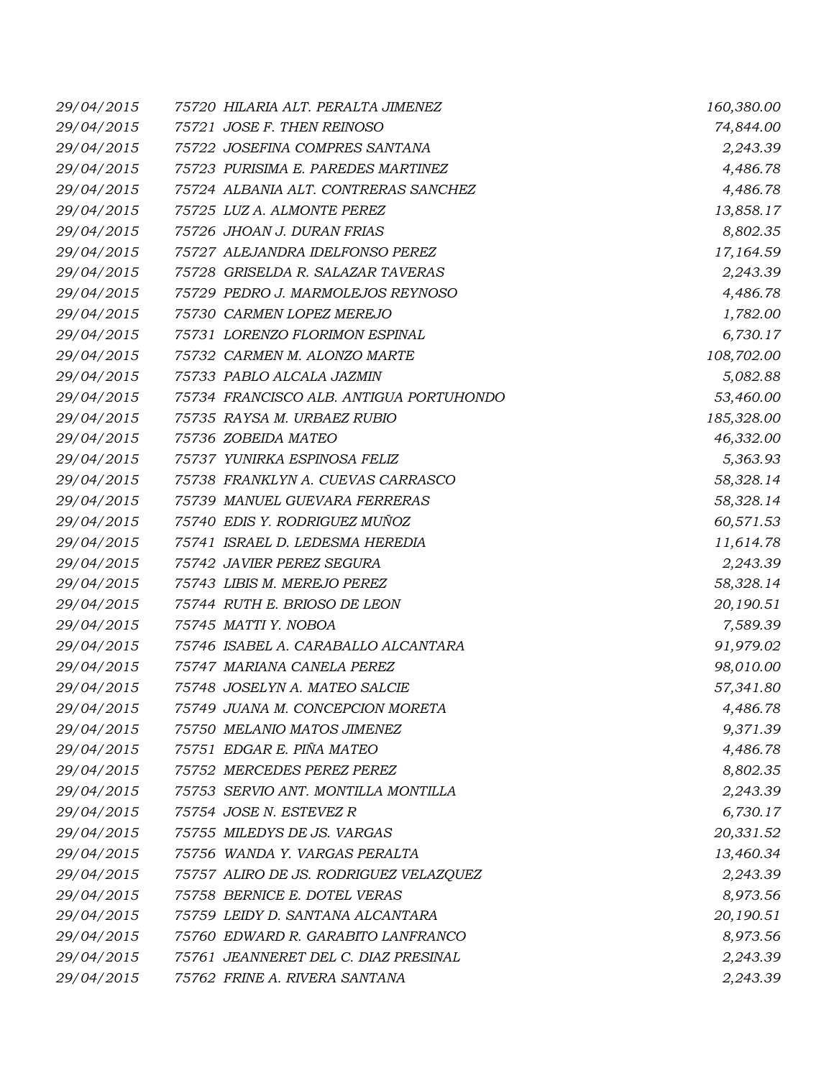| 29/04/2015 | 75720 HILARIA ALT. PERALTA JIMENEZ      | 160,380.00 |
|------------|-----------------------------------------|------------|
| 29/04/2015 | 75721 JOSE F. THEN REINOSO              | 74,844.00  |
| 29/04/2015 | 75722 JOSEFINA COMPRES SANTANA          | 2,243.39   |
| 29/04/2015 | 75723 PURISIMA E. PAREDES MARTINEZ      | 4,486.78   |
| 29/04/2015 | 75724 ALBANIA ALT. CONTRERAS SANCHEZ    | 4,486.78   |
| 29/04/2015 | 75725 LUZ A. ALMONTE PEREZ              | 13,858.17  |
| 29/04/2015 | 75726 JHOAN J. DURAN FRIAS              | 8,802.35   |
| 29/04/2015 | 75727 ALEJANDRA IDELFONSO PEREZ         | 17,164.59  |
| 29/04/2015 | 75728 GRISELDA R. SALAZAR TAVERAS       | 2,243.39   |
| 29/04/2015 | 75729 PEDRO J. MARMOLEJOS REYNOSO       | 4,486.78   |
| 29/04/2015 | 75730 CARMEN LOPEZ MEREJO               | 1,782.00   |
| 29/04/2015 | 75731 LORENZO FLORIMON ESPINAL          | 6,730.17   |
| 29/04/2015 | 75732 CARMEN M. ALONZO MARTE            | 108,702.00 |
| 29/04/2015 | 75733 PABLO ALCALA JAZMIN               | 5,082.88   |
| 29/04/2015 | 75734 FRANCISCO ALB. ANTIGUA PORTUHONDO | 53,460.00  |
| 29/04/2015 | 75735 RAYSA M. URBAEZ RUBIO             | 185,328.00 |
| 29/04/2015 | 75736 ZOBEIDA MATEO                     | 46,332.00  |
| 29/04/2015 | 75737 YUNIRKA ESPINOSA FELIZ            | 5,363.93   |
| 29/04/2015 | 75738 FRANKLYN A. CUEVAS CARRASCO       | 58,328.14  |
| 29/04/2015 | 75739 MANUEL GUEVARA FERRERAS           | 58,328.14  |
| 29/04/2015 | 75740 EDIS Y. RODRIGUEZ MUÑOZ           | 60,571.53  |
| 29/04/2015 | 75741 ISRAEL D. LEDESMA HEREDIA         | 11,614.78  |
| 29/04/2015 | 75742 JAVIER PEREZ SEGURA               | 2,243.39   |
| 29/04/2015 | 75743 LIBIS M. MEREJO PEREZ             | 58,328.14  |
| 29/04/2015 | 75744 RUTH E. BRIOSO DE LEON            | 20,190.51  |
| 29/04/2015 | 75745 MATTI Y. NOBOA                    | 7,589.39   |
| 29/04/2015 | 75746 ISABEL A. CARABALLO ALCANTARA     | 91,979.02  |
| 29/04/2015 | 75747 MARIANA CANELA PEREZ              | 98,010.00  |
| 29/04/2015 | 75748 JOSELYN A. MATEO SALCIE           | 57,341.80  |
| 29/04/2015 | 75749 JUANA M. CONCEPCION MORETA        | 4,486.78   |
| 29/04/2015 | 75750 MELANIO MATOS JIMENEZ             | 9,371.39   |
| 29/04/2015 | 75751 EDGAR E. PIÑA MATEO               | 4,486.78   |
| 29/04/2015 | 75752 MERCEDES PEREZ PEREZ              | 8,802.35   |
| 29/04/2015 | 75753 SERVIO ANT. MONTILLA MONTILLA     | 2,243.39   |
| 29/04/2015 | 75754 JOSE N. ESTEVEZ R                 | 6,730.17   |
| 29/04/2015 | 75755 MILEDYS DE JS. VARGAS             | 20,331.52  |
| 29/04/2015 | 75756 WANDA Y. VARGAS PERALTA           | 13,460.34  |
| 29/04/2015 | 75757 ALIRO DE JS. RODRIGUEZ VELAZQUEZ  | 2,243.39   |
| 29/04/2015 | 75758 BERNICE E. DOTEL VERAS            | 8,973.56   |
| 29/04/2015 | 75759 LEIDY D. SANTANA ALCANTARA        | 20,190.51  |
| 29/04/2015 | 75760 EDWARD R. GARABITO LANFRANCO      | 8,973.56   |
| 29/04/2015 | 75761 JEANNERET DEL C. DIAZ PRESINAL    | 2,243.39   |
| 29/04/2015 | 75762 FRINE A. RIVERA SANTANA           | 2,243.39   |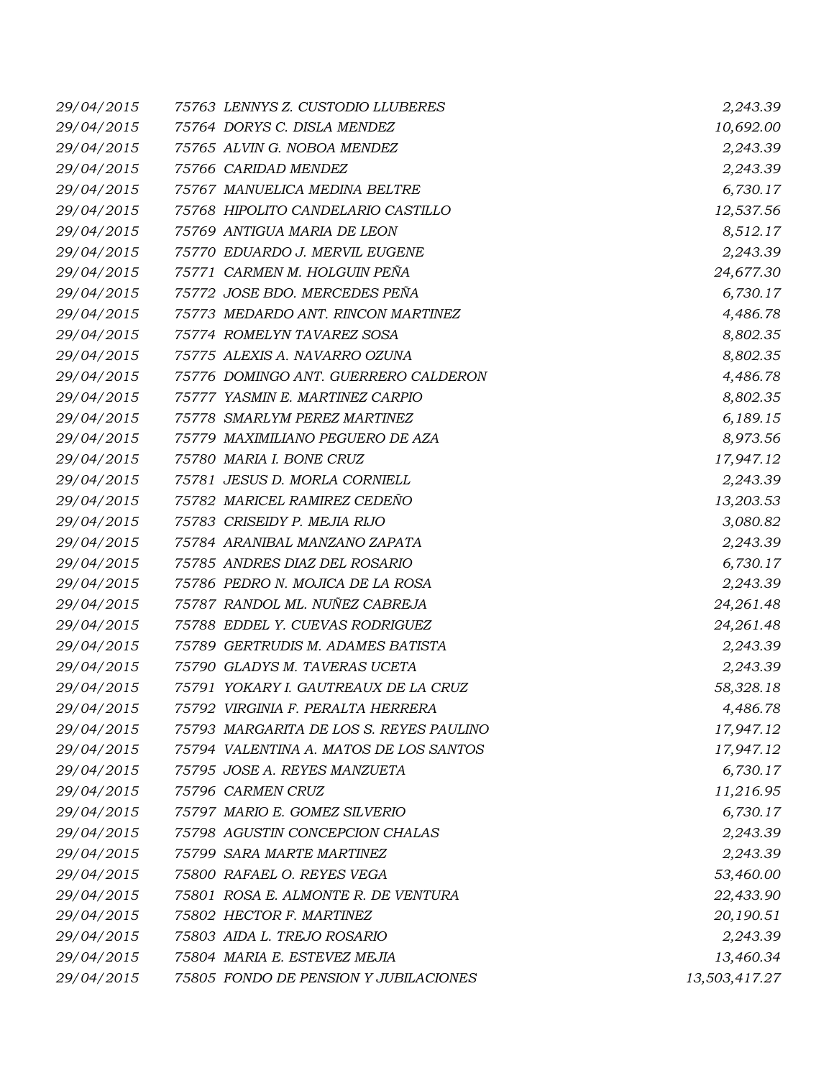| 29/04/2015 | 75763 LENNYS Z. CUSTODIO LLUBERES  |                                         | 2,243.39      |
|------------|------------------------------------|-----------------------------------------|---------------|
| 29/04/2015 | 75764 DORYS C. DISLA MENDEZ        |                                         | 10,692.00     |
| 29/04/2015 | 75765 ALVIN G. NOBOA MENDEZ        |                                         | 2,243.39      |
| 29/04/2015 | 75766 CARIDAD MENDEZ               |                                         | 2,243.39      |
| 29/04/2015 | 75767 MANUELICA MEDINA BELTRE      |                                         | 6,730.17      |
| 29/04/2015 | 75768 HIPOLITO CANDELARIO CASTILLO |                                         | 12,537.56     |
| 29/04/2015 | 75769 ANTIGUA MARIA DE LEON        |                                         | 8,512.17      |
| 29/04/2015 | 75770 EDUARDO J. MERVIL EUGENE     |                                         | 2,243.39      |
| 29/04/2015 | 75771 CARMEN M. HOLGUIN PEÑA       |                                         | 24,677.30     |
| 29/04/2015 | 75772 JOSE BDO. MERCEDES PEÑA      |                                         | 6,730.17      |
| 29/04/2015 |                                    | 75773 MEDARDO ANT. RINCON MARTINEZ      | 4,486.78      |
| 29/04/2015 | 75774 ROMELYN TAVAREZ SOSA         |                                         | 8,802.35      |
| 29/04/2015 | 75775 ALEXIS A. NAVARRO OZUNA      |                                         | 8,802.35      |
| 29/04/2015 |                                    | 75776 DOMINGO ANT. GUERRERO CALDERON    | 4,486.78      |
| 29/04/2015 | 75777 YASMIN E. MARTINEZ CARPIO    |                                         | 8,802.35      |
| 29/04/2015 | 75778 SMARLYM PEREZ MARTINEZ       |                                         | 6,189.15      |
| 29/04/2015 | 75779 MAXIMILIANO PEGUERO DE AZA   |                                         | 8,973.56      |
| 29/04/2015 | 75780 MARIA I. BONE CRUZ           |                                         | 17,947.12     |
| 29/04/2015 | 75781 JESUS D. MORLA CORNIELL      |                                         | 2,243.39      |
| 29/04/2015 | 75782 MARICEL RAMIREZ CEDEÑO       |                                         | 13,203.53     |
| 29/04/2015 | 75783 CRISEIDY P. MEJIA RIJO       |                                         | 3,080.82      |
| 29/04/2015 | 75784 ARANIBAL MANZANO ZAPATA      |                                         | 2,243.39      |
| 29/04/2015 | 75785 ANDRES DIAZ DEL ROSARIO      |                                         | 6,730.17      |
| 29/04/2015 | 75786 PEDRO N. MOJICA DE LA ROSA   |                                         | 2,243.39      |
| 29/04/2015 | 75787 RANDOL ML. NUÑEZ CABREJA     |                                         | 24,261.48     |
| 29/04/2015 | 75788 EDDEL Y. CUEVAS RODRIGUEZ    |                                         | 24,261.48     |
| 29/04/2015 | 75789 GERTRUDIS M. ADAMES BATISTA  |                                         | 2,243.39      |
| 29/04/2015 | 75790 GLADYS M. TAVERAS UCETA      |                                         | 2,243.39      |
| 29/04/2015 |                                    | 75791 YOKARY I. GAUTREAUX DE LA CRUZ    | 58,328.18     |
| 29/04/2015 | 75792 VIRGINIA F. PERALTA HERRERA  |                                         | 4,486.78      |
| 29/04/2015 |                                    | 75793 MARGARITA DE LOS S. REYES PAULINO | 17,947.12     |
| 29/04/2015 |                                    | 75794 VALENTINA A. MATOS DE LOS SANTOS  | 17,947.12     |
| 29/04/2015 | 75795 JOSE A. REYES MANZUETA       |                                         | 6,730.17      |
| 29/04/2015 | 75796 CARMEN CRUZ                  |                                         | 11,216.95     |
| 29/04/2015 | 75797 MARIO E. GOMEZ SILVERIO      |                                         | 6,730.17      |
| 29/04/2015 | 75798 AGUSTIN CONCEPCION CHALAS    |                                         | 2,243.39      |
| 29/04/2015 | 75799 SARA MARTE MARTINEZ          |                                         | 2,243.39      |
| 29/04/2015 | 75800 RAFAEL O. REYES VEGA         |                                         | 53,460.00     |
| 29/04/2015 |                                    | 75801 ROSA E. ALMONTE R. DE VENTURA     | 22,433.90     |
| 29/04/2015 | 75802 HECTOR F. MARTINEZ           |                                         | 20,190.51     |
| 29/04/2015 | 75803 AIDA L. TREJO ROSARIO        |                                         | 2,243.39      |
| 29/04/2015 | 75804 MARIA E. ESTEVEZ MEJIA       |                                         | 13,460.34     |
| 29/04/2015 |                                    | 75805 FONDO DE PENSION Y JUBILACIONES   | 13,503,417.27 |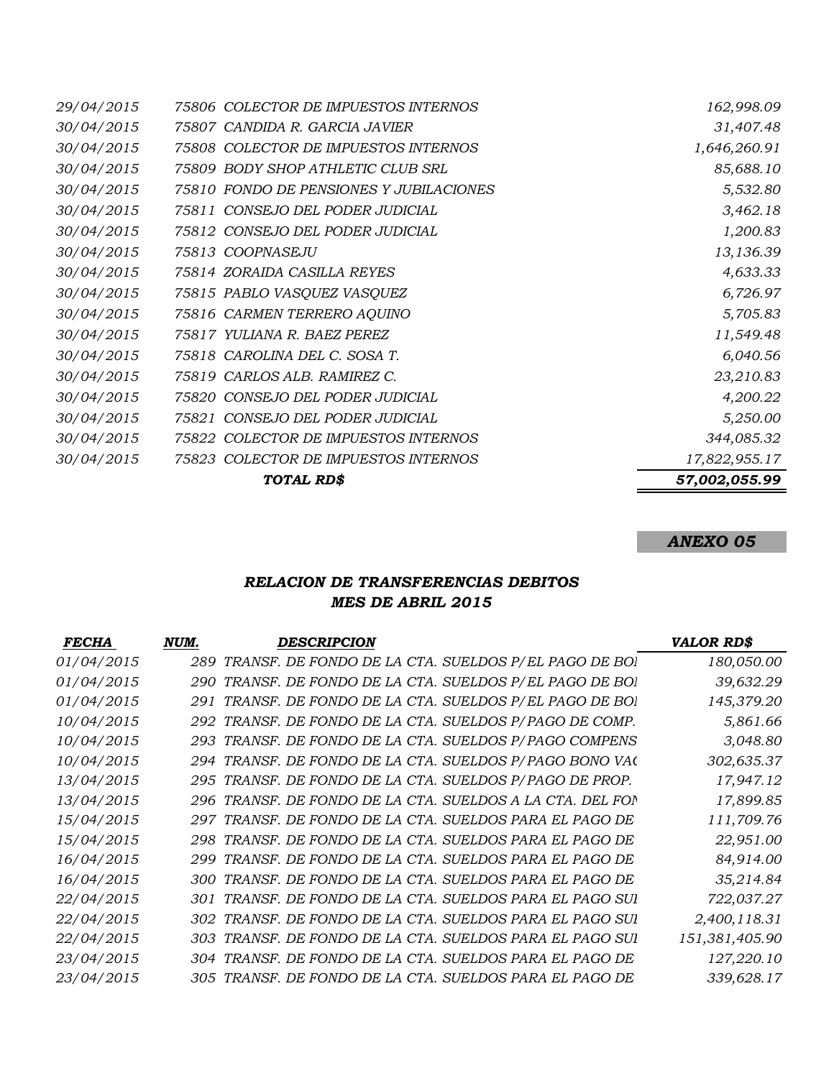|                   | TOTAL RD\$                              | 57,002,055.99 |
|-------------------|-----------------------------------------|---------------|
| 30/04/2015        | 75823 COLECTOR DE IMPUESTOS INTERNOS    | 17,822,955.17 |
| 30/04/2015        | 75822 COLECTOR DE IMPUESTOS INTERNOS    | 344,085.32    |
| 30/04/2015        | 75821 CONSEJO DEL PODER JUDICIAL        | 5,250.00      |
| 30/04/2015        | 75820 CONSEJO DEL PODER JUDICIAL        | 4,200.22      |
| 30/04/2015        | 75819 CARLOS ALB. RAMIREZ C.            | 23,210.83     |
| 30/04/2015        | 75818 CAROLINA DEL C. SOSA T.           | 6,040.56      |
| 30/04/2015        | 75817 YULIANA R. BAEZ PEREZ             | 11,549.48     |
| 30/04/2015        | 75816 CARMEN TERRERO AQUINO             | 5,705.83      |
| 30/04/2015        | 75815 PABLO VASQUEZ VASQUEZ             | 6,726.97      |
| 30/04/2015        | 75814 ZORAIDA CASILLA REYES             | 4,633.33      |
| 30/04/2015        | 75813 COOPNASEJU                        | 13,136.39     |
| 30/04/2015        | 75812 CONSEJO DEL PODER JUDICIAL        | 1,200.83      |
| 30/04/2015        | 75811 CONSEJO DEL PODER JUDICIAL        | 3,462.18      |
| 30/04/2015        | 75810 FONDO DE PENSIONES Y JUBILACIONES | 5,532.80      |
| 30/04/2015        | 75809 BODY SHOP ATHLETIC CLUB SRL       | 85,688.10     |
| 30/04/2015        | 75808 COLECTOR DE IMPUESTOS INTERNOS    | 1,646,260.91  |
| 30/04/2015        | 75807 CANDIDA R. GARCIA JAVIER          | 31,407.48     |
| <i>29/04/2015</i> | 75806 COLECTOR DE IMPUESTOS INTERNOS    | 162,998.09    |

*ANEXO 05*

# *RELACION DE TRANSFERENCIAS DEBITOS MES DE ABRIL 2015*

| <b>FECHA</b> | NUM. | <b>DESCRIPCION</b>                                        | <b>VALOR RD\$</b> |
|--------------|------|-----------------------------------------------------------|-------------------|
| 01/04/2015   |      | 289 TRANSF. DE FONDO DE LA CTA. SUELDOS P/EL PAGO DE BOI  | 180,050.00        |
| 01/04/2015   |      | 290 TRANSF. DE FONDO DE LA CTA. SUELDOS P/EL PAGO DE BOI  | 39,632.29         |
| 01/04/2015   | 291  | TRANSF. DE FONDO DE LA CTA. SUELDOS P/EL PAGO DE BOI      | 145,379.20        |
| 10/04/2015   |      | 292 TRANSF. DE FONDO DE LA CTA. SUELDOS P/PAGO DE COMP.   | 5,861.66          |
| 10/04/2015   |      | 293 TRANSF. DE FONDO DE LA CTA. SUELDOS P/PAGO COMPENS    | 3,048.80          |
| 10/04/2015   |      | 294 TRANSF. DE FONDO DE LA CTA. SUELDOS P/PAGO BONO VA(   | 302,635.37        |
| 13/04/2015   |      | 295 TRANSF. DE FONDO DE LA CTA. SUELDOS P/PAGO DE PROP.   | 17,947.12         |
| 13/04/2015   |      | 296 TRANSF. DE FONDO DE LA CTA. SUELDOS A LA CTA. DEL FON | 17,899.85         |
| 15/04/2015   |      | 297 TRANSF. DE FONDO DE LA CTA. SUELDOS PARA EL PAGO DE   | 111,709.76        |
| 15/04/2015   |      | 298 TRANSF. DE FONDO DE LA CTA. SUELDOS PARA EL PAGO DE   | 22,951.00         |
| 16/04/2015   |      | 299 TRANSF. DE FONDO DE LA CTA. SUELDOS PARA EL PAGO DE   | 84,914.00         |
| 16/04/2015   |      | 300 TRANSF. DE FONDO DE LA CTA. SUELDOS PARA EL PAGO DE   | 35,214.84         |
| 22/04/2015   |      | 301 TRANSF. DE FONDO DE LA CTA. SUELDOS PARA EL PAGO SUI  | 722,037.27        |
| 22/04/2015   |      | 302 TRANSF. DE FONDO DE LA CTA. SUELDOS PARA EL PAGO SUI  | 2,400,118.31      |
| 22/04/2015   |      | 303 TRANSF. DE FONDO DE LA CTA. SUELDOS PARA EL PAGO SUI  | 151,381,405.90    |
| 23/04/2015   |      | 304 TRANSF. DE FONDO DE LA CTA. SUELDOS PARA EL PAGO DE   | 127,220.10        |
| 23/04/2015   |      | 305  TRANSF. DE FONDO DE LA CTA. SUELDOS PARA EL PAGO DE  | 339,628.17        |
|              |      |                                                           |                   |